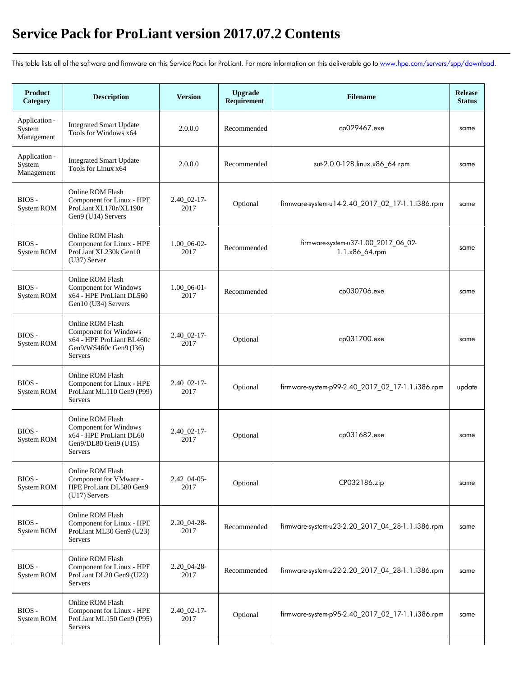## **Service Pack for ProLiant version 2017.07.2 Contents**

This table lists all of the software and firmware on this Service Pack for ProLiant. For more information on this deliverable go to [www.hpe.com/servers/spp/download.](https://www.hpe.com/servers/spp/download)

| <b>Product</b><br>Category            | <b>Description</b>                                                                                          | <b>Version</b>             | <b>Upgrade</b><br>Requirement | <b>Filename</b>                                        | <b>Release</b><br><b>Status</b> |
|---------------------------------------|-------------------------------------------------------------------------------------------------------------|----------------------------|-------------------------------|--------------------------------------------------------|---------------------------------|
| Application -<br>System<br>Management | <b>Integrated Smart Update</b><br>Tools for Windows x64                                                     | 2.0.0.0                    | Recommended                   | cp029467.exe                                           | same                            |
| Application -<br>System<br>Management | <b>Integrated Smart Update</b><br>Tools for Linux x64                                                       | 2.0.0.0                    | Recommended                   | sut-2.0.0-128.linux.x86_64.rpm                         | same                            |
| $BIOS -$<br>System ROM                | Online ROM Flash<br>Component for Linux - HPE<br>ProLiant XL170r/XL190r<br>Gen9 (U14) Servers               | $2.40\_02-17-$<br>2017     | Optional                      | firmware-system-u14-2.40_2017_02_17-1.1.i386.rpm       | same                            |
| BIOS-<br>System ROM                   | Online ROM Flash<br>Component for Linux - HPE<br>ProLiant XL230k Gen10<br>$(U37)$ Server                    | $1.00\_06-02-$<br>2017     | Recommended                   | firmware-system-u37-1.00_2017_06_02-<br>1.1.x86_64.rpm | same                            |
| BIOS-<br>System ROM                   | Online ROM Flash<br>Component for Windows<br>x64 - HPE ProLiant DL560<br>Gen10 (U34) Servers                | $1.00\_06-01-$<br>2017     | Recommended                   | cp030706.exe                                           | same                            |
| BIOS-<br>System ROM                   | Online ROM Flash<br>Component for Windows<br>x64 - HPE ProLiant BL460c<br>Gen9/WS460c Gen9 (I36)<br>Servers | $2.40\_02-17$ -<br>2017    | Optional                      | cp031700.exe                                           | same                            |
| BIOS-<br>System ROM                   | Online ROM Flash<br>Component for Linux - HPE<br>ProLiant ML110 Gen9 (P99)<br><b>Servers</b>                | $2.40\_02-17$ -<br>2017    | Optional                      | firmware-system-p99-2.40_2017_02_17-1.1.i386.rpm       | update                          |
| BIOS-<br>System ROM                   | Online ROM Flash<br>Component for Windows<br>x64 - HPE ProLiant DL60<br>Gen9/DL80 Gen9 (U15)<br>Servers     | $2.40 \ \ 02-17$ -<br>2017 | Optional                      | cp031682.exe                                           | same                            |
| BIOS-<br>System ROM                   | Online ROM Flash<br>Component for VMware -<br>HPE ProLiant DL580 Gen9<br>$(U17)$ Servers                    | $2.42\_04-05$ -<br>2017    | Optional                      | CP032186.zip                                           | same                            |
| BIOS-<br>System ROM                   | Online ROM Flash<br>Component for Linux - HPE<br>ProLiant ML30 Gen9 (U23)<br>Servers                        | 2.20 04-28-<br>2017        | Recommended                   | firmware-system-u23-2.20_2017_04_28-1.1.i386.rpm       | same                            |
| BIOS-<br>System ROM                   | Online ROM Flash<br>Component for Linux - HPE<br>ProLiant DL20 Gen9 (U22)<br>Servers                        | $2.20\_04-28$ -<br>2017    | Recommended                   | firmware-system-u22-2.20_2017_04_28-1.1.i386.rpm       | same                            |
| BIOS-<br>System ROM                   | Online ROM Flash<br>Component for Linux - HPE<br>ProLiant ML150 Gen9 (P95)<br>Servers                       | $2.40\_02-17-$<br>2017     | Optional                      | firmware-system-p95-2.40_2017_02_17-1.1.i386.rpm       | same                            |
|                                       |                                                                                                             |                            |                               |                                                        |                                 |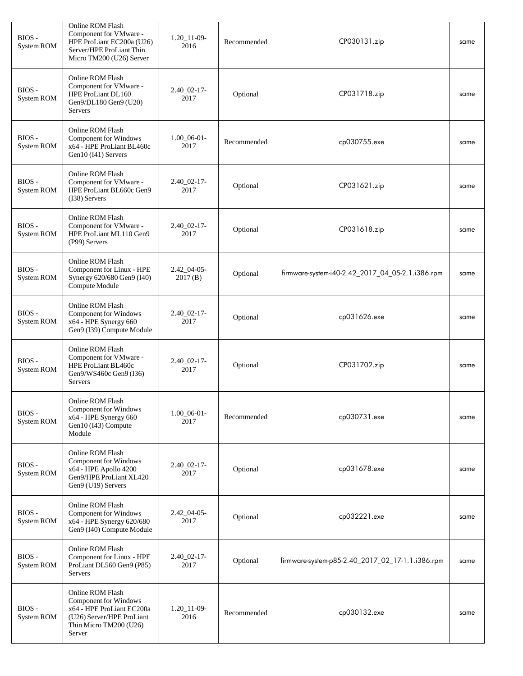| BIOS-<br>System ROM | Online ROM Flash<br>Component for VMware -<br>HPE ProLiant EC200a (U26)<br>Server/HPE ProLiant Thin<br>Micro TM200 (U26) Server         | $1.20\_11 - 09$ -<br>2016  | Recommended | CP030131.zip                                     | same |
|---------------------|-----------------------------------------------------------------------------------------------------------------------------------------|----------------------------|-------------|--------------------------------------------------|------|
| BIOS-<br>System ROM | Online ROM Flash<br>Component for VMware -<br>HPE ProLiant DL160<br>Gen9/DL180 Gen9 (U20)<br>Servers                                    | $2.40\_02-17-$<br>2017     | Optional    | CP031718.zip                                     | same |
| BIOS-<br>System ROM | Online ROM Flash<br><b>Component for Windows</b><br>x64 - HPE ProLiant BL460c<br>Gen10 (I41) Servers                                    | $1.00\_06-01-$<br>2017     | Recommended | cp030755.exe                                     | same |
| BIOS-<br>System ROM | Online ROM Flash<br>Component for VMware -<br>HPE ProLiant BL660c Gen9<br>$(138)$ Servers                                               | $2.40\_02-17$ -<br>2017    | Optional    | CP031621.zip                                     | same |
| BIOS-<br>System ROM | Online ROM Flash<br>Component for VMware -<br>HPE ProLiant ML110 Gen9<br>(P99) Servers                                                  | 2.40 02-17-<br>2017        | Optional    | CP031618.zip                                     | same |
| BIOS-<br>System ROM | Online ROM Flash<br>Component for Linux - HPE<br>Synergy 620/680 Gen9 (I40)<br>Compute Module                                           | $2.42\_04-05$ -<br>2017(B) | Optional    | firmware-system-i40-2.42_2017_04_05-2.1.i386.rpm | same |
| BIOS-<br>System ROM | Online ROM Flash<br><b>Component for Windows</b><br>x64 - HPE Synergy 660<br>Gen9 (I39) Compute Module                                  | $2.40\_02-17-$<br>2017     | Optional    | cp031626.exe                                     | same |
| BIOS-<br>System ROM | Online ROM Flash<br>Component for VMware -<br>HPE ProLiant BL460c<br>Gen9/WS460c Gen9 (I36)<br><b>Servers</b>                           | $2.40\_02-17-$<br>2017     | Optional    | CP031702.zip                                     | same |
| BIOS-<br>System ROM | Online ROM Flash<br>Component for Windows<br>x64 - HPE Synergy 660<br>Gen10 (I43) Compute<br>Module                                     | $1.00\_06-01-$<br>2017     | Recommended | cp030731.exe                                     | same |
| BIOS-<br>System ROM | Online ROM Flash<br><b>Component for Windows</b><br>x64 - HPE Apollo 4200<br>Gen9/HPE ProLiant XL420<br>Gen9 (U19) Servers              | $2.40\_02-17$ -<br>2017    | Optional    | cp031678.exe                                     | same |
| BIOS-<br>System ROM | Online ROM Flash<br><b>Component for Windows</b><br>x64 - HPE Synergy 620/680<br>Gen9 (I40) Compute Module                              | $2.42\_04-05$ -<br>2017    | Optional    | cp032221.exe                                     | same |
| BIOS-<br>System ROM | Online ROM Flash<br>Component for Linux - HPE<br>ProLiant DL560 Gen9 (P85)<br><b>Servers</b>                                            | $2.40\_02 - 17$<br>2017    | Optional    | firmware-system-p85-2.40_2017_02_17-1.1.i386.rpm | same |
| BIOS-<br>System ROM | Online ROM Flash<br>Component for Windows<br>x64 - HPE ProLiant EC200a<br>(U26) Server/HPE ProLiant<br>Thin Micro TM200 (U26)<br>Server | $1.20 - 11 - 09$<br>2016   | Recommended | cp030132.exe                                     | same |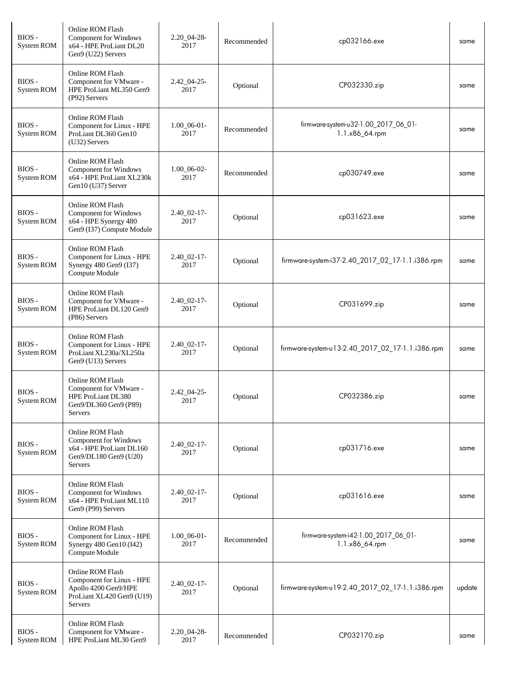| BIOS-<br>System ROM         | Online ROM Flash<br>Component for Windows<br>x64 - HPE ProLiant DL20<br>Gen9 (U22) Servers                    | $2.20\_04-28$ -<br>2017   | Recommended | cp032166.exe                                           | same   |
|-----------------------------|---------------------------------------------------------------------------------------------------------------|---------------------------|-------------|--------------------------------------------------------|--------|
| BIOS-<br>System ROM         | Online ROM Flash<br>Component for VMware -<br>HPE ProLiant ML350 Gen9<br>(P92) Servers                        | $2.42\_04 - 25 -$<br>2017 | Optional    | CP032330.zip                                           | same   |
| $BIOS -$<br>System ROM      | Online ROM Flash<br>Component for Linux - HPE<br>ProLiant DL360 Gen10<br>$(U32)$ Servers                      | $1.00\_06-01-$<br>2017    | Recommended | firmware-system-u32-1.00_2017_06_01-<br>1.1.x86_64.rpm | same   |
| BIOS-<br>System ROM         | Online ROM Flash<br><b>Component for Windows</b><br>x64 - HPE ProLiant XL230k<br>Gen10 (U37) Server           | $1.00\_06-02-$<br>2017    | Recommended | cp030749.exe                                           | same   |
| BIOS-<br>System ROM         | Online ROM Flash<br><b>Component for Windows</b><br>x64 - HPE Synergy 480<br>Gen9 (I37) Compute Module        | $2.40\_02-17$ -<br>2017   | Optional    | cp031623.exe                                           | same   |
| BIOS-<br>System ROM         | Online ROM Flash<br>Component for Linux - HPE<br>Synergy 480 Gen9 (I37)<br>Compute Module                     | $2.40\_02-17$ -<br>2017   | Optional    | firmware-system-i37-2.40_2017_02_17-1.1.i386.rpm       | same   |
| $BIOS -$<br>System ROM      | Online ROM Flash<br>Component for VMware -<br>HPE ProLiant DL120 Gen9<br>(P86) Servers                        | $2.40\_02-17-$<br>2017    | Optional    | CP031699.zip                                           | same   |
| BIOS-<br>System ROM         | Online ROM Flash<br>Component for Linux - HPE<br>ProLiant XL230a/XL250a<br>Gen9 (U13) Servers                 | $2.40\_02 - 17$ -<br>2017 | Optional    | firmware-system-u13-2.40_2017_02_17-1.1.i386.rpm       | same   |
| $\rm{BIOS}$ -<br>System ROM | Online ROM Flash<br>Component for VMware -<br>HPE ProLiant DL380<br>Gen9/DL360 Gen9 (P89)<br>Servers          | $2.42\_04 - 25$ -<br>2017 | Optional    | CP032386.zip                                           | same   |
| BIOS-<br>System ROM         | Online ROM Flash<br>Component for Windows<br>x64 - HPE ProLiant DL160<br>Gen9/DL180 Gen9 (U20)<br>Servers     | 2.40 02-17-<br>2017       | Optional    | cp031716.exe                                           | same   |
| BIOS-<br>System ROM         | Online ROM Flash<br>Component for Windows<br>x64 - HPE ProLiant ML110<br>Gen9 (P99) Servers                   | $2.40\_02-17$ -<br>2017   | Optional    | cp031616.exe                                           | same   |
| BIOS-<br>System ROM         | Online ROM Flash<br>Component for Linux - HPE<br>Synergy 480 Gen10 (I42)<br>Compute Module                    | $1.00\_06-01-$<br>2017    | Recommended | firmware-system-i42-1.00_2017_06_01-<br>1.1.x86_64.rpm | same   |
| BIOS-<br>System ROM         | Online ROM Flash<br>Component for Linux - HPE<br>Apollo 4200 Gen9/HPE<br>ProLiant XL420 Gen9 (U19)<br>Servers | $2.40\_02-17$ -<br>2017   | Optional    | firmware-system-u19-2.40_2017_02_17-1.1.i386.rpm       | update |
| BIOS-<br>System ROM         | Online ROM Flash<br>Component for VMware -<br>HPE ProLiant ML30 Gen9                                          | $2.20\_04-28$ -<br>2017   | Recommended | CP032170.zip                                           | same   |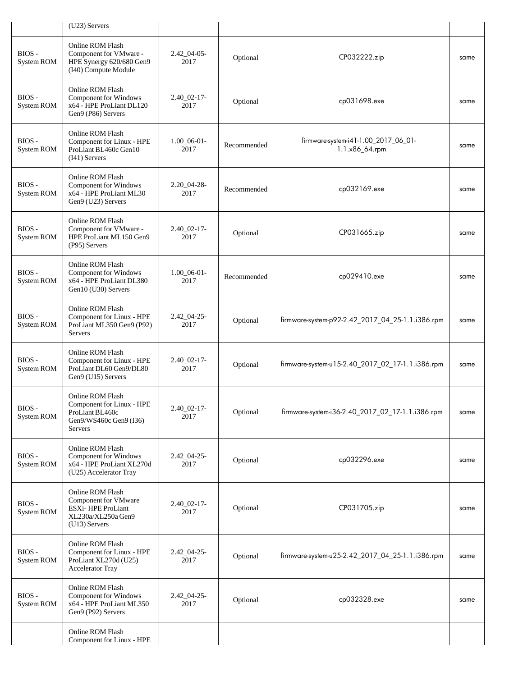|                            | (U23) Servers                                                                                                |                           |             |                                                        |      |
|----------------------------|--------------------------------------------------------------------------------------------------------------|---------------------------|-------------|--------------------------------------------------------|------|
| $BIOS -$<br>System ROM     | Online ROM Flash<br>Component for VMware -<br>HPE Synergy 620/680 Gen9<br>(I40) Compute Module               | $2.42\_04-05$ -<br>2017   | Optional    | CP032222.zip                                           | same |
| $BIOS -$<br>System ROM     | Online ROM Flash<br><b>Component for Windows</b><br>x64 - HPE ProLiant DL120<br>Gen9 (P86) Servers           | $2.40\_02-17-$<br>2017    | Optional    | cp031698.exe                                           | same |
| BIOS-<br>System ROM        | Online ROM Flash<br>Component for Linux - HPE<br>ProLiant BL460c Gen10<br>$(I41)$ Servers                    | $1.00\_06-01-$<br>2017    | Recommended | firmware-system-i41-1.00_2017_06_01-<br>1.1.x86_64.rpm | same |
| BIOS-<br>System ROM        | Online ROM Flash<br><b>Component for Windows</b><br>x64 - HPE ProLiant ML30<br>Gen9 (U23) Servers            | $2.20\_04-28$ -<br>2017   | Recommended | cp032169.exe                                           | same |
| BIOS-<br><b>System ROM</b> | Online ROM Flash<br>Component for VMware -<br>HPE ProLiant ML150 Gen9<br>(P95) Servers                       | 2.40 02-17-<br>2017       | Optional    | CP031665.zip                                           | same |
| $BIOS -$<br>System ROM     | Online ROM Flash<br>Component for Windows<br>x64 - HPE ProLiant DL380<br>Gen10 (U30) Servers                 | $1.00\_06-01-$<br>2017    | Recommended | cp029410.exe                                           | same |
| BIOS-<br>System ROM        | Online ROM Flash<br>Component for Linux - HPE<br>ProLiant ML350 Gen9 (P92)<br><b>Servers</b>                 | $2.42\_04-25-$<br>2017    | Optional    | firmware-system-p92-2.42_2017_04_25-1.1.i386.rpm       | same |
| BIOS-<br>System ROM        | Online ROM Flash<br>Component for Linux - HPE<br>ProLiant DL60 Gen9/DL80<br>Gen9 (U15) Servers               | 2.40 02-17-<br>2017       | Optional    | firmware-system-u15-2.40_2017_02_17-1.1.i386.rpm       | same |
| BIOS-<br>System ROM        | Online ROM Flash<br>Component for Linux - HPE<br>ProLiant BL460c<br>Gen9/WS460c Gen9 (I36)<br><b>Servers</b> | $2.40\_02-17-$<br>2017    | Optional    | firmware-system-i36-2.40_2017_02_17-1.1.i386.rpm       | same |
| BIOS-<br>System ROM        | Online ROM Flash<br>Component for Windows<br>x64 - HPE ProLiant XL270d<br>(U25) Accelerator Tray             | $2.42\_04 - 25$ -<br>2017 | Optional    | cp032296.exe                                           | same |
| BIOS-<br>System ROM        | Online ROM Flash<br>Component for VMware<br>ESXi-HPE ProLiant<br>XL230a/XL250a Gen9<br>$(U13)$ Servers       | $2.40\_02-17$ -<br>2017   | Optional    | CP031705.zip                                           | same |
| BIOS-<br>System ROM        | Online ROM Flash<br>Component for Linux - HPE<br>ProLiant XL270d (U25)<br>Accelerator Tray                   | $2.42\_04-25$ -<br>2017   | Optional    | firmware-system-u25-2.42_2017_04_25-1.1.i386.rpm       | same |
| BIOS-<br>System ROM        | Online ROM Flash<br>Component for Windows<br>x64 - HPE ProLiant ML350<br>Gen9 (P92) Servers                  | $2.42\_04 - 25$ -<br>2017 | Optional    | cp032328.exe                                           | same |
|                            | Online ROM Flash<br>Component for Linux - HPE                                                                |                           |             |                                                        |      |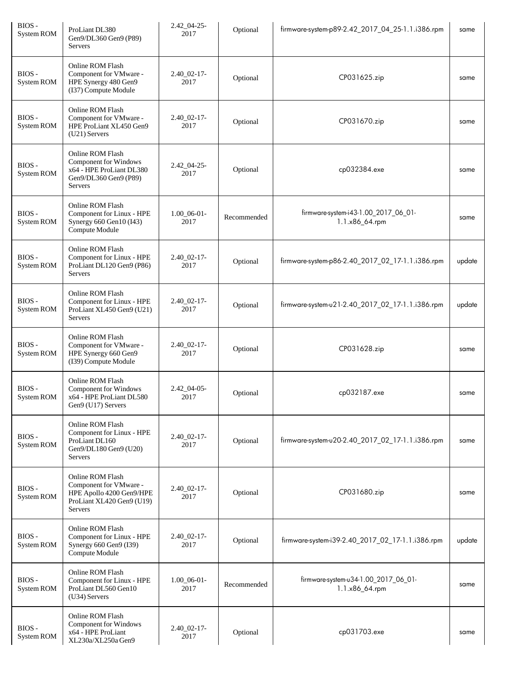| BIOS-<br>System ROM | ProLiant DL380<br>Gen9/DL360 Gen9 (P89)<br>Servers                                                             | $2.42\_04 - 25$ -<br>2017 | Optional    | firmware-system-p89-2.42_2017_04_25-1.1.i386.rpm       | same   |
|---------------------|----------------------------------------------------------------------------------------------------------------|---------------------------|-------------|--------------------------------------------------------|--------|
| BIOS-<br>System ROM | Online ROM Flash<br>Component for VMware -<br>HPE Synergy 480 Gen9<br>(I37) Compute Module                     | $2.40\_02-17$ -<br>2017   | Optional    | CP031625.zip                                           | same   |
| BIOS-<br>System ROM | Online ROM Flash<br>Component for VMware -<br>HPE ProLiant XL450 Gen9<br>$(U21)$ Servers                       | $2.40\_02 - 17$ -<br>2017 | Optional    | CP031670.zip                                           | same   |
| BIOS-<br>System ROM | Online ROM Flash<br>Component for Windows<br>x64 - HPE ProLiant DL380<br>Gen9/DL360 Gen9 (P89)<br>Servers      | $2.42\_04 - 25$<br>2017   | Optional    | cp032384.exe                                           | same   |
| BIOS-<br>System ROM | Online ROM Flash<br>Component for Linux - HPE<br>Synergy 660 Gen10 (I43)<br>Compute Module                     | $1.00$ 06-01-<br>2017     | Recommended | firmware-system-i43-1.00_2017_06_01-<br>1.1.x86_64.rpm | same   |
| BIOS-<br>System ROM | Online ROM Flash<br>Component for Linux - HPE<br>ProLiant DL120 Gen9 (P86)<br>Servers                          | 2.40 02-17-<br>2017       | Optional    | firmware-system-p86-2.40_2017_02_17-1.1.i386.rpm       | update |
| BIOS-<br>System ROM | Online ROM Flash<br>Component for Linux - HPE<br>ProLiant XL450 Gen9 (U21)<br>Servers                          | $2.40\_02-17-$<br>2017    | Optional    | firmware-system-u21-2.40_2017_02_17-1.1.i386.rpm       | update |
| BIOS-<br>System ROM | Online ROM Flash<br>Component for VMware -<br>HPE Synergy 660 Gen9<br>(I39) Compute Module                     | $2.40\_02-17-$<br>2017    | Optional    | CP031628.zip                                           | same   |
| BIOS-<br>System ROM | Online ROM Flash<br>Component for Windows<br>x64 - HPE ProLiant DL580<br>Gen9 (U17) Servers                    | 2.42_04-05-<br>2017       | Optional    | cp032187.exe                                           | same   |
| BIOS-<br>System ROM | Online ROM Flash<br>Component for Linux - HPE<br>ProLiant DL160<br>Gen9/DL180 Gen9 (U20)<br>Servers            | $2.40\_02-17-$<br>2017    | Optional    | firmware-system-u20-2.40_2017_02_17-1.1.i386.rpm       | same   |
| BIOS-<br>System ROM | Online ROM Flash<br>Component for VMware -<br>HPE Apollo 4200 Gen9/HPE<br>ProLiant XL420 Gen9 (U19)<br>Servers | $2.40\_02-17$ -<br>2017   | Optional    | CP031680.zip                                           | same   |
| BIOS-<br>System ROM | Online ROM Flash<br>Component for Linux - HPE<br>Synergy 660 Gen9 (I39)<br>Compute Module                      | $2.40\_02 - 17$ -<br>2017 | Optional    | firmware-system-i39-2.40_2017_02_17-1.1.i386.rpm       | update |
| BIOS-<br>System ROM | Online ROM Flash<br>Component for Linux - HPE<br>ProLiant DL560 Gen10<br>$(U34)$ Servers                       | $1.00\_06-01-$<br>2017    | Recommended | firmware-system-u34-1.00_2017_06_01-<br>1.1.x86_64.rpm | same   |
| BIOS-<br>System ROM | Online ROM Flash<br>Component for Windows<br>x64 - HPE ProLiant<br>XL230a/XL250a Gen9                          | $2.40\_02-17-$<br>2017    | Optional    | cp031703.exe                                           | same   |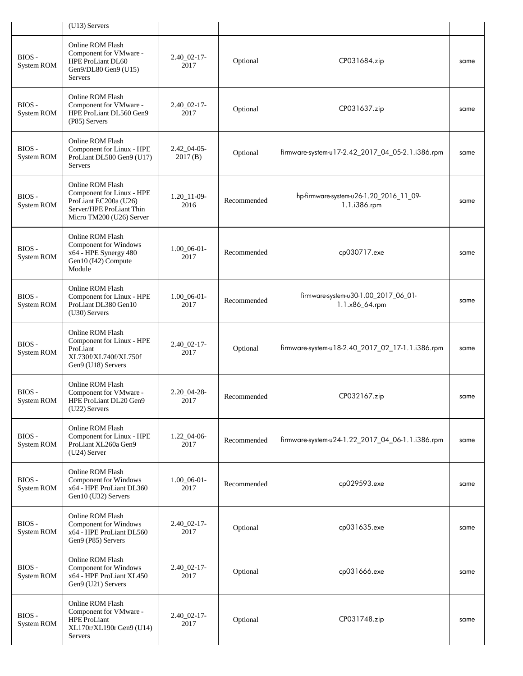|                     | (U13) Servers                                                                                                                  |                            |             |                                                         |      |
|---------------------|--------------------------------------------------------------------------------------------------------------------------------|----------------------------|-------------|---------------------------------------------------------|------|
| BIOS-<br>System ROM | Online ROM Flash<br>Component for VMware -<br>HPE ProLiant DL60<br>Gen9/DL80 Gen9 (U15)<br>Servers                             | $2.40\_02-17-$<br>2017     | Optional    | CP031684.zip                                            | same |
| BIOS-<br>System ROM | Online ROM Flash<br>Component for VMware -<br>HPE ProLiant DL560 Gen9<br>(P85) Servers                                         | $2.40\_02-17-$<br>2017     | Optional    | CP031637.zip                                            | same |
| BIOS-<br>System ROM | Online ROM Flash<br>Component for Linux - HPE<br>ProLiant DL580 Gen9 (U17)<br>Servers                                          | $2.42\_04-05$ -<br>2017(B) | Optional    | firmware-system-u17-2.42_2017_04_05-2.1.i386.rpm        | same |
| BIOS-<br>System ROM | Online ROM Flash<br>Component for Linux - HPE<br>ProLiant EC200a (U26)<br>Server/HPE ProLiant Thin<br>Micro TM200 (U26) Server | $1.20 - 11 - 09$<br>2016   | Recommended | hp-firmware-system-u26-1.20_2016_11_09-<br>1.1.i386.rpm | same |
| BIOS-<br>System ROM | Online ROM Flash<br>Component for Windows<br>x64 - HPE Synergy 480<br>Gen10 (I42) Compute<br>Module                            | $1.00\_06-01-$<br>2017     | Recommended | cp030717.exe                                            | same |
| BIOS-<br>System ROM | Online ROM Flash<br>Component for Linux - HPE<br>ProLiant DL380 Gen10<br>(U30) Servers                                         | $1.00\_06-01-$<br>2017     | Recommended | firmware-system-u30-1.00_2017_06_01-<br>1.1.x86_64.rpm  | same |
| BIOS-<br>System ROM | Online ROM Flash<br>Component for Linux - HPE<br>ProLiant<br>XL730f/XL740f/XL750f<br>Gen9 (U18) Servers                        | $2.40\_02-17-$<br>2017     | Optional    | firmware-system-u18-2.40_2017_02_17-1.1.i386.rpm        | same |
| BIOS-<br>System ROM | Online ROM Flash<br>Component for VMware -<br>HPE ProLiant DL20 Gen9<br>(U22) Servers                                          | $2.20\_04-28-$<br>2017     | Recommended | CP032167.zip                                            | same |
| BIOS-<br>System ROM | Online ROM Flash<br>Component for Linux - HPE<br>ProLiant XL260a Gen9<br>$(U24)$ Server                                        | $1.22\_04-06$<br>2017      | Recommended | firmware-system-u24-1.22_2017_04_06-1.1.i386.rpm        | same |
| BIOS-<br>System ROM | Online ROM Flash<br><b>Component for Windows</b><br>x64 - HPE ProLiant DL360<br>Gen10 (U32) Servers                            | $1.00\_06-01-$<br>2017     | Recommended | cp029593.exe                                            | same |
| BIOS-<br>System ROM | Online ROM Flash<br>Component for Windows<br>x64 - HPE ProLiant DL560<br>Gen9 (P85) Servers                                    | $2.40\_02-17-$<br>2017     | Optional    | cp031635.exe                                            | same |
| BIOS-<br>System ROM | Online ROM Flash<br>Component for Windows<br>x64 - HPE ProLiant XL450<br>Gen9 (U21) Servers                                    | $2.40\_02-17-$<br>2017     | Optional    | cp031666.exe                                            | same |
| BIOS-<br>System ROM | Online ROM Flash<br>Component for VMware -<br><b>HPE ProLiant</b><br>XL170r/XL190r Gen9 (U14)<br>Servers                       | $2.40\_02-17-$<br>2017     | Optional    | CP031748.zip                                            | same |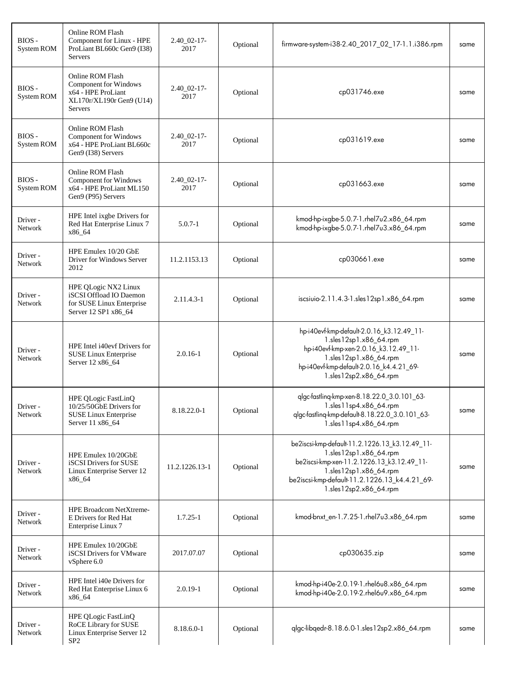| BIOS-<br>System ROM | Online ROM Flash<br>Component for Linux - HPE<br>ProLiant BL660c Gen9 (I38)<br><b>Servers</b>                        | $2.40\_02-17-$<br>2017  | Optional | firmware-system-i38-2.40_2017_02_17-1.1.i386.rpm                                                                                                                                                                            | same |
|---------------------|----------------------------------------------------------------------------------------------------------------------|-------------------------|----------|-----------------------------------------------------------------------------------------------------------------------------------------------------------------------------------------------------------------------------|------|
| BIOS-<br>System ROM | Online ROM Flash<br><b>Component for Windows</b><br>x64 - HPE ProLiant<br>XL170r/XL190r Gen9 (U14)<br><b>Servers</b> | $2.40\_02-17-$<br>2017  | Optional | cp031746.exe                                                                                                                                                                                                                | same |
| BIOS-<br>System ROM | Online ROM Flash<br>Component for Windows<br>x64 - HPE ProLiant BL660c<br>Gen9 (I38) Servers                         | $2.40\_02-17$ -<br>2017 | Optional | cp031619.exe                                                                                                                                                                                                                | same |
| BIOS-<br>System ROM | Online ROM Flash<br>Component for Windows<br>x64 - HPE ProLiant ML150<br>Gen9 (P95) Servers                          | $2.40\_02-17-$<br>2017  | Optional | cp031663.exe                                                                                                                                                                                                                | same |
| Driver-<br>Network  | HPE Intel ixgbe Drivers for<br>Red Hat Enterprise Linux 7<br>x86_64                                                  | $5.0.7 - 1$             | Optional | kmod-hp-ixgbe-5.0.7-1.rhel7u2.x86_64.rpm<br>kmod-hp-ixgbe-5.0.7-1.rhel7u3.x86_64.rpm                                                                                                                                        | same |
| Driver-<br>Network  | HPE Emulex 10/20 GbE<br>Driver for Windows Server<br>2012                                                            | 11.2.1153.13            | Optional | cp030661.exe                                                                                                                                                                                                                | same |
| Driver-<br>Network  | HPE QLogic NX2 Linux<br>iSCSI Offload IO Daemon<br>for SUSE Linux Enterprise<br>Server 12 SP1 x86_64                 | 2.11.4.3-1              | Optional | iscsiuio-2.11.4.3-1.sles12sp1.x86_64.rpm                                                                                                                                                                                    | same |
| Driver -<br>Network | HPE Intel i40evf Drivers for<br>SUSE Linux Enterprise<br>Server 12 x86_64                                            | $2.0.16 - 1$            | Optional | hp-i40evf-kmp-default-2.0.16_k3.12.49_11-<br>1.sles12sp1.x86_64.rpm<br>hp-i40evf-kmp-xen-2.0.16_k3.12.49_11-<br>1.sles12sp1.x86_64.rpm<br>hp-i40evf-kmp-default-2.0.16_k4.4.21_69-<br>1.sles12sp2.x86_64.rpm                | same |
| Driver-<br>Network  | HPE QLogic FastLinQ<br>10/25/50GbE Drivers for<br>SUSE Linux Enterprise<br>Server 11 x86_64                          | 8.18.22.0-1             | Optional | qlgc-fastling-kmp-xen-8.18.22.0_3.0.101_63-<br>1.sles11sp4.x86_64.rpm<br>qlgc-fastling-kmp-default-8.18.22.0_3.0.101_63-<br>1.sles11sp4.x86_64.rpm                                                                          | same |
| Driver -<br>Network | HPE Emulex 10/20GbE<br>iSCSI Drivers for SUSE<br>Linux Enterprise Server 12<br>x86_64                                | 11.2.1226.13-1          | Optional | be2iscsi-kmp-default-11.2.1226.13_k3.12.49_11-<br>1.sles12sp1.x86_64.rpm<br>be2iscsi-kmp-xen-11.2.1226.13_k3.12.49_11-<br>1.sles12sp1.x86_64.rpm<br>be2iscsi-kmp-default-11.2.1226.13_k4.4.21_69-<br>1.sles12sp2.x86_64.rpm | same |
| Driver -<br>Network | <b>HPE Broadcom NetXtreme-</b><br>E Drivers for Red Hat<br>Enterprise Linux 7                                        | $1.7.25 - 1$            | Optional | kmod-bnxt_en-1.7.25-1.rhel7u3.x86_64.rpm                                                                                                                                                                                    | same |
| Driver -<br>Network | HPE Emulex 10/20GbE<br>iSCSI Drivers for VMware<br>vSphere 6.0                                                       | 2017.07.07              | Optional | cp030635.zip                                                                                                                                                                                                                | same |
| Driver -<br>Network | HPE Intel i40e Drivers for<br>Red Hat Enterprise Linux 6<br>x86_64                                                   | $2.0.19 - 1$            | Optional | kmod-hp-i40e-2.0.19-1.rhel6u8.x86_64.rpm<br>kmod-hp-i40e-2.0.19-2.rhel6u9.x86_64.rpm                                                                                                                                        | same |
| Driver-<br>Network  | HPE QLogic FastLinQ<br>RoCE Library for SUSE<br>Linux Enterprise Server 12<br>SP <sub>2</sub>                        | 8.18.6.0-1              | Optional | qlgc-libqedr-8.18.6.0-1.sles12sp2.x86_64.rpm                                                                                                                                                                                | same |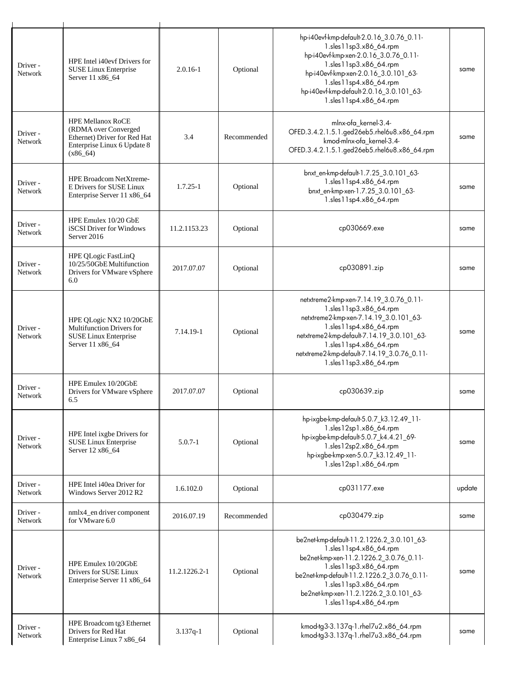| Driver -<br>Network | HPE Intel i40evf Drivers for<br>SUSE Linux Enterprise<br>Server 11 x86 64                                                     | $2.0.16 - 1$  | Optional    | hp-i40evf-kmp-default-2.0.16_3.0.76_0.11-<br>1.sles11sp3.x86_64.rpm<br>hp-i40evf-kmp-xen-2.0.16_3.0.76_0.11-<br>1.sles11sp3.x86_64.rpm<br>hp-i40evf-kmp-xen-2.0.16_3.0.101_63-<br>1.sles11sp4.x86_64.rpm<br>hp-i40evf-kmp-default-2.0.16_3.0.101_63-<br>1.sles11sp4.x86_64.rpm         | same   |
|---------------------|-------------------------------------------------------------------------------------------------------------------------------|---------------|-------------|----------------------------------------------------------------------------------------------------------------------------------------------------------------------------------------------------------------------------------------------------------------------------------------|--------|
| Driver -<br>Network | <b>HPE Mellanox RoCE</b><br>(RDMA over Converged<br>Ethernet) Driver for Red Hat<br>Enterprise Linux 6 Update 8<br>$(x86_64)$ | 3.4           | Recommended | mlnx-ofa_kernel-3.4-<br>OFED.3.4.2.1.5.1.ged26eb5.rhel6u8.x86_64.rpm<br>kmod-mlnx-ofa_kernel-3.4-<br>OFED.3.4.2.1.5.1.ged26eb5.rhel6u8.x86_64.rpm                                                                                                                                      | same   |
| Driver-<br>Network  | <b>HPE Broadcom NetXtreme-</b><br>E Drivers for SUSE Linux<br>Enterprise Server 11 x86_64                                     | $1.7.25 - 1$  | Optional    | bnxt_en-kmp-default-1.7.25_3.0.101_63-<br>1.sles11sp4.x86_64.rpm<br>bnxt_en-kmp-xen-1.7.25_3.0.101_63-<br>1.sles11sp4.x86_64.rpm                                                                                                                                                       | same   |
| Driver -<br>Network | HPE Emulex 10/20 GbE<br>iSCSI Driver for Windows<br>Server 2016                                                               | 11.2.1153.23  | Optional    | cp030669.exe                                                                                                                                                                                                                                                                           | same   |
| Driver-<br>Network  | HPE QLogic FastLinQ<br>10/25/50GbE Multifunction<br>Drivers for VMware vSphere<br>6.0                                         | 2017.07.07    | Optional    | cp030891.zip                                                                                                                                                                                                                                                                           | same   |
| Driver-<br>Network  | HPE QLogic NX2 10/20GbE<br><b>Multifunction Drivers for</b><br><b>SUSE Linux Enterprise</b><br>Server 11 x86_64               | 7.14.19-1     | Optional    | netxtreme2-kmp-xen-7.14.19_3.0.76_0.11-<br>1.sles11sp3.x86_64.rpm<br>netxtreme2-kmp-xen-7.14.19_3.0.101_63-<br>1.sles11sp4.x86_64.rpm<br>netxtreme2-kmp-default-7.14.19_3.0.101_63-<br>1.sles11sp4.x86_64.rpm<br>netxtreme2-kmp-default-7.14.19_3.0.76_0.11-<br>1.sles11sp3.x86_64.rpm | same   |
| Driver-<br>Network  | HPE Emulex 10/20GbE<br>Drivers for VMware vSphere<br>6.5                                                                      | 2017.07.07    | Optional    | cp030639.zip                                                                                                                                                                                                                                                                           | same   |
| Driver -<br>Network | HPE Intel ixgbe Drivers for<br><b>SUSE Linux Enterprise</b><br>Server 12 x86_64                                               | $5.0.7 - 1$   | Optional    | hp-ixgbe-kmp-default-5.0.7_k3.12.49_11-<br>1.sles12sp1.x86_64.rpm<br>hp-ixgbe-kmp-default-5.0.7_k4.4.21_69-<br>1.sles12sp2.x86_64.rpm<br>hp-ixgbe-kmp-xen-5.0.7_k3.12.49_11-<br>1.sles12sp1.x86_64.rpm                                                                                 | same   |
| Driver -<br>Network | HPE Intel i40ea Driver for<br>Windows Server 2012 R2                                                                          | 1.6.102.0     | Optional    | cp031177.exe                                                                                                                                                                                                                                                                           | update |
| Driver -<br>Network | nmlx4_en driver component<br>for VMware 6.0                                                                                   | 2016.07.19    | Recommended | cp030479.zip                                                                                                                                                                                                                                                                           | same   |
| Driver -<br>Network | HPE Emulex 10/20GbE<br>Drivers for SUSE Linux<br>Enterprise Server 11 x86_64                                                  | 11.2.1226.2-1 | Optional    | be2net-kmp-default-11.2.1226.2_3.0.101_63-<br>1.sles11sp4.x86_64.rpm<br>be2net-kmp-xen-11.2.1226.2_3.0.76_0.11-<br>1.sles11sp3.x86_64.rpm<br>be2net-kmp-default-11.2.1226.2_3.0.76_0.11-<br>1.sles11sp3.x86_64.rpm<br>be2net-kmp-xen-11.2.1226.2_3.0.101_63-<br>1.sles11sp4.x86_64.rpm | same   |
| Driver -<br>Network | HPE Broadcom tg3 Ethernet<br>Drivers for Red Hat<br>Enterprise Linux 7 x86_64                                                 | $3.137q-1$    | Optional    | kmod-tg3-3.137q-1.rhel7u2.x86_64.rpm<br>kmod-tg3-3.137q-1.rhel7u3.x86_64.rpm                                                                                                                                                                                                           | same   |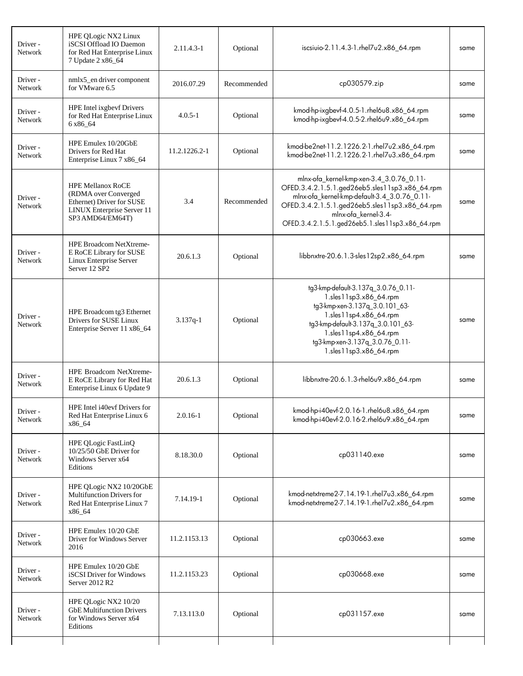| Driver -<br><b>Network</b> | HPE QLogic NX2 Linux<br>iSCSI Offload IO Daemon<br>for Red Hat Enterprise Linux<br>7 Update 2 x86_64                                   | 2.11.4.3-1    | Optional    | iscsiuio-2.11.4.3-1.rhel7u2.x86_64.rpm                                                                                                                                                                                                                                   | same |
|----------------------------|----------------------------------------------------------------------------------------------------------------------------------------|---------------|-------------|--------------------------------------------------------------------------------------------------------------------------------------------------------------------------------------------------------------------------------------------------------------------------|------|
| Driver -<br>Network        | nmlx5_en driver component<br>for VMware 6.5                                                                                            | 2016.07.29    | Recommended | cp030579.zip                                                                                                                                                                                                                                                             | same |
| Driver -<br>Network        | HPE Intel ixgbevf Drivers<br>for Red Hat Enterprise Linux<br>6 x 86 64                                                                 | $4.0.5 - 1$   | Optional    | kmod-hp-ixgbevf-4.0.5-1.rhel6u8.x86_64.rpm<br>kmod-hp-ixgbevf-4.0.5-2.rhel6u9.x86_64.rpm                                                                                                                                                                                 | same |
| Driver -<br>Network        | HPE Emulex 10/20GbE<br>Drivers for Red Hat<br>Enterprise Linux 7 x86_64                                                                | 11.2.1226.2-1 | Optional    | kmod-be2net-11.2.1226.2-1.rhel7u2.x86_64.rpm<br>kmod-be2net-11.2.1226.2-1.rhel7u3.x86_64.rpm                                                                                                                                                                             | same |
| Driver -<br>Network        | <b>HPE Mellanox RoCE</b><br>(RDMA over Converged<br>Ethernet) Driver for SUSE<br><b>LINUX Enterprise Server 11</b><br>SP3 AMD64/EM64T) | 3.4           | Recommended | mlnx-ofa_kernel-kmp-xen-3.4_3.0.76_0.11-<br>OFED.3.4.2.1.5.1.ged26eb5.sles11sp3.x86_64.rpm<br>mlnx-ofa_kernel-kmp-default-3.4_3.0.76_0.11-<br>OFED.3.4.2.1.5.1.ged26eb5.sles11sp3.x86_64.rpm<br>mlnx-ofa kernel-3.4-<br>OFED.3.4.2.1.5.1.ged26eb5.1.sles11sp3.x86_64.rpm | same |
| Driver-<br>Network         | <b>HPE Broadcom NetXtreme-</b><br>E RoCE Library for SUSE<br>Linux Enterprise Server<br>Server 12 SP2                                  | 20.6.1.3      | Optional    | libbnxtre-20.6.1.3-sles12sp2.x86_64.rpm                                                                                                                                                                                                                                  | same |
| Driver -<br>Network        | HPE Broadcom tg3 Ethernet<br>Drivers for SUSE Linux<br>Enterprise Server 11 x86_64                                                     | $3.137q-1$    | Optional    | tg3-kmp-default-3.137q_3.0.76_0.11-<br>1.sles11sp3.x86_64.rpm<br>tg3-kmp-xen-3.137q_3.0.101_63-<br>1.sles11sp4.x86_64.rpm<br>tg3-kmp-default-3.137q_3.0.101_63-<br>1.sles11sp4.x86_64.rpm<br>tg3-kmp-xen-3.137q_3.0.76_0.11-<br>1.sles11sp3.x86_64.rpm                   | same |
| Driver-<br>Network         | <b>HPE Broadcom NetXtreme-</b><br>E RoCE Library for Red Hat<br>Enterprise Linux 6 Update 9                                            | 20.6.1.3      | Optional    | libbnxtre-20.6.1.3-rhel6u9.x86_64.rpm                                                                                                                                                                                                                                    | same |
| Driver-<br>Network         | HPE Intel i40evf Drivers for<br>Red Hat Enterprise Linux 6<br>x86 64                                                                   | $2.0.16 - 1$  | Optional    | kmod-hp-i40evf-2.0.16-1.rhel6u8.x86 64.rpm<br>kmod-hp-i40evf-2.0.16-2.rhel6u9.x86_64.rpm                                                                                                                                                                                 | same |
| Driver -<br>Network        | HPE QLogic FastLinQ<br>10/25/50 GbE Driver for<br>Windows Server x64<br>Editions                                                       | 8.18.30.0     | Optional    | cp031140.exe                                                                                                                                                                                                                                                             | same |
| Driver -<br>Network        | HPE QLogic NX2 10/20GbE<br><b>Multifunction Drivers for</b><br>Red Hat Enterprise Linux 7<br>x86_64                                    | 7.14.19-1     | Optional    | kmod-netxtreme2-7.14.19-1.rhel7u3.x86_64.rpm<br>kmod-netxtreme2-7.14.19-1.rhel7u2.x86_64.rpm                                                                                                                                                                             | same |
| Driver -<br>Network        | HPE Emulex 10/20 GbE<br>Driver for Windows Server<br>2016                                                                              | 11.2.1153.13  | Optional    | cp030663.exe                                                                                                                                                                                                                                                             | same |
| Driver -<br>Network        | HPE Emulex 10/20 GbE<br>iSCSI Driver for Windows<br>Server 2012 R2                                                                     | 11.2.1153.23  | Optional    | cp030668.exe                                                                                                                                                                                                                                                             | same |
| Driver -<br>Network        | HPE QLogic NX2 10/20<br><b>GbE Multifunction Drivers</b><br>for Windows Server x64<br>Editions                                         | 7.13.113.0    | Optional    | cp031157.exe                                                                                                                                                                                                                                                             | same |
|                            |                                                                                                                                        |               |             |                                                                                                                                                                                                                                                                          |      |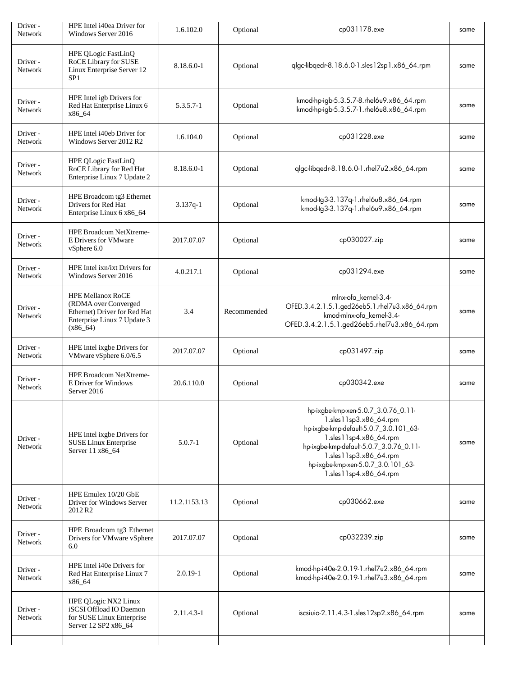| Driver-<br>Network         | HPE Intel i40ea Driver for<br>Windows Server 2016                                                                             | 1.6.102.0    | Optional    | cp031178.exe                                                                                                                                                                                                                                                           | same |
|----------------------------|-------------------------------------------------------------------------------------------------------------------------------|--------------|-------------|------------------------------------------------------------------------------------------------------------------------------------------------------------------------------------------------------------------------------------------------------------------------|------|
| Driver -<br>Network        | HPE QLogic FastLinQ<br>RoCE Library for SUSE<br>Linux Enterprise Server 12<br>SP <sub>1</sub>                                 | 8.18.6.0-1   | Optional    | qlgc-libqedr-8.18.6.0-1.sles12sp1.x86_64.rpm                                                                                                                                                                                                                           | same |
| Driver-<br>Network         | HPE Intel igb Drivers for<br>Red Hat Enterprise Linux 6<br>x86 64                                                             | 5.3.5.7-1    | Optional    | kmod-hp-igb-5.3.5.7-8.rhel6u9.x86_64.rpm<br>kmod-hp-igb-5.3.5.7-1.rhel6u8.x86_64.rpm                                                                                                                                                                                   | same |
| Driver -<br>Network        | HPE Intel i40eb Driver for<br>Windows Server 2012 R2                                                                          | 1.6.104.0    | Optional    | cp031228.exe                                                                                                                                                                                                                                                           | same |
| Driver -<br>Network        | HPE QLogic FastLinQ<br>RoCE Library for Red Hat<br>Enterprise Linux 7 Update 2                                                | 8.18.6.0-1   | Optional    | qlgc-libqedr-8.18.6.0-1.rhel7u2.x86_64.rpm                                                                                                                                                                                                                             | same |
| Driver -<br><b>Network</b> | HPE Broadcom tg3 Ethernet<br>Drivers for Red Hat<br>Enterprise Linux 6 x86_64                                                 | $3.137q-1$   | Optional    | kmod-tg3-3.137q-1.rhel6u8.x86_64.rpm<br>kmod-tg3-3.137q-1.rhel6u9.x86_64.rpm                                                                                                                                                                                           | same |
| Driver -<br>Network        | HPE Broadcom NetXtreme-<br>E Drivers for VMware<br>vSphere 6.0                                                                | 2017.07.07   | Optional    | cp030027.zip                                                                                                                                                                                                                                                           | same |
| Driver-<br>Network         | HPE Intel ixn/ixt Drivers for<br>Windows Server 2016                                                                          | 4.0.217.1    | Optional    | cp031294.exe                                                                                                                                                                                                                                                           | same |
| Driver -<br>Network        | <b>HPE Mellanox RoCE</b><br>(RDMA over Converged<br>Ethernet) Driver for Red Hat<br>Enterprise Linux 7 Update 3<br>$(x86_64)$ | 3.4          | Recommended | mlnx-ofa_kernel-3.4-<br>OFED.3.4.2.1.5.1.ged26eb5.1.rhel7u3.x86_64.rpm<br>kmod-mlnx-ofa_kernel-3.4-<br>OFED.3.4.2.1.5.1.ged26eb5.rhel7u3.x86_64.rpm                                                                                                                    | same |
| Driver-<br>Network         | HPE Intel ixgbe Drivers for<br>VMware vSphere 6.0/6.5                                                                         | 2017.07.07   | Optional    | cp031497.zip                                                                                                                                                                                                                                                           | same |
| Driver -<br>Network        | HPE Broadcom NetXtreme-<br>E Driver for Windows<br>Server 2016                                                                | 20.6.110.0   | Optional    | cp030342.exe                                                                                                                                                                                                                                                           | same |
| Driver-<br>Network         | HPE Intel ixgbe Drivers for<br>SUSE Linux Enterprise<br>Server 11 x86_64                                                      | $5.0.7 - 1$  | Optional    | hp-ixgbe-kmp-xen-5.0.7_3.0.76_0.11-<br>1.sles11sp3.x86_64.rpm<br>hp-ixgbe-kmp-default-5.0.7_3.0.101_63-<br>1.sles11sp4.x86_64.rpm<br>hp-ixgbe-kmp-default-5.0.7_3.0.76_0.11-<br>1.sles11sp3.x86_64.rpm<br>hp-ixgbe-kmp-xen-5.0.7_3.0.101_63-<br>1.sles11sp4.x86 64.rpm | same |
| Driver-<br>Network         | HPE Emulex 10/20 GbE<br>Driver for Windows Server<br>2012 R <sub>2</sub>                                                      | 11.2.1153.13 | Optional    | cp030662.exe                                                                                                                                                                                                                                                           | same |
| Driver-<br>Network         | HPE Broadcom tg3 Ethernet<br>Drivers for VMware vSphere<br>6.0                                                                | 2017.07.07   | Optional    | cp032239.zip                                                                                                                                                                                                                                                           | same |
| Driver-<br>Network         | HPE Intel i40e Drivers for<br>Red Hat Enterprise Linux 7<br>x86_64                                                            | $2.0.19 - 1$ | Optional    | kmod-hp-i40e-2.0.19-1.rhel7u2.x86_64.rpm<br>kmod-hp-i40e-2.0.19-1.rhel7u3.x86_64.rpm                                                                                                                                                                                   | same |
| Driver -<br>Network        | HPE QLogic NX2 Linux<br>iSCSI Offload IO Daemon<br>for SUSE Linux Enterprise<br>Server 12 SP2 x86_64                          | 2.11.4.3-1   | Optional    | iscsiuio-2.11.4.3-1.sles12sp2.x86_64.rpm                                                                                                                                                                                                                               | same |
|                            |                                                                                                                               |              |             |                                                                                                                                                                                                                                                                        |      |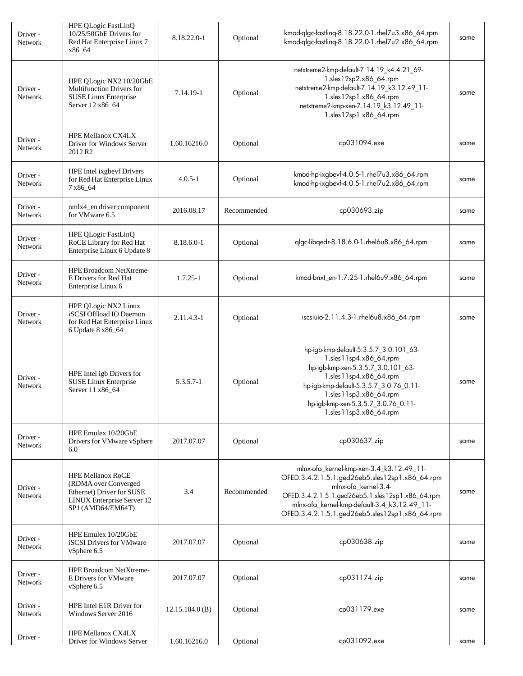| Driver -<br>Network | HPE QLogic FastLinQ<br>10/25/50GbE Drivers for<br>Red Hat Enterprise Linux 7<br>x86_64                                                  | 8.18.22.0-1    | Optional    | kmod-qlgc-fastlinq-8.18.22.0-1.rhel7u3.x86_64.rpm<br>kmod-qlgc-fastling-8.18.22.0-1.rhel7u2.x86_64.rpm                                                                                                                                                                   | same |
|---------------------|-----------------------------------------------------------------------------------------------------------------------------------------|----------------|-------------|--------------------------------------------------------------------------------------------------------------------------------------------------------------------------------------------------------------------------------------------------------------------------|------|
| Driver -<br>Network | HPE QLogic NX2 10/20GbE<br>Multifunction Drivers for<br>SUSE Linux Enterprise<br>Server 12 x86_64                                       | 7.14.19-1      | Optional    | netxtreme2-kmp-default-7.14.19_k4.4.21_69-<br>1.sles12sp2.x86_64.rpm<br>netxtreme2-kmp-default-7.14.19_k3.12.49_11-<br>1.sles12sp1.x86_64.rpm<br>netxtreme2-kmp-xen-7.14.19_k3.12.49_11-<br>1.sles12sp1.x86_64.rpm                                                       | same |
| Driver -<br>Network | <b>HPE Mellanox CX4LX</b><br>Driver for Windows Server<br>2012 R <sub>2</sub>                                                           | 1.60.16216.0   | Optional    | cp031094.exe                                                                                                                                                                                                                                                             | same |
| Driver -<br>Network | HPE Intel ixgbevf Drivers<br>for Red Hat Enterprise Linux<br>7 x86_64                                                                   | $4.0.5 - 1$    | Optional    | kmod-hp-ixgbevf-4.0.5-1.rhel7u3.x86_64.rpm<br>kmod-hp-ixgbevf-4.0.5-1.rhel7u2.x86_64.rpm                                                                                                                                                                                 | same |
| Driver -<br>Network | nmlx4_en driver component<br>for VMware 6.5                                                                                             | 2016.08.17     | Recommended | cp030693.zip                                                                                                                                                                                                                                                             | same |
| Driver -<br>Network | HPE QLogic FastLinQ<br>RoCE Library for Red Hat<br>Enterprise Linux 6 Update 8                                                          | 8.18.6.0-1     | Optional    | qlgc-libqedr-8.18.6.0-1.rhel6u8.x86_64.rpm                                                                                                                                                                                                                               | same |
| Driver -<br>Network | HPE Broadcom NetXtreme-<br>E Drivers for Red Hat<br>Enterprise Linux 6                                                                  | $1.7.25 - 1$   | Optional    | kmod-bnxt_en-1.7.25-1.rhel6u9.x86_64.rpm                                                                                                                                                                                                                                 | same |
| Driver -<br>Network | HPE QLogic NX2 Linux<br>iSCSI Offload IO Daemon<br>for Red Hat Enterprise Linux<br>6 Update 8 x86_64                                    | 2.11.4.3-1     | Optional    | iscsiuio-2.11.4.3-1.rhel6u8.x86_64.rpm                                                                                                                                                                                                                                   | same |
| Driver -<br>Network | HPE Intel igb Drivers for<br>SUSE Linux Enterprise<br>Server 11 x86_64                                                                  | 5.3.5.7-1      | Optional    | hp-igb-kmp-default-5.3.5.7_3.0.101_63-<br>1.sles11sp4.x86_64.rpm<br>hp-igb-kmp-xen-5.3.5.7_3.0.101_63-<br>1.sles11sp4.x86_64.rpm<br>hp-igb-kmp-default-5.3.5.7_3.0.76_0.11-<br>1.sles11sp3.x86_64.rpm<br>hp-igb-kmp-xen-5.3.5.7_3.0.76_0.11-<br>1.sles11sp3.x86_64.rpm   | same |
| Driver-<br>Network  | HPE Emulex 10/20GbE<br>Drivers for VMware vSphere<br>6.0                                                                                | 2017.07.07     | Optional    | cp030637.zip                                                                                                                                                                                                                                                             | same |
| Driver -<br>Network | <b>HPE Mellanox RoCE</b><br>(RDMA over Converged<br>Ethernet) Driver for SUSE<br><b>LINUX Enterprise Server 12</b><br>SP1 (AMD64/EM64T) | 3.4            | Recommended | mlnx-ofa_kernel-kmp-xen-3.4_k3.12.49_11-<br>OFED.3.4.2.1.5.1.ged26eb5.sles12sp1.x86_64.rpm<br>mlnx-ofa_kernel-3.4-<br>OFED.3.4.2.1.5.1.ged26eb5.1.sles12sp1.x86_64.rpm<br>mlnx-ofa_kernel-kmp-default-3.4_k3.12.49_11-<br>OFED.3.4.2.1.5.1.ged26eb5.sles12sp1.x86_64.rpm | same |
| Driver -<br>Network | HPE Emulex 10/20GbE<br><b>iSCSI</b> Drivers for VMware<br>vSphere 6.5                                                                   | 2017.07.07     | Optional    | cp030638.zip                                                                                                                                                                                                                                                             | same |
| Driver -<br>Network | HPE Broadcom NetXtreme-<br>E Drivers for VMware<br>vSphere 6.5                                                                          | 2017.07.07     | Optional    | cp031174.zip                                                                                                                                                                                                                                                             | same |
| Driver -<br>Network | HPE Intel E1R Driver for<br>Windows Server 2016                                                                                         | 12.15.184.0(B) | Optional    | cp031179.exe                                                                                                                                                                                                                                                             | same |
| Driver -            | <b>HPE Mellanox CX4LX</b><br>Driver for Windows Server                                                                                  | 1.60.16216.0   | Optional    | cp031092.exe                                                                                                                                                                                                                                                             | same |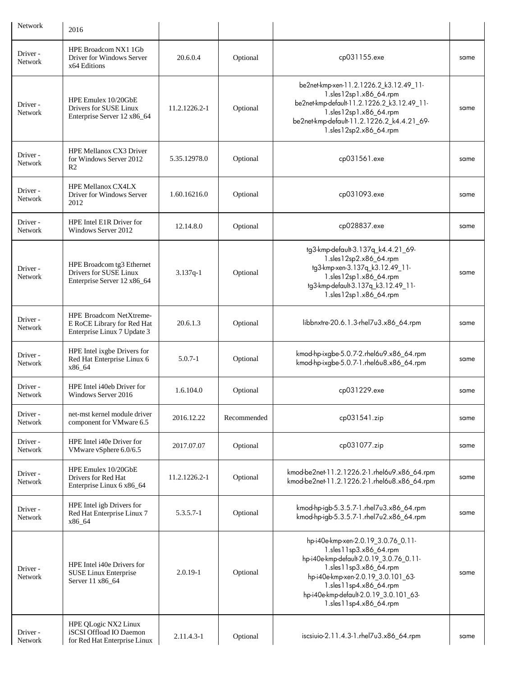| <b>Network</b>             | 2016                                                                                        |               |             |                                                                                                                                                                                                                                                                        |      |
|----------------------------|---------------------------------------------------------------------------------------------|---------------|-------------|------------------------------------------------------------------------------------------------------------------------------------------------------------------------------------------------------------------------------------------------------------------------|------|
| Driver -<br>Network        | HPE Broadcom NX1 1Gb<br>Driver for Windows Server<br>x64 Editions                           | 20.6.0.4      | Optional    | cp031155.exe                                                                                                                                                                                                                                                           | same |
| Driver -<br>Network        | HPE Emulex 10/20GbE<br>Drivers for SUSE Linux<br>Enterprise Server 12 x86_64                | 11.2.1226.2-1 | Optional    | be2net-kmp-xen-11.2.1226.2_k3.12.49_11-<br>1.sles12sp1.x86_64.rpm<br>be2net-kmp-default-11.2.1226.2_k3.12.49_11-<br>1.sles12sp1.x86_64.rpm<br>be2net-kmp-default-11.2.1226.2 k4.4.21 69-<br>1.sles12sp2.x86_64.rpm                                                     | same |
| Driver -<br><b>Network</b> | HPE Mellanox CX3 Driver<br>for Windows Server 2012<br>R <sub>2</sub>                        | 5.35.12978.0  | Optional    | cp031561.exe                                                                                                                                                                                                                                                           | same |
| Driver -<br>Network        | <b>HPE Mellanox CX4LX</b><br>Driver for Windows Server<br>2012                              | 1.60.16216.0  | Optional    | cp031093.exe                                                                                                                                                                                                                                                           | same |
| Driver -<br>Network        | HPE Intel E1R Driver for<br>Windows Server 2012                                             | 12.14.8.0     | Optional    | cp028837.exe                                                                                                                                                                                                                                                           | same |
| Driver -<br>Network        | HPE Broadcom tg3 Ethernet<br>Drivers for SUSE Linux<br>Enterprise Server 12 x86_64          | $3.137q-1$    | Optional    | tg3-kmp-default-3.137q_k4.4.21_69-<br>1.sles12sp2.x86_64.rpm<br>tg3-kmp-xen-3.137q_k3.12.49_11-<br>1.sles12sp1.x86_64.rpm<br>tg3-kmp-default-3.137q_k3.12.49_11-<br>1.sles12sp1.x86_64.rpm                                                                             | same |
| Driver -<br><b>Network</b> | <b>HPE Broadcom NetXtreme-</b><br>E RoCE Library for Red Hat<br>Enterprise Linux 7 Update 3 | 20.6.1.3      | Optional    | libbnxtre-20.6.1.3-rhel7u3.x86_64.rpm                                                                                                                                                                                                                                  | same |
| Driver -<br><b>Network</b> | HPE Intel ixgbe Drivers for<br>Red Hat Enterprise Linux 6<br>x86_64                         | $5.0.7 - 1$   | Optional    | kmod-hp-ixgbe-5.0.7-2.rhel6u9.x86_64.rpm<br>kmod-hp-ixgbe-5.0.7-1.rhel6u8.x86_64.rpm                                                                                                                                                                                   | same |
| Driver -<br>Network        | HPE Intel i40eb Driver for<br>Windows Server 2016                                           | 1.6.104.0     | Optional    | cp031229.exe                                                                                                                                                                                                                                                           | same |
| Driver-<br>Network         | net-mst kernel module driver<br>component for VMware 6.5                                    | 2016.12.22    | Recommended | cp031541.zip                                                                                                                                                                                                                                                           | same |
| Driver-<br>Network         | HPE Intel i40e Driver for<br>VMware vSphere 6.0/6.5                                         | 2017.07.07    | Optional    | cp031077.zip                                                                                                                                                                                                                                                           | same |
| Driver -<br>Network        | HPE Emulex 10/20GbE<br>Drivers for Red Hat<br>Enterprise Linux 6 x86_64                     | 11.2.1226.2-1 | Optional    | kmod-be2net-11.2.1226.2-1.rhel6u9.x86_64.rpm<br>kmod-be2net-11.2.1226.2-1.rhel6u8.x86 64.rpm                                                                                                                                                                           | same |
| Driver-<br>Network         | HPE Intel igb Drivers for<br>Red Hat Enterprise Linux 7<br>x86_64                           | $5.3.5.7 - 1$ | Optional    | kmod-hp-igb-5.3.5.7-1.rhel7u3.x86_64.rpm<br>kmod-hp-igb-5.3.5.7-1.rhel7u2.x86_64.rpm                                                                                                                                                                                   | same |
| Driver -<br>Network        | HPE Intel i40e Drivers for<br><b>SUSE Linux Enterprise</b><br>Server 11 x86_64              | $2.0.19 - 1$  | Optional    | hp-i40e-kmp-xen-2.0.19_3.0.76_0.11-<br>1.sles11sp3.x86_64.rpm<br>hp-i40e-kmp-default-2.0.19_3.0.76_0.11-<br>1.sles11sp3.x86_64.rpm<br>hp-i40e-kmp-xen-2.0.19_3.0.101_63-<br>1.sles11sp4.x86_64.rpm<br>hp-i40e-kmp-default-2.0.19_3.0.101_63-<br>1.sles11sp4.x86_64.rpm | same |
| Driver-<br>Network         | HPE QLogic NX2 Linux<br>iSCSI Offload IO Daemon<br>for Red Hat Enterprise Linux             | 2.11.4.3-1    | Optional    | iscsiuio-2.11.4.3-1.rhel7u3.x86_64.rpm                                                                                                                                                                                                                                 | same |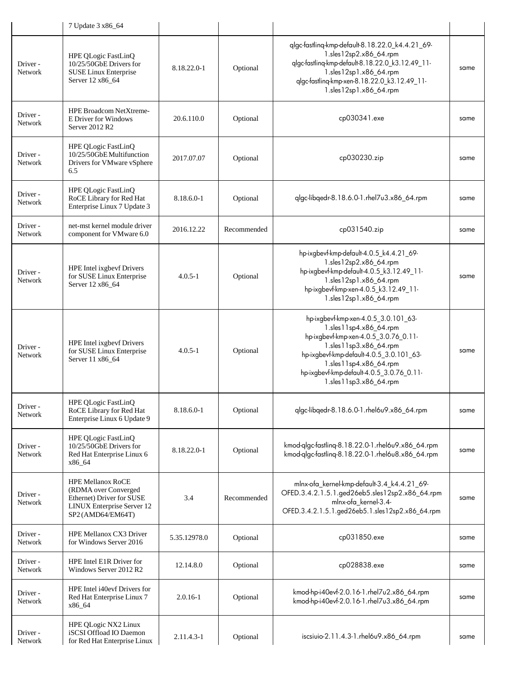|                    | 7 Update 3 x86_64                                                                                                               |              |             |                                                                                                                                                                                                                                                                                |      |
|--------------------|---------------------------------------------------------------------------------------------------------------------------------|--------------|-------------|--------------------------------------------------------------------------------------------------------------------------------------------------------------------------------------------------------------------------------------------------------------------------------|------|
| Driver-<br>Network | HPE QLogic FastLinQ<br>10/25/50GbE Drivers for<br><b>SUSE Linux Enterprise</b><br>Server 12 x86_64                              | 8.18.22.0-1  | Optional    | qlgc-fastling-kmp-default-8.18.22.0_k4.4.21_69-<br>1.sles12sp2.x86_64.rpm<br>qlgc-fastling-kmp-default-8.18.22.0_k3.12.49_11-<br>1.sles12sp1.x86_64.rpm<br>qlgc-fastlinq-kmp-xen-8.18.22.0_k3.12.49_11-<br>1.sles12sp1.x86_64.rpm                                              | same |
| Driver-<br>Network | HPE Broadcom NetXtreme-<br>E Driver for Windows<br>Server 2012 R2                                                               | 20.6.110.0   | Optional    | cp030341.exe                                                                                                                                                                                                                                                                   | same |
| Driver-<br>Network | HPE QLogic FastLinQ<br>10/25/50GbE Multifunction<br>Drivers for VMware vSphere<br>6.5                                           | 2017.07.07   | Optional    | cp030230.zip                                                                                                                                                                                                                                                                   | same |
| Driver-<br>Network | HPE QLogic FastLinQ<br>RoCE Library for Red Hat<br>Enterprise Linux 7 Update 3                                                  | 8.18.6.0-1   | Optional    | qlgc-libqedr-8.18.6.0-1.rhel7u3.x86_64.rpm                                                                                                                                                                                                                                     | same |
| Driver-<br>Network | net-mst kernel module driver<br>component for VMware 6.0                                                                        | 2016.12.22   | Recommended | cp031540.zip                                                                                                                                                                                                                                                                   | same |
| Driver-<br>Network | HPE Intel ixgbevf Drivers<br>for SUSE Linux Enterprise<br>Server 12 x86_64                                                      | $4.0.5 - 1$  | Optional    | hp-ixgbevf-kmp-default-4.0.5_k4.4.21_69-<br>1.sles12sp2.x86_64.rpm<br>hp-ixgbevf-kmp-default-4.0.5_k3.12.49_11-<br>1.sles12sp1.x86_64.rpm<br>hp-ixgbevf-kmp-xen-4.0.5_k3.12.49_11-<br>1.sles12sp1.x86_64.rpm                                                                   | same |
| Driver-<br>Network | HPE Intel ixgbevf Drivers<br>for SUSE Linux Enterprise<br>Server 11 x86_64                                                      | $4.0.5 - 1$  | Optional    | hp-ixgbevf-kmp-xen-4.0.5_3.0.101_63-<br>1.sles11sp4.x86_64.rpm<br>hp-ixgbevf-kmp-xen-4.0.5_3.0.76_0.11-<br>1.sles11sp3.x86_64.rpm<br>hp-ixgbevf-kmp-default-4.0.5_3.0.101_63-<br>1.sles11sp4.x86_64.rpm<br>hp-ixgbevf-kmp-default-4.0.5_3.0.76_0.11-<br>1.sles11sp3.x86_64.rpm | same |
| Driver-<br>Network | HPE QLogic FastLinQ<br>RoCE Library for Red Hat<br>Enterprise Linux 6 Update 9                                                  | 8.18.6.0-1   | Optional    | qlgc-libgedr-8.18.6.0-1.rhel6u9.x86_64.rpm                                                                                                                                                                                                                                     | same |
| Driver-<br>Network | HPE QLogic FastLinQ<br>10/25/50GbE Drivers for<br>Red Hat Enterprise Linux 6<br>x86_64                                          | 8.18.22.0-1  | Optional    | kmod-qlgc-fastling-8.18.22.0-1.rhel6u9.x86_64.rpm<br>kmod-qlgc-fastling-8.18.22.0-1.rhel6u8.x86_64.rpm                                                                                                                                                                         | same |
| Driver-<br>Network | <b>HPE Mellanox RoCE</b><br>(RDMA over Converged<br>Ethernet) Driver for SUSE<br>LINUX Enterprise Server 12<br>SP2(AMD64/EM64T) | 3.4          | Recommended | mlnx-ofa_kernel-kmp-default-3.4_k4.4.21_69-<br>OFED.3.4.2.1.5.1.ged26eb5.sles12sp2.x86_64.rpm<br>mlnx-ofa_kernel-3.4-<br>OFED.3.4.2.1.5.1.ged26eb5.1.sles12sp2.x86_64.rpm                                                                                                      | same |
| Driver-<br>Network | HPE Mellanox CX3 Driver<br>for Windows Server 2016                                                                              | 5.35.12978.0 | Optional    | cp031850.exe                                                                                                                                                                                                                                                                   | same |
| Driver-<br>Network | HPE Intel E1R Driver for<br>Windows Server 2012 R2                                                                              | 12.14.8.0    | Optional    | cp028838.exe                                                                                                                                                                                                                                                                   | same |
| Driver-<br>Network | HPE Intel i40evf Drivers for<br>Red Hat Enterprise Linux 7<br>x86_64                                                            | $2.0.16 - 1$ | Optional    | kmod-hp-i40evf-2.0.16-1.rhel7u2.x86_64.rpm<br>kmod-hp-i40evf-2.0.16-1.rhel7u3.x86_64.rpm                                                                                                                                                                                       | same |
| Driver-<br>Network | HPE QLogic NX2 Linux<br>iSCSI Offload IO Daemon<br>for Red Hat Enterprise Linux                                                 | 2.11.4.3-1   | Optional    | iscsiuio-2.11.4.3-1.rhel6u9.x86_64.rpm                                                                                                                                                                                                                                         | same |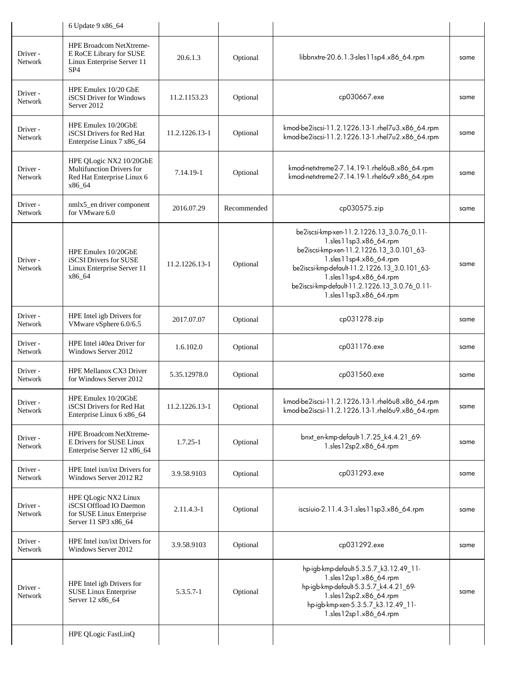|                     | 6 Update 9 x86_64                                                                                          |                |             |                                                                                                                                                                                                                                                                                                    |      |
|---------------------|------------------------------------------------------------------------------------------------------------|----------------|-------------|----------------------------------------------------------------------------------------------------------------------------------------------------------------------------------------------------------------------------------------------------------------------------------------------------|------|
| Driver -<br>Network | <b>HPE Broadcom NetXtreme-</b><br>E RoCE Library for SUSE<br>Linux Enterprise Server 11<br>SP <sub>4</sub> | 20.6.1.3       | Optional    | libbnxtre-20.6.1.3-sles11sp4.x86_64.rpm                                                                                                                                                                                                                                                            | same |
| Driver-<br>Network  | HPE Emulex 10/20 GbE<br>iSCSI Driver for Windows<br>Server 2012                                            | 11.2.1153.23   | Optional    | cp030667.exe                                                                                                                                                                                                                                                                                       | same |
| Driver -<br>Network | HPE Emulex 10/20GbE<br>iSCSI Drivers for Red Hat<br>Enterprise Linux 7 x86_64                              | 11.2.1226.13-1 | Optional    | kmod-be2iscsi-11.2.1226.13-1.rhel7u3.x86_64.rpm<br>kmod-be2iscsi-11.2.1226.13-1.rhel7u2.x86_64.rpm                                                                                                                                                                                                 | same |
| Driver-<br>Network  | HPE QLogic NX2 10/20GbE<br>Multifunction Drivers for<br>Red Hat Enterprise Linux 6<br>x86_64               | 7.14.19-1      | Optional    | kmod-netxtreme2-7.14.19-1.rhel6u8.x86_64.rpm<br>kmod-netxtreme2-7.14.19-1.rhel6u9.x86_64.rpm                                                                                                                                                                                                       | same |
| Driver -<br>Network | nmlx5_en driver component<br>for VMware 6.0                                                                | 2016.07.29     | Recommended | cp030575.zip                                                                                                                                                                                                                                                                                       | same |
| Driver -<br>Network | HPE Emulex 10/20GbE<br>iSCSI Drivers for SUSE<br>Linux Enterprise Server 11<br>x86_64                      | 11.2.1226.13-1 | Optional    | be2iscsi-kmp-xen-11.2.1226.13_3.0.76_0.11-<br>1.sles11sp3.x86_64.rpm<br>be2iscsi-kmp-xen-11.2.1226.13_3.0.101_63-<br>1.sles11sp4.x86_64.rpm<br>be2iscsi-kmp-default-11.2.1226.13_3.0.101_63-<br>1.sles11sp4.x86_64.rpm<br>be2iscsi-kmp-default-11.2.1226.13_3.0.76_0.11-<br>1.sles11sp3.x86_64.rpm | same |
| Driver-<br>Network  | HPE Intel igb Drivers for<br>VMware vSphere 6.0/6.5                                                        | 2017.07.07     | Optional    | cp031278.zip                                                                                                                                                                                                                                                                                       | same |
| Driver-<br>Network  | HPE Intel i40ea Driver for<br>Windows Server 2012                                                          | 1.6.102.0      | Optional    | cp031176.exe                                                                                                                                                                                                                                                                                       | same |
| Driver-<br>Network  | <b>HPE Mellanox CX3 Driver</b><br>for Windows Server 2012                                                  | 5.35.12978.0   | Optional    | cp031560.exe                                                                                                                                                                                                                                                                                       | same |
| Driver -<br>Network | HPE Emulex 10/20GbE<br>iSCSI Drivers for Red Hat<br>Enterprise Linux 6 x86_64                              | 11.2.1226.13-1 | Optional    | kmod-be2iscsi-11.2.1226.13-1.rhel6u8.x86_64.rpm<br>kmod-be2iscsi-11.2.1226.13-1.rhel6u9.x86_64.rpm                                                                                                                                                                                                 | same |
| Driver -<br>Network | HPE Broadcom NetXtreme-<br>E Drivers for SUSE Linux<br>Enterprise Server 12 x86_64                         | $1.7.25 - 1$   | Optional    | bnxt_en-kmp-default-1.7.25_k4.4.21_69-<br>1.sles12sp2.x86_64.rpm                                                                                                                                                                                                                                   | same |
| Driver -<br>Network | HPE Intel ixn/ixt Drivers for<br>Windows Server 2012 R2                                                    | 3.9.58.9103    | Optional    | cp031293.exe                                                                                                                                                                                                                                                                                       | same |
| Driver-<br>Network  | HPE QLogic NX2 Linux<br>iSCSI Offload IO Daemon<br>for SUSE Linux Enterprise<br>Server 11 SP3 x86_64       | $2.11.4.3 - 1$ | Optional    | iscsiuio-2.11.4.3-1.sles11sp3.x86_64.rpm                                                                                                                                                                                                                                                           | same |
| Driver-<br>Network  | HPE Intel ixn/ixt Drivers for<br>Windows Server 2012                                                       | 3.9.58.9103    | Optional    | cp031292.exe                                                                                                                                                                                                                                                                                       | same |
| Driver -<br>Network | HPE Intel igb Drivers for<br><b>SUSE Linux Enterprise</b><br>Server 12 x86_64                              | 5.3.5.7-1      | Optional    | hp-igb-kmp-default-5.3.5.7_k3.12.49_11-<br>1.sles12sp1.x86_64.rpm<br>hp-igb-kmp-default-5.3.5.7_k4.4.21_69-<br>1.sles12sp2.x86_64.rpm<br>hp-igb-kmp-xen-5.3.5.7_k3.12.49_11-<br>1.sles12sp1.x86_64.rpm                                                                                             | same |
|                     | HPE QLogic FastLinQ                                                                                        |                |             |                                                                                                                                                                                                                                                                                                    |      |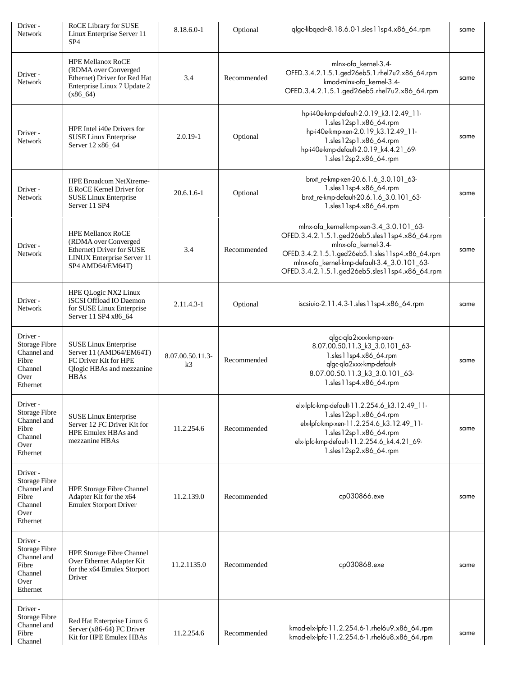| Driver-<br>Network                                                                      | <b>RoCE Library for SUSE</b><br>Linux Enterprise Server 11<br>SP <sub>4</sub>                                                   | 8.18.6.0-1             | Optional    | qlgc-libqedr-8.18.6.0-1.sles11sp4.x86_64.rpm                                                                                                                                                                                                                           | same |
|-----------------------------------------------------------------------------------------|---------------------------------------------------------------------------------------------------------------------------------|------------------------|-------------|------------------------------------------------------------------------------------------------------------------------------------------------------------------------------------------------------------------------------------------------------------------------|------|
| Driver -<br>Network                                                                     | <b>HPE Mellanox RoCE</b><br>(RDMA over Converged<br>Ethernet) Driver for Red Hat<br>Enterprise Linux 7 Update 2<br>$(x86_64)$   | 3.4                    | Recommended | mlnx-ofa_kernel-3.4-<br>OFED.3.4.2.1.5.1.ged26eb5.1.rhel7u2.x86_64.rpm<br>kmod-mlnx-ofa kernel-3.4-<br>OFED.3.4.2.1.5.1.ged26eb5.rhel7u2.x86_64.rpm                                                                                                                    | same |
| Driver -<br>Network                                                                     | HPE Intel i40e Drivers for<br>SUSE Linux Enterprise<br>Server 12 x86_64                                                         | $2.0.19 - 1$           | Optional    | hp-i40e-kmp-default-2.0.19_k3.12.49_11-<br>1.sles12sp1.x86_64.rpm<br>hp-i40e-kmp-xen-2.0.19_k3.12.49_11-<br>1.sles12sp1.x86_64.rpm<br>hp-i40e-kmp-default-2.0.19_k4.4.21_69-<br>1.sles12sp2.x86_64.rpm                                                                 | same |
| Driver -<br>Network                                                                     | HPE Broadcom NetXtreme-<br>E RoCE Kernel Driver for<br>SUSE Linux Enterprise<br>Server 11 SP4                                   | $20.6.1.6 - 1$         | Optional    | bnxt_re-kmp-xen-20.6.1.6_3.0.101_63-<br>1.sles11sp4.x86_64.rpm<br>bnxt_re-kmp-default-20.6.1.6_3.0.101_63-<br>1.sles11sp4.x86_64.rpm                                                                                                                                   | same |
| Driver -<br>Network                                                                     | <b>HPE Mellanox RoCE</b><br>(RDMA over Converged<br>Ethernet) Driver for SUSE<br>LINUX Enterprise Server 11<br>SP4 AMD64/EM64T) | 3.4                    | Recommended | mlnx-ofa_kernel-kmp-xen-3.4_3.0.101_63-<br>OFED.3.4.2.1.5.1.ged26eb5.sles11sp4.x86_64.rpm<br>mlnx-ofa_kernel-3.4-<br>OFED.3.4.2.1.5.1.ged26eb5.1.sles11sp4.x86_64.rpm<br>mlnx-ofa_kernel-kmp-default-3.4_3.0.101_63-<br>OFED.3.4.2.1.5.1.ged26eb5.sles11sp4.x86_64.rpm | same |
| Driver-<br>Network                                                                      | HPE QLogic NX2 Linux<br>iSCSI Offload IO Daemon<br>for SUSE Linux Enterprise<br>Server 11 SP4 x86_64                            | 2.11.4.3-1             | Optional    | iscsiuio-2.11.4.3-1.sles11sp4.x86_64.rpm                                                                                                                                                                                                                               | same |
| Driver-<br><b>Storage Fibre</b><br>Channel and<br>Fibre<br>Channel<br>Over<br>Ethernet  | SUSE Linux Enterprise<br>Server 11 (AMD64/EM64T)<br>FC Driver Kit for HPE<br>Qlogic HBAs and mezzanine<br><b>HBAs</b>           | 8.07.00.50.11.3-<br>k3 | Recommended | qlgc-qla2xxx-kmp-xen-<br>8.07.00.50.11.3_k3_3.0.101_63-<br>1.sles11sp4.x86_64.rpm<br>qlgc-qla2xxx-kmp-default-<br>8.07.00.50.11.3_k3_3.0.101_63-<br>1.sles11sp4.x86_64.rpm                                                                                             | same |
| Driver-<br><b>Storage Fibre</b><br>Channel and<br>Fibre<br>Channel<br>Over<br>Ethernet  | SUSE Linux Enterprise<br>Server 12 FC Driver Kit for<br>HPE Emulex HBAs and<br>mezzanine HBAs                                   | 11.2.254.6             | Recommended | elx-lpfc-kmp-default-11.2.254.6_k3.12.49_11-<br>1.sles12sp1.x86_64.rpm<br>elx-lpfc-kmp-xen-11.2.254.6_k3.12.49_11-<br>1.sles12sp1.x86_64.rpm<br>elx-lpfc-kmp-default-11.2.254.6_k4.4.21_69-<br>1.sles12sp2.x86_64.rpm                                                  | same |
| Driver -<br><b>Storage Fibre</b><br>Channel and<br>Fibre<br>Channel<br>Over<br>Ethernet | <b>HPE Storage Fibre Channel</b><br>Adapter Kit for the x64<br><b>Emulex Storport Driver</b>                                    | 11.2.139.0             | Recommended | cp030866.exe                                                                                                                                                                                                                                                           | same |
| Driver -<br><b>Storage Fibre</b><br>Channel and<br>Fibre<br>Channel<br>Over<br>Ethernet | HPE Storage Fibre Channel<br>Over Ethernet Adapter Kit<br>for the x64 Emulex Storport<br>Driver                                 | 11.2.1135.0            | Recommended | cp030868.exe                                                                                                                                                                                                                                                           | same |
| Driver -<br>Storage Fibre<br>Channel and<br>Fibre<br>Channel                            | Red Hat Enterprise Linux 6<br>Server (x86-64) FC Driver<br>Kit for HPE Emulex HBAs                                              | 11.2.254.6             | Recommended | kmod-elx-lpfc-11.2.254.6-1.rhel6u9.x86_64.rpm<br>kmod-elx-lpfc-11.2.254.6-1.rhel6u8.x86_64.rpm                                                                                                                                                                         | same |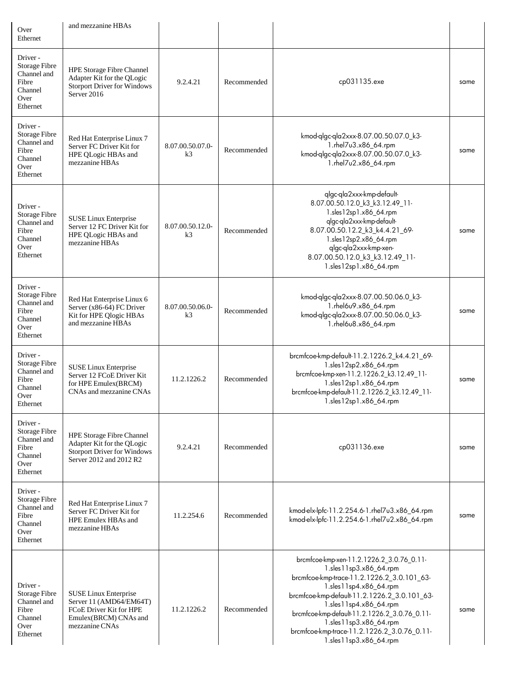| Over<br>Ethernet                                                                        | and mezzanine HBAs                                                                                                            |                                    |             |                                                                                                                                                                                                                                                                                                                                                                           |      |
|-----------------------------------------------------------------------------------------|-------------------------------------------------------------------------------------------------------------------------------|------------------------------------|-------------|---------------------------------------------------------------------------------------------------------------------------------------------------------------------------------------------------------------------------------------------------------------------------------------------------------------------------------------------------------------------------|------|
| Driver -<br><b>Storage Fibre</b><br>Channel and<br>Fibre<br>Channel<br>Over<br>Ethernet | HPE Storage Fibre Channel<br>Adapter Kit for the QLogic<br><b>Storport Driver for Windows</b><br>Server 2016                  | 9.2.4.21                           | Recommended | cp031135.exe                                                                                                                                                                                                                                                                                                                                                              | same |
| Driver -<br><b>Storage Fibre</b><br>Channel and<br>Fibre<br>Channel<br>Over<br>Ethernet | Red Hat Enterprise Linux 7<br>Server FC Driver Kit for<br>HPE QLogic HBAs and<br>mezzanine HBAs                               | 8.07.00.50.07.0-<br>k <sub>3</sub> | Recommended | kmod-qlgc-qla2xxx-8.07.00.50.07.0_k3-<br>1.rhel7u3.x86_64.rpm<br>kmod-qlgc-qla2xxx-8.07.00.50.07.0_k3-<br>1.rhel7u2.x86_64.rpm                                                                                                                                                                                                                                            | same |
| Driver-<br><b>Storage Fibre</b><br>Channel and<br>Fibre<br>Channel<br>Over<br>Ethernet  | SUSE Linux Enterprise<br>Server 12 FC Driver Kit for<br>HPE QLogic HBAs and<br>mezzanine HBAs                                 | 8.07.00.50.12.0-<br>k <sub>3</sub> | Recommended | qlgc-qla2xxx-kmp-default-<br>8.07.00.50.12.0_k3_k3.12.49_11-<br>1.sles12sp1.x86_64.rpm<br>qlgc-qla2xxx-kmp-default-<br>8.07.00.50.12.2_k3_k4.4.21_69-<br>1.sles12sp2.x86_64.rpm<br>qlgc-qla2xxx-kmp-xen-<br>8.07.00.50.12.0_k3_k3.12.49_11-<br>1.sles12sp1.x86_64.rpm                                                                                                     | same |
| Driver -<br><b>Storage Fibre</b><br>Channel and<br>Fibre<br>Channel<br>Over<br>Ethernet | Red Hat Enterprise Linux 6<br>Server (x86-64) FC Driver<br>Kit for HPE Qlogic HBAs<br>and mezzanine HBAs                      | 8.07.00.50.06.0-<br>k3             | Recommended | kmod-qlgc-qla2xxx-8.07.00.50.06.0_k3-<br>1.rhel6u9.x86_64.rpm<br>kmod-qlgc-qla2xxx-8.07.00.50.06.0_k3-<br>1.rhel6u8.x86_64.rpm                                                                                                                                                                                                                                            | same |
| Driver -<br><b>Storage Fibre</b><br>Channel and<br>Fibre<br>Channel<br>Over<br>Ethernet | SUSE Linux Enterprise<br>Server 12 FCoE Driver Kit<br>for HPE Emulex(BRCM)<br>CNAs and mezzanine CNAs                         | 11.2.1226.2                        | Recommended | brcmfcoe-kmp-default-11.2.1226.2_k4.4.21_69-<br>1.sles12sp2.x86_64.rpm<br>brcmfcoe-kmp-xen-11.2.1226.2_k3.12.49_11-<br>1.sles12sp1.x86_64.rpm<br>brcmfcoe-kmp-default-11.2.1226.2_k3.12.49_11-<br>1.sles12sp1.x86_64.rpm                                                                                                                                                  | same |
| Driver -<br><b>Storage Fibre</b><br>Channel and<br>Fibre<br>Channel<br>Over<br>Ethernet | HPE Storage Fibre Channel<br>Adapter Kit for the QLogic<br><b>Storport Driver for Windows</b><br>Server 2012 and 2012 R2      | 9.2.4.21                           | Recommended | cp031136.exe                                                                                                                                                                                                                                                                                                                                                              | same |
| Driver-<br><b>Storage Fibre</b><br>Channel and<br>Fibre<br>Channel<br>Over<br>Ethernet  | Red Hat Enterprise Linux 7<br>Server FC Driver Kit for<br>HPE Emulex HBAs and<br>mezzanine HBAs                               | 11.2.254.6                         | Recommended | kmod-elx-lpfc-11.2.254.6-1.rhel7u3.x86 64.rpm<br>kmod-elx-lpfc-11.2.254.6-1.rhel7u2.x86_64.rpm                                                                                                                                                                                                                                                                            | same |
| Driver -<br><b>Storage Fibre</b><br>Channel and<br>Fibre<br>Channel<br>Over<br>Ethernet | <b>SUSE Linux Enterprise</b><br>Server 11 (AMD64/EM64T)<br>FCoE Driver Kit for HPE<br>Emulex(BRCM) CNAs and<br>mezzanine CNAs | 11.2.1226.2                        | Recommended | brcmfcoe-kmp-xen-11.2.1226.2_3.0.76_0.11-<br>1.sles11sp3.x86_64.rpm<br>brcmfcoe-kmp-trace-11.2.1226.2_3.0.101_63-<br>1.sles11sp4.x86_64.rpm<br>brcmfcoe-kmp-default-11.2.1226.2_3.0.101_63-<br>1.sles11sp4.x86_64.rpm<br>brcmfcoe-kmp-default-11.2.1226.2_3.0.76_0.11-<br>1.sles11sp3.x86_64.rpm<br>brcmfcoe-kmp-trace-11.2.1226.2_3.0.76_0.11-<br>1.sles11sp3.x86_64.rpm | same |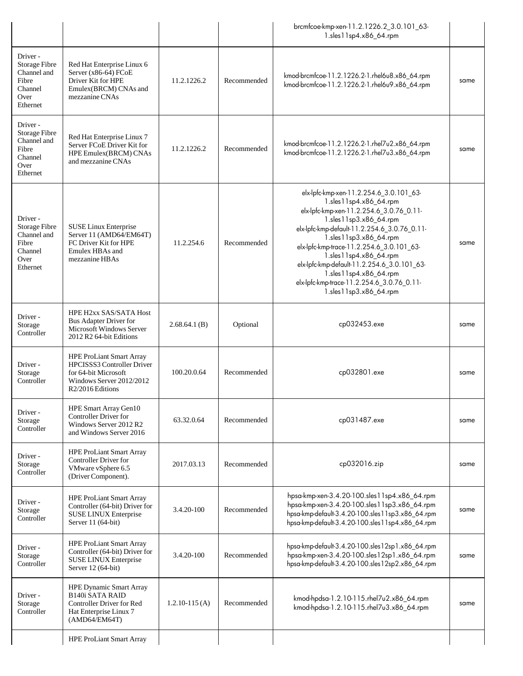|                                                                                         |                                                                                                                                       |                   |             | brcmfcoe-kmp-xen-11.2.1226.2_3.0.101_63-<br>1.sles11sp4.x86_64.rpm                                                                                                                                                                                                                                                                                                                                                                        |      |
|-----------------------------------------------------------------------------------------|---------------------------------------------------------------------------------------------------------------------------------------|-------------------|-------------|-------------------------------------------------------------------------------------------------------------------------------------------------------------------------------------------------------------------------------------------------------------------------------------------------------------------------------------------------------------------------------------------------------------------------------------------|------|
| Driver -<br>Storage Fibre<br>Channel and<br>Fibre<br>Channel<br>Over<br>Ethernet        | Red Hat Enterprise Linux 6<br>Server (x86-64) FCoE<br>Driver Kit for HPE<br>Emulex(BRCM) CNAs and<br>mezzanine CNAs                   | 11.2.1226.2       | Recommended | kmod-brcmfcoe-11.2.1226.2-1.rhel6u8.x86_64.rpm<br>kmod-brcmfcoe-11.2.1226.2-1.rhel6u9.x86_64.rpm                                                                                                                                                                                                                                                                                                                                          | same |
| Driver-<br><b>Storage Fibre</b><br>Channel and<br>Fibre<br>Channel<br>Over<br>Ethernet  | Red Hat Enterprise Linux 7<br>Server FCoE Driver Kit for<br>HPE Emulex(BRCM) CNAs<br>and mezzanine CNAs                               | 11.2.1226.2       | Recommended | kmod-brcmfcoe-11.2.1226.2-1.rhel7u2.x86_64.rpm<br>kmod-brcmfcoe-11.2.1226.2-1.rhel7u3.x86_64.rpm                                                                                                                                                                                                                                                                                                                                          | same |
| Driver -<br><b>Storage Fibre</b><br>Channel and<br>Fibre<br>Channel<br>Over<br>Ethernet | <b>SUSE Linux Enterprise</b><br>Server 11 (AMD64/EM64T)<br>FC Driver Kit for HPE<br>Emulex HBAs and<br>mezzanine HBAs                 | 11.2.254.6        | Recommended | elx-lpfc-kmp-xen-11.2.254.6_3.0.101_63-<br>1.sles11sp4.x86_64.rpm<br>elx-lpfc-kmp-xen-11.2.254.6_3.0.76_0.11-<br>1.sles11sp3.x86_64.rpm<br>elx-lpfc-kmp-default-11.2.254.6_3.0.76_0.11-<br>1.sles11sp3.x86_64.rpm<br>elx-lpfc-kmp-trace-11.2.254.6_3.0.101_63-<br>1.sles11sp4.x86_64.rpm<br>elx-lpfc-kmp-default-11.2.254.6_3.0.101_63-<br>1.sles11sp4.x86_64.rpm<br>elx-lpfc-kmp-trace-11.2.254.6_3.0.76_0.11-<br>1.sles11sp3.x86_64.rpm | same |
| Driver -<br>Storage<br>Controller                                                       | HPE H2xx SAS/SATA Host<br><b>Bus Adapter Driver for</b><br>Microsoft Windows Server<br>2012 R2 64-bit Editions                        | 2.68.64.1(B)      | Optional    | cp032453.exe                                                                                                                                                                                                                                                                                                                                                                                                                              | same |
| Driver-<br>Storage<br>Controller                                                        | <b>HPE ProLiant Smart Array</b><br>HPCISSS3 Controller Driver<br>for 64-bit Microsoft<br>Windows Server 2012/2012<br>R2/2016 Editions | 100.20.0.64       | Recommended | cp032801.exe                                                                                                                                                                                                                                                                                                                                                                                                                              | same |
| Driver-<br>Storage<br>Controller                                                        | HPE Smart Array Gen10<br><b>Controller Driver for</b><br>Windows Server 2012 R2<br>and Windows Server 2016                            | 63.32.0.64        | Recommended | cp031487.exe                                                                                                                                                                                                                                                                                                                                                                                                                              | same |
| Driver -<br>Storage<br>Controller                                                       | <b>HPE ProLiant Smart Array</b><br>Controller Driver for<br>VMware vSphere 6.5<br>(Driver Component).                                 | 2017.03.13        | Recommended | cp032016.zip                                                                                                                                                                                                                                                                                                                                                                                                                              | same |
| Driver-<br>Storage<br>Controller                                                        | <b>HPE ProLiant Smart Array</b><br>Controller (64-bit) Driver for<br><b>SUSE LINUX Enterprise</b><br>Server 11 (64-bit)               | 3.4.20-100        | Recommended | hpsa-kmp-xen-3.4.20-100.sles11sp4.x86_64.rpm<br>hpsa-kmp-xen-3.4.20-100.sles11sp3.x86_64.rpm<br>hpsa-kmp-default-3.4.20-100.sles11sp3.x86_64.rpm<br>hpsa-kmp-default-3.4.20-100.sles11sp4.x86_64.rpm                                                                                                                                                                                                                                      | same |
| Driver -<br>Storage<br>Controller                                                       | <b>HPE ProLiant Smart Array</b><br>Controller (64-bit) Driver for<br>SUSE LINUX Enterprise<br>Server 12 (64-bit)                      | 3.4.20-100        | Recommended | hpsa-kmp-default-3.4.20-100.sles12sp1.x86_64.rpm<br>hpsa-kmp-xen-3.4.20-100.sles12sp1.x86_64.rpm<br>hpsa-kmp-default-3.4.20-100.sles12sp2.x86_64.rpm                                                                                                                                                                                                                                                                                      | same |
| Driver-<br>Storage<br>Controller                                                        | <b>HPE Dynamic Smart Array</b><br><b>B140i SATA RAID</b><br>Controller Driver for Red<br>Hat Enterprise Linux 7<br>(AMD64/EM64T)      | $1.2.10 - 115(A)$ | Recommended | kmod-hpdsa-1.2.10-115.rhel7u2.x86_64.rpm<br>kmod-hpdsa-1.2.10-115.rhel7u3.x86_64.rpm                                                                                                                                                                                                                                                                                                                                                      | same |
|                                                                                         | <b>HPE ProLiant Smart Array</b>                                                                                                       |                   |             |                                                                                                                                                                                                                                                                                                                                                                                                                                           |      |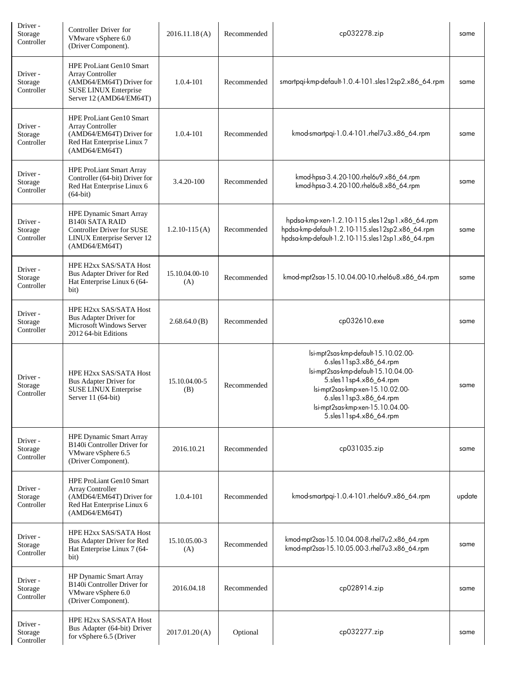| Driver -<br>Storage<br>Controller | Controller Driver for<br>VMware vSphere 6.0<br>(Driver Component).                                                                           | 2016.11.18(A)         | Recommended | cp032278.zip                                                                                                                                                                                                                                                 | same   |
|-----------------------------------|----------------------------------------------------------------------------------------------------------------------------------------------|-----------------------|-------------|--------------------------------------------------------------------------------------------------------------------------------------------------------------------------------------------------------------------------------------------------------------|--------|
| Driver -<br>Storage<br>Controller | <b>HPE ProLiant Gen10 Smart</b><br>Array Controller<br>(AMD64/EM64T) Driver for<br><b>SUSE LINUX Enterprise</b><br>Server 12 (AMD64/EM64T)   | 1.0.4-101             | Recommended | smartpqi-kmp-default-1.0.4-101.sles12sp2.x86_64.rpm                                                                                                                                                                                                          | same   |
| Driver -<br>Storage<br>Controller | HPE ProLiant Gen10 Smart<br>Array Controller<br>(AMD64/EM64T) Driver for<br>Red Hat Enterprise Linux 7<br>(AMD64/EM64T)                      | 1.0.4-101             | Recommended | kmod-smartpqi-1.0.4-101.rhel7u3.x86_64.rpm                                                                                                                                                                                                                   | same   |
| Driver-<br>Storage<br>Controller  | <b>HPE ProLiant Smart Array</b><br>Controller (64-bit) Driver for<br>Red Hat Enterprise Linux 6<br>$(64-bit)$                                | 3.4.20-100            | Recommended | kmod-hpsa-3.4.20-100.rhel6u9.x86_64.rpm<br>kmod-hpsa-3.4.20-100.rhel6u8.x86_64.rpm                                                                                                                                                                           | same   |
| Driver -<br>Storage<br>Controller | <b>HPE Dynamic Smart Array</b><br><b>B140i SATA RAID</b><br><b>Controller Driver for SUSE</b><br>LINUX Enterprise Server 12<br>(AMD64/EM64T) | $1.2.10 - 115(A)$     | Recommended | hpdsa-kmp-xen-1.2.10-115.sles12sp1.x86_64.rpm<br>hpdsa-kmp-default-1.2.10-115.sles12sp2.x86_64.rpm<br>hpdsa-kmp-default-1.2.10-115.sles12sp1.x86_64.rpm                                                                                                      | same   |
| Driver -<br>Storage<br>Controller | HPE H2xx SAS/SATA Host<br>Bus Adapter Driver for Red<br>Hat Enterprise Linux 6 (64-<br>bit)                                                  | 15.10.04.00-10<br>(A) | Recommended | kmod-mpt2sas-15.10.04.00-10.rhel6u8.x86_64.rpm                                                                                                                                                                                                               | same   |
| Driver -<br>Storage<br>Controller | HPE H2xx SAS/SATA Host<br>Bus Adapter Driver for<br>Microsoft Windows Server<br>2012 64-bit Editions                                         | 2.68.64.0(B)          | Recommended | cp032610.exe                                                                                                                                                                                                                                                 | same   |
| Driver-<br>Storage<br>Controller  | HPE H2xx SAS/SATA Host<br>Bus Adapter Driver for<br>SUSE LINUX Enterprise<br>Server 11 (64-bit)                                              | 15.10.04.00-5<br>(B)  | Recommended | lsi-mpt2sas-kmp-default-15.10.02.00-<br>6.sles11sp3.x86_64.rpm<br>lsi-mpt2sas-kmp-default-15.10.04.00-<br>5.sles11sp4.x86_64.rpm<br>lsi-mpt2sas-kmp-xen-15.10.02.00-<br>6.sles11sp3.x86_64.rpm<br>lsi-mpt2sas-kmp-xen-15.10.04.00-<br>5.sles11sp4.x86_64.rpm | same   |
| Driver-<br>Storage<br>Controller  | <b>HPE Dynamic Smart Array</b><br>B140i Controller Driver for<br>VMware vSphere 6.5<br>(Driver Component).                                   | 2016.10.21            | Recommended | cp031035.zip                                                                                                                                                                                                                                                 | same   |
| Driver -<br>Storage<br>Controller | HPE ProLiant Gen10 Smart<br>Array Controller<br>(AMD64/EM64T) Driver for<br>Red Hat Enterprise Linux 6<br>(AMD64/EM64T)                      | 1.0.4-101             | Recommended | kmod-smartpqi-1.0.4-101.rhel6u9.x86_64.rpm                                                                                                                                                                                                                   | update |
| Driver -<br>Storage<br>Controller | HPE H2xx SAS/SATA Host<br>Bus Adapter Driver for Red<br>Hat Enterprise Linux 7 (64-<br>bit)                                                  | 15.10.05.00-3<br>(A)  | Recommended | kmod-mpt2sas-15.10.04.00-8.rhel7u2.x86_64.rpm<br>kmod-mpt2sas-15.10.05.00-3.rhel7u3.x86_64.rpm                                                                                                                                                               | same   |
| Driver-<br>Storage<br>Controller  | <b>HP Dynamic Smart Array</b><br>B140i Controller Driver for<br>VMware vSphere 6.0<br>(Driver Component).                                    | 2016.04.18            | Recommended | cp028914.zip                                                                                                                                                                                                                                                 | same   |
| Driver -<br>Storage<br>Controller | HPE H2xx SAS/SATA Host<br>Bus Adapter (64-bit) Driver<br>for vSphere 6.5 (Driver                                                             | 2017.01.20(A)         | Optional    | cp032277.zip                                                                                                                                                                                                                                                 | same   |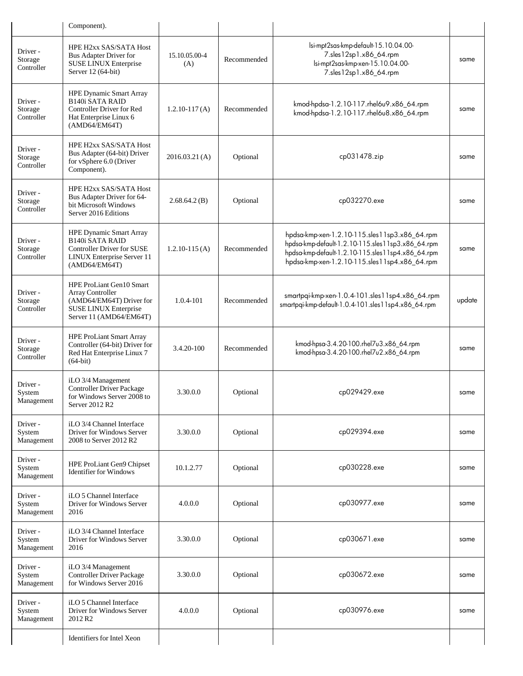|                                   | Component).                                                                                                                                  |                      |             |                                                                                                                                                                                                          |        |
|-----------------------------------|----------------------------------------------------------------------------------------------------------------------------------------------|----------------------|-------------|----------------------------------------------------------------------------------------------------------------------------------------------------------------------------------------------------------|--------|
| Driver -<br>Storage<br>Controller | HPE H2xx SAS/SATA Host<br>Bus Adapter Driver for<br>SUSE LINUX Enterprise<br>Server 12 (64-bit)                                              | 15.10.05.00-4<br>(A) | Recommended | lsi-mpt2sas-kmp-default-15.10.04.00-<br>7.sles12sp1.x86_64.rpm<br>lsi-mpt2sas-kmp-xen-15.10.04.00-<br>7.sles12sp1.x86_64.rpm                                                                             | same   |
| Driver -<br>Storage<br>Controller | HPE Dynamic Smart Array<br><b>B140i SATA RAID</b><br><b>Controller Driver for Red</b><br>Hat Enterprise Linux 6<br>(AMD64/EM64T)             | $1.2.10 - 117(A)$    | Recommended | kmod-hpdsa-1.2.10-117.rhel6u9.x86_64.rpm<br>kmod-hpdsa-1.2.10-117.rhel6u8.x86_64.rpm                                                                                                                     | same   |
| Driver -<br>Storage<br>Controller | HPE H2xx SAS/SATA Host<br>Bus Adapter (64-bit) Driver<br>for vSphere 6.0 (Driver<br>Component).                                              | 2016.03.21(A)        | Optional    | cp031478.zip                                                                                                                                                                                             | same   |
| Driver -<br>Storage<br>Controller | HPE H2xx SAS/SATA Host<br>Bus Adapter Driver for 64-<br>bit Microsoft Windows<br>Server 2016 Editions                                        | 2.68.64.2(B)         | Optional    | cp032270.exe                                                                                                                                                                                             | same   |
| Driver-<br>Storage<br>Controller  | HPE Dynamic Smart Array<br><b>B140i SATA RAID</b><br><b>Controller Driver for SUSE</b><br><b>LINUX Enterprise Server 11</b><br>(AMD64/EM64T) | $1.2.10 - 115(A)$    | Recommended | hpdsa-kmp-xen-1.2.10-115.sles11sp3.x86_64.rpm<br>hpdsa-kmp-default-1.2.10-115.sles11sp3.x86_64.rpm<br>hpdsa-kmp-default-1.2.10-115.sles11sp4.x86_64.rpm<br>hpdsa-kmp-xen-1.2.10-115.sles11sp4.x86 64.rpm | same   |
| Driver-<br>Storage<br>Controller  | <b>HPE ProLiant Gen10 Smart</b><br>Array Controller<br>(AMD64/EM64T) Driver for<br>SUSE LINUX Enterprise<br>Server 11 (AMD64/EM64T)          | 1.0.4-101            | Recommended | smartpqi-kmp-xen-1.0.4-101.sles11sp4.x86_64.rpm<br>smartpqi-kmp-default-1.0.4-101.sles11sp4.x86_64.rpm                                                                                                   | update |
| Driver -<br>Storage<br>Controller | <b>HPE ProLiant Smart Array</b><br>Controller (64-bit) Driver for<br>Red Hat Enterprise Linux 7<br>$(64-bit)$                                | 3.4.20-100           | Recommended | kmod-hpsa-3.4.20-100.rhel7u3.x86_64.rpm<br>kmod-hpsa-3.4.20-100.rhel7u2.x86 64.rpm                                                                                                                       | same   |
| Driver -<br>System<br>Management  | iLO 3/4 Management<br><b>Controller Driver Package</b><br>for Windows Server 2008 to<br>Server 2012 R2                                       | 3.30.0.0             | Optional    | cp029429.exe                                                                                                                                                                                             | same   |
| Driver -<br>System<br>Management  | iLO 3/4 Channel Interface<br>Driver for Windows Server<br>2008 to Server 2012 R2                                                             | 3.30.0.0             | Optional    | cp029394.exe                                                                                                                                                                                             | same   |
| Driver -<br>System<br>Management  | <b>HPE ProLiant Gen9 Chipset</b><br><b>Identifier for Windows</b>                                                                            | 10.1.2.77            | Optional    | cp030228.exe                                                                                                                                                                                             | same   |
| Driver -<br>System<br>Management  | iLO 5 Channel Interface<br>Driver for Windows Server<br>2016                                                                                 | 4.0.0.0              | Optional    | cp030977.exe                                                                                                                                                                                             | same   |
| Driver-<br>System<br>Management   | iLO 3/4 Channel Interface<br>Driver for Windows Server<br>2016                                                                               | 3.30.0.0             | Optional    | cp030671.exe                                                                                                                                                                                             | same   |
| Driver -<br>System<br>Management  | iLO 3/4 Management<br><b>Controller Driver Package</b><br>for Windows Server 2016                                                            | 3.30.0.0             | Optional    | cp030672.exe                                                                                                                                                                                             | same   |
| Driver-<br>System<br>Management   | iLO 5 Channel Interface<br>Driver for Windows Server<br>2012 R <sub>2</sub>                                                                  | 4.0.0.0              | Optional    | cp030976.exe                                                                                                                                                                                             | same   |
|                                   | Identifiers for Intel Xeon                                                                                                                   |                      |             |                                                                                                                                                                                                          |        |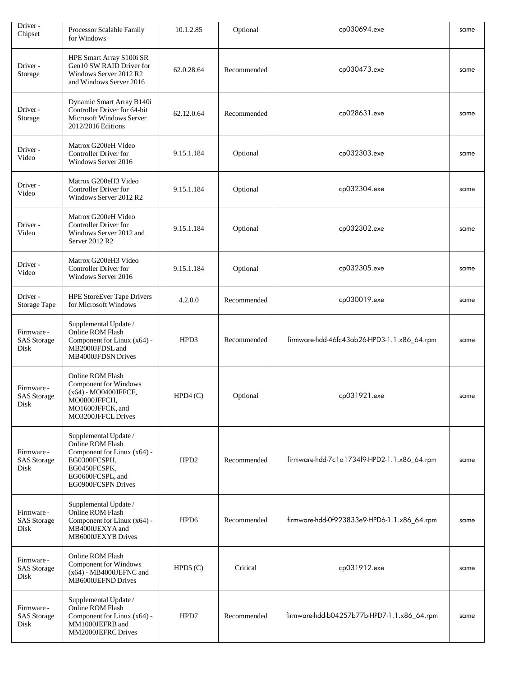| Driver -<br>Chipset                      | Processor Scalable Family<br>for Windows                                                                                                           | 10.1.2.85        | Optional    | cp030694.exe                                | same |
|------------------------------------------|----------------------------------------------------------------------------------------------------------------------------------------------------|------------------|-------------|---------------------------------------------|------|
| Driver-<br>Storage                       | HPE Smart Array S100i SR<br>Gen10 SW RAID Driver for<br>Windows Server 2012 R2<br>and Windows Server 2016                                          | 62.0.28.64       | Recommended | cp030473.exe                                | same |
| Driver-<br>Storage                       | Dynamic Smart Array B140i<br>Controller Driver for 64-bit<br><b>Microsoft Windows Server</b><br>2012/2016 Editions                                 | 62.12.0.64       | Recommended | cp028631.exe                                | same |
| Driver -<br>Video                        | Matrox G200eH Video<br>Controller Driver for<br>Windows Server 2016                                                                                | 9.15.1.184       | Optional    | cp032303.exe                                | same |
| Driver-<br>Video                         | Matrox G200eH3 Video<br><b>Controller Driver for</b><br>Windows Server 2012 R2                                                                     | 9.15.1.184       | Optional    | cp032304.exe                                | same |
| Driver-<br>Video                         | Matrox G200eH Video<br><b>Controller Driver for</b><br>Windows Server 2012 and<br>Server 2012 R2                                                   | 9.15.1.184       | Optional    | cp032302.exe                                | same |
| Driver-<br>Video                         | Matrox G200eH3 Video<br><b>Controller Driver for</b><br>Windows Server 2016                                                                        | 9.15.1.184       | Optional    | cp032305.exe                                | same |
| Driver -<br><b>Storage Tape</b>          | <b>HPE StoreEver Tape Drivers</b><br>for Microsoft Windows                                                                                         | 4.2.0.0          | Recommended | cp030019.exe                                | same |
| Firmware -<br><b>SAS</b> Storage<br>Disk | Supplemental Update /<br>Online ROM Flash<br>Component for Linux (x64) -<br>MB2000JFDSL and<br>MB4000JFDSN Drives                                  | HPD3             | Recommended | firmware-hdd-46fc43ab26-HPD3-1.1.x86_64.rpm | same |
| Firmware -<br><b>SAS</b> Storage<br>Disk | Online ROM Flash<br><b>Component for Windows</b><br>(x64) - MO0400JFFCF,<br>MO0800JFFCH,<br>MO1600JFFCK, and<br>MO3200JFFCL Drives                 | HPD4(C)          | Optional    | cp031921.exe                                | same |
| Firmware -<br><b>SAS</b> Storage<br>Disk | Supplemental Update /<br>Online ROM Flash<br>Component for Linux (x64) -<br>EG0300FCSPH,<br>EG0450FCSPK,<br>EG0600FCSPL, and<br>EG0900FCSPN Drives | HPD <sub>2</sub> | Recommended | firmware-hdd-7c1a1734f9-HPD2-1.1.x86_64.rpm | same |
| Firmware -<br><b>SAS</b> Storage<br>Disk | Supplemental Update /<br>Online ROM Flash<br>Component for Linux (x64) -<br>MB4000JEXYA and<br>MB6000JEXYB Drives                                  | HPD <sub>6</sub> | Recommended | firmware-hdd-0f923833e9-HPD6-1.1.x86_64.rpm | same |
| Firmware -<br><b>SAS</b> Storage<br>Disk | Online ROM Flash<br>Component for Windows<br>$(x64)$ - MB4000JEFNC and<br>MB6000JEFND Drives                                                       | HPD5(C)          | Critical    | cp031912.exe                                | same |
| Firmware -<br><b>SAS</b> Storage<br>Disk | Supplemental Update /<br>Online ROM Flash<br>Component for Linux (x64) -<br>MM1000JEFRB and<br>MM2000JEFRC Drives                                  | HPD7             | Recommended | firmware-hdd-b04257b77b-HPD7-1.1.x86_64.rpm | same |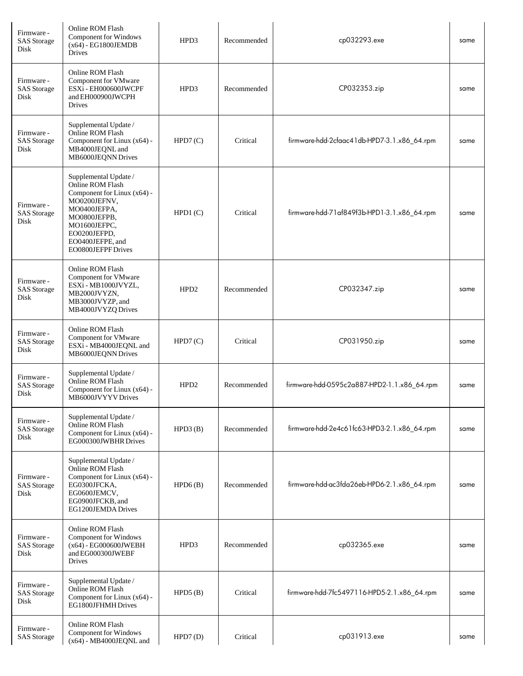| Firmware -<br><b>SAS</b> Storage<br>Disk | Online ROM Flash<br><b>Component for Windows</b><br>$(x64) - EG1800JEMDB$<br>Drives                                                                                                                | HPD3             | Recommended | cp032293.exe                                | same |
|------------------------------------------|----------------------------------------------------------------------------------------------------------------------------------------------------------------------------------------------------|------------------|-------------|---------------------------------------------|------|
| Firmware -<br><b>SAS</b> Storage<br>Disk | Online ROM Flash<br>Component for VMware<br>ESXi - EH000600JWCPF<br>and EH000900JWCPH<br>Drives                                                                                                    | HPD3             | Recommended | CP032353.zip                                | same |
| Firmware -<br><b>SAS</b> Storage<br>Disk | Supplemental Update /<br>Online ROM Flash<br>Component for Linux (x64) -<br>MB4000JEQNL and<br>MB6000JEQNN Drives                                                                                  | HPD7(C)          | Critical    | firmware-hdd-2cfaac41db-HPD7-3.1.x86_64.rpm | same |
| Firmware -<br><b>SAS</b> Storage<br>Disk | Supplemental Update /<br>Online ROM Flash<br>Component for Linux (x64) -<br>MO0200JEFNV,<br>MO0400JEFPA,<br>MO0800JEFPB,<br>MO1600JEFPC,<br>EO0200JEFPD,<br>EO0400JEFPE, and<br>EO0800JEFPF Drives | HPD1(C)          | Critical    | firmware-hdd-71af849f3b-HPD1-3.1.x86_64.rpm | same |
| Firmware -<br><b>SAS</b> Storage<br>Disk | Online ROM Flash<br>Component for VMware<br>ESXi - MB1000JVYZL,<br>MB2000JVYZN,<br>MB3000JVYZP, and<br>MB4000JVYZQ Drives                                                                          | HPD <sub>2</sub> | Recommended | CP032347.zip                                | same |
| Firmware -<br><b>SAS</b> Storage<br>Disk | Online ROM Flash<br>Component for VMware<br>ESXi - MB4000JEQNL and<br>MB6000JEQNN Drives                                                                                                           | HPD7(C)          | Critical    | CP031950.zip                                | same |
| Firmware -<br><b>SAS</b> Storage<br>Disk | Supplemental Update /<br>Online ROM Flash<br>Component for Linux $(x64)$ -<br>MB6000JVYYVDrives                                                                                                    | HPD <sub>2</sub> | Recommended | firmware-hdd-0595c2a887-HPD2-1.1.x86_64.rpm | same |
| Firmware -<br><b>SAS</b> Storage<br>Disk | Supplemental Update /<br>Online ROM Flash<br>Component for Linux (x64) -<br>EG000300JWBHR Drives                                                                                                   | HPD3(B)          | Recommended | firmware-hdd-2e4c61fc63-HPD3-2.1.x86_64.rpm | same |
| Firmware -<br><b>SAS</b> Storage<br>Disk | Supplemental Update /<br>Online ROM Flash<br>Component for Linux (x64) -<br>EG0300JFCKA,<br>EG0600JEMCV,<br>EG0900JFCKB, and<br>EG1200JEMDA Drives                                                 | HPD6(B)          | Recommended | firmware-hdd-ac3fda26eb-HPD6-2.1.x86_64.rpm | same |
| Firmware -<br><b>SAS</b> Storage<br>Disk | Online ROM Flash<br><b>Component for Windows</b><br>(x64) - EG000600JWEBH<br>and EG000300JWEBF<br>Drives                                                                                           | HPD3             | Recommended | cp032365.exe                                | same |
| Firmware -<br><b>SAS</b> Storage<br>Disk | Supplemental Update /<br>Online ROM Flash<br>Component for Linux (x64) -<br>EG1800JFHMH Drives                                                                                                     | HPD5(B)          | Critical    | firmware-hdd-7fc5497116-HPD5-2.1.x86_64.rpm | same |
| Firmware -<br><b>SAS</b> Storage         | Online ROM Flash<br>Component for Windows<br>$(x64)$ - MB4000JEQNL and                                                                                                                             | HPD7(D)          | Critical    | cp031913.exe                                | same |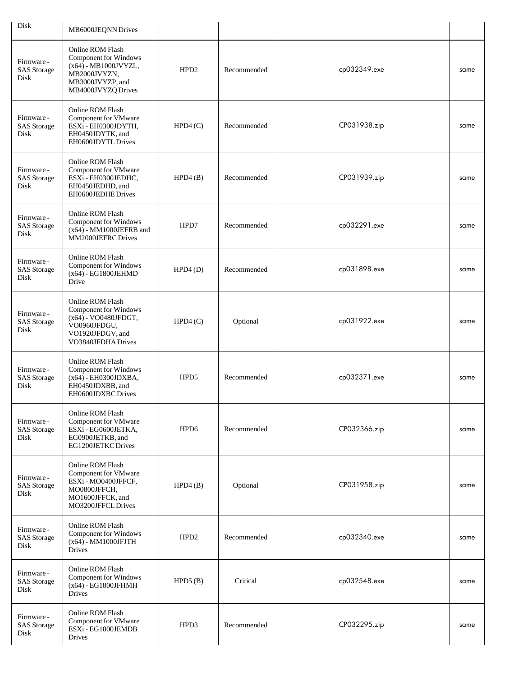| Disk                                     | MB6000JEQNN Drives                                                                                                                 |                  |             |              |      |
|------------------------------------------|------------------------------------------------------------------------------------------------------------------------------------|------------------|-------------|--------------|------|
| Firmware -<br><b>SAS</b> Storage<br>Disk | Online ROM Flash<br>Component for Windows<br>$(x64)$ - MB1000JVYZL,<br>MB2000JVYZN,<br>MB3000JVYZP, and<br>MB4000JVYZQ Drives      | HPD <sub>2</sub> | Recommended | cp032349.exe | same |
| Firmware -<br><b>SAS</b> Storage<br>Disk | Online ROM Flash<br>Component for VMware<br>ESXi - EH0300JDYTH,<br>EH0450JDYTK, and<br>EH0600JDYTL Drives                          | HPD4(C)          | Recommended | CP031938.zip | same |
| Firmware -<br><b>SAS</b> Storage<br>Disk | Online ROM Flash<br>Component for VMware<br>ESXi - EH0300JEDHC,<br>EH0450JEDHD, and<br>EH0600JEDHE Drives                          | HPD4(B)          | Recommended | CP031939.zip | same |
| Firmware -<br><b>SAS</b> Storage<br>Disk | Online ROM Flash<br>Component for Windows<br>$(x64)$ - MM1000JEFRB and<br>MM2000JEFRC Drives                                       | HPD7             | Recommended | cp032291.exe | same |
| Firmware -<br><b>SAS</b> Storage<br>Disk | Online ROM Flash<br>Component for Windows<br>$(x64) - EG1800JEHMD$<br>Drive                                                        | HPD4(D)          | Recommended | cp031898.exe | same |
| Firmware -<br><b>SAS</b> Storage<br>Disk | Online ROM Flash<br><b>Component for Windows</b><br>(x64) - VO0480JFDGT,<br>VO0960JFDGU,<br>VO1920JFDGV, and<br>VO3840JFDHA Drives | HPD4(C)          | Optional    | cp031922.exe | same |
| Firmware -<br><b>SAS</b> Storage<br>Disk | Online ROM Flash<br>Component for Windows<br>(x64) - EH0300JDXBA,<br>EH0450JDXBB, and<br>EH0600JDXBC Drives                        | HPD5             | Recommended | cp032371.exe | same |
| Firmware -<br><b>SAS</b> Storage<br>Disk | Online ROM Flash<br><b>Component for VMware</b><br>ESXi - EG0600JETKA,<br>EG0900JETKB, and<br>EG1200JETKC Drives                   | HPD6             | Recommended | CP032366.zip | same |
| Firmware -<br><b>SAS</b> Storage<br>Disk | Online ROM Flash<br>Component for VMware<br>ESXi - MO0400JFFCF,<br>MO0800JFFCH,<br>MO1600JFFCK, and<br>MO3200JFFCL Drives          | HPD4(B)          | Optional    | CP031958.zip | same |
| Firmware -<br><b>SAS</b> Storage<br>Disk | Online ROM Flash<br>Component for Windows<br>(x64) - MM1000JFJTH<br>Drives                                                         | HPD <sub>2</sub> | Recommended | cp032340.exe | same |
| Firmware -<br><b>SAS</b> Storage<br>Disk | Online ROM Flash<br>Component for Windows<br>(x64) - EG1800JFHMH<br>Drives                                                         | HPD5(B)          | Critical    | cp032548.exe | same |
| Firmware -<br><b>SAS</b> Storage<br>Disk | Online ROM Flash<br>Component for VMware<br>ESXi - EG1800JEMDB<br>Drives                                                           | HPD3             | Recommended | CP032295.zip | same |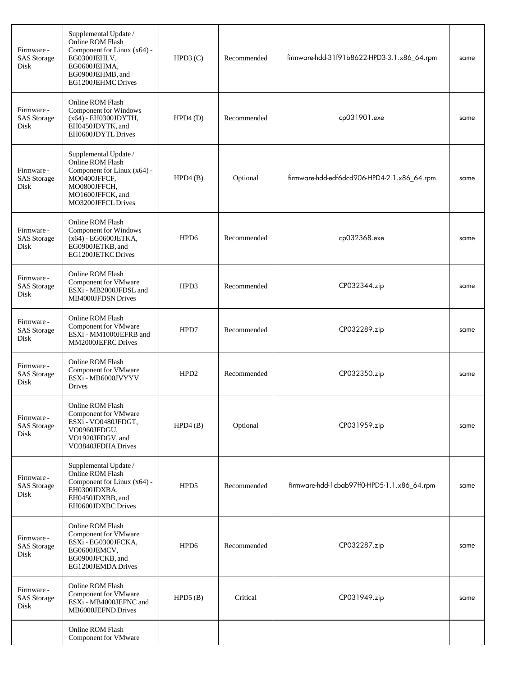| Firmware -<br><b>SAS</b> Storage<br>Disk | Supplemental Update /<br>Online ROM Flash<br>Component for Linux (x64) -<br>EG0300JEHLV,<br>EG0600JEHMA,<br>EG0900JEHMB, and<br>EG1200JEHMC Drives | HPD3(C)          | Recommended | firmware-hdd-31f91b8622-HPD3-3.1.x86_64.rpm | same |
|------------------------------------------|----------------------------------------------------------------------------------------------------------------------------------------------------|------------------|-------------|---------------------------------------------|------|
| Firmware -<br><b>SAS</b> Storage<br>Disk | Online ROM Flash<br><b>Component for Windows</b><br>(x64) - EH0300JDYTH,<br>EH0450JDYTK, and<br>EH0600JDYTL Drives                                 | HPD4(D)          | Recommended | cp031901.exe                                | same |
| Firmware -<br><b>SAS</b> Storage<br>Disk | Supplemental Update /<br>Online ROM Flash<br>Component for Linux (x64) -<br>MO0400JFFCF,<br>MO0800JFFCH,<br>MO1600JFFCK, and<br>MO3200JFFCL Drives | HPD4(B)          | Optional    | firmware-hdd-edf6dcd906-HPD4-2.1.x86_64.rpm | same |
| Firmware -<br><b>SAS</b> Storage<br>Disk | Online ROM Flash<br>Component for Windows<br>(x64) - EG0600JETKA,<br>EG0900JETKB, and<br><b>EG1200JETKC Drives</b>                                 | HPD6             | Recommended | cp032368.exe                                | same |
| Firmware -<br><b>SAS</b> Storage<br>Disk | Online ROM Flash<br><b>Component for VMware</b><br>ESXi - MB2000JFDSL and<br>MB4000JFDSN Drives                                                    | HPD3             | Recommended | CP032344.zip                                | same |
| Firmware -<br><b>SAS</b> Storage<br>Disk | Online ROM Flash<br><b>Component for VMware</b><br>ESXi - MM1000JEFRB and<br>MM2000JEFRC Drives                                                    | HPD7             | Recommended | CP032289.zip                                | same |
| Firmware -<br><b>SAS</b> Storage<br>Disk | Online ROM Flash<br><b>Component for VMware</b><br>ESXi - MB6000JVYYV<br>Drives                                                                    | HPD <sub>2</sub> | Recommended | CP032350.zip                                | same |
| Firmware -<br><b>SAS</b> Storage<br>Disk | Online ROM Flash<br>Component for VMware<br>ESXi - VO0480JFDGT,<br>VO0960JFDGU,<br>VO1920JFDGV, and<br>VO3840JFDHA Drives                          | HPD4(B)          | Optional    | CP031959.zip                                | same |
| Firmware -<br><b>SAS</b> Storage<br>Disk | Supplemental Update /<br>Online ROM Flash<br>Component for Linux (x64) -<br>EH0300JDXBA,<br>EH0450JDXBB, and<br>EH0600JDXBC Drives                 | HPD5             | Recommended | firmware-hdd-1cbab97ff0-HPD5-1.1.x86_64.rpm | same |
| Firmware -<br><b>SAS</b> Storage<br>Disk | Online ROM Flash<br>Component for VMware<br>ESXi - EG0300JFCKA,<br>EG0600JEMCV,<br>EG0900JFCKB, and<br>EG1200JEMDA Drives                          | HPD <sub>6</sub> | Recommended | CP032287.zip                                | same |
| Firmware -<br><b>SAS</b> Storage<br>Disk | Online ROM Flash<br>Component for VMware<br>ESXi - MB4000JEFNC and<br>MB6000JEFND Drives                                                           | HPD5(B)          | Critical    | CP031949.zip                                | same |
|                                          | Online ROM Flash<br>Component for VMware                                                                                                           |                  |             |                                             |      |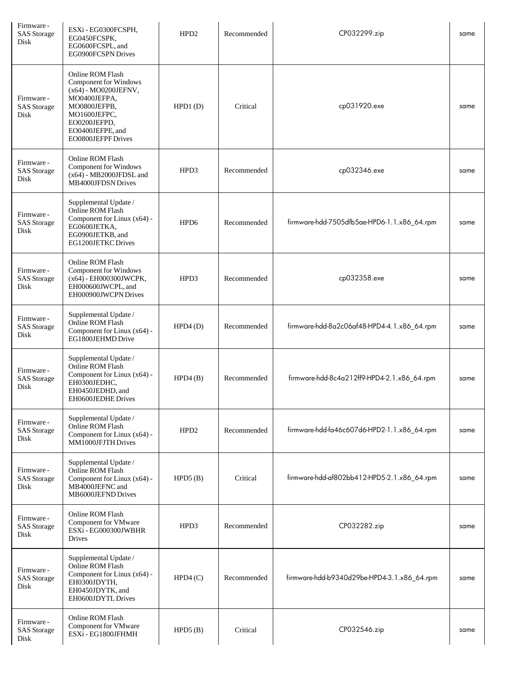| Firmware -<br><b>SAS</b> Storage<br>Disk | ESXi - EG0300FCSPH,<br>EG0450FCSPK,<br>EG0600FCSPL, and<br>EG0900FCSPN Drives                                                                                                      | HPD <sub>2</sub> | Recommended | CP032299.zip                                | same |
|------------------------------------------|------------------------------------------------------------------------------------------------------------------------------------------------------------------------------------|------------------|-------------|---------------------------------------------|------|
| Firmware -<br><b>SAS</b> Storage<br>Disk | Online ROM Flash<br><b>Component for Windows</b><br>(x64) - MO0200JEFNV,<br>MO0400JEFPA,<br>MO0800JEFPB,<br>MO1600JEFPC,<br>EO0200JEFPD,<br>EO0400JEFPE, and<br>EO0800JEFPF Drives | HPD1(D)          | Critical    | cp031920.exe                                | same |
| Firmware -<br><b>SAS</b> Storage<br>Disk | Online ROM Flash<br>Component for Windows<br>$(x64)$ - MB2000JFDSL and<br>MB4000JFDSN Drives                                                                                       | HPD3             | Recommended | cp032346.exe                                | same |
| Firmware -<br><b>SAS</b> Storage<br>Disk | Supplemental Update /<br>Online ROM Flash<br>Component for Linux (x64) -<br>EG0600JETKA,<br>EG0900JETKB, and<br>EG1200JETKC Drives                                                 | HPD <sub>6</sub> | Recommended | firmware-hdd-7505dfb5ae-HPD6-1.1.x86_64.rpm | same |
| Firmware -<br><b>SAS</b> Storage<br>Disk | Online ROM Flash<br>Component for Windows<br>(x64) - EH000300JWCPK,<br>EH000600JWCPL, and<br>EH000900JWCPN Drives                                                                  | HPD3             | Recommended | cp032358.exe                                | same |
| Firmware -<br><b>SAS</b> Storage<br>Disk | Supplemental Update /<br>Online ROM Flash<br>Component for Linux (x64) -<br>EG1800JEHMD Drive                                                                                      | HPD4(D)          | Recommended | firmware-hdd-8a2c06af48-HPD4-4.1.x86_64.rpm | same |
| Firmware -<br><b>SAS</b> Storage<br>Disk | Supplemental Update /<br>Online ROM Flash<br>Component for Linux (x64) -<br>EH0300JEDHC,<br>EH0450JEDHD, and<br>EH0600JEDHE Drives                                                 | HPD4(B)          | Recommended | firmware-hdd-8c4a212ff9-HPD4-2.1.x86_64.rpm | same |
| Firmware -<br><b>SAS</b> Storage<br>Disk | Supplemental Update /<br>Online ROM Flash<br>Component for Linux (x64) -<br>MM1000JFJTH Drives                                                                                     | HPD <sub>2</sub> | Recommended | firmware-hdd-fa46c607d6-HPD2-1.1.x86_64.rpm | same |
| Firmware -<br><b>SAS</b> Storage<br>Disk | Supplemental Update /<br>Online ROM Flash<br>Component for Linux (x64) -<br>MB4000JEFNC and<br>MB6000JEFND Drives                                                                  | HPD5(B)          | Critical    | firmware-hdd-af802bb412-HPD5-2.1.x86_64.rpm | same |
| Firmware -<br><b>SAS</b> Storage<br>Disk | Online ROM Flash<br>Component for VMware<br>ESXi - EG000300JWBHR<br><b>Drives</b>                                                                                                  | HPD3             | Recommended | CP032282.zip                                | same |
| Firmware -<br><b>SAS</b> Storage<br>Disk | Supplemental Update /<br>Online ROM Flash<br>Component for Linux (x64) -<br>EH0300JDYTH,<br>EH0450JDYTK, and<br>EH0600JDYTL Drives                                                 | HPD4(C)          | Recommended | firmware-hdd-b9340d29be-HPD4-3.1.x86_64.rpm | same |
| Firmware -<br><b>SAS</b> Storage<br>Disk | Online ROM Flash<br><b>Component for VMware</b><br>ESXi - EG1800JFHMH                                                                                                              | HPD5(B)          | Critical    | CP032546.zip                                | same |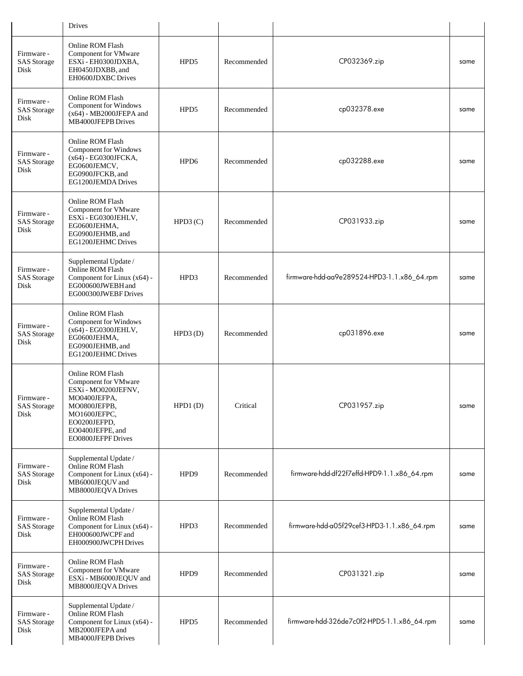|                                          | <b>Drives</b>                                                                                                                                                             |         |             |                                             |      |
|------------------------------------------|---------------------------------------------------------------------------------------------------------------------------------------------------------------------------|---------|-------------|---------------------------------------------|------|
| Firmware -<br><b>SAS</b> Storage<br>Disk | Online ROM Flash<br><b>Component for VMware</b><br>ESXi - EH0300JDXBA,<br>EH0450JDXBB, and<br>EH0600JDXBC Drives                                                          | HPD5    | Recommended | CP032369.zip                                | same |
| Firmware -<br><b>SAS</b> Storage<br>Disk | Online ROM Flash<br>Component for Windows<br>$(x64)$ - MB2000JFEPA and<br><b>MB4000JFEPB</b> Drives                                                                       | HPD5    | Recommended | cp032378.exe                                | same |
| Firmware -<br><b>SAS</b> Storage<br>Disk | Online ROM Flash<br>Component for Windows<br>(x64) - EG0300JFCKA,<br>EG0600JEMCV,<br>EG0900JFCKB, and<br>EG1200JEMDA Drives                                               | HPD6    | Recommended | cp032288.exe                                | same |
| Firmware -<br><b>SAS</b> Storage<br>Disk | Online ROM Flash<br>Component for VMware<br>ESXi - EG0300JEHLV,<br>EG0600JEHMA,<br>EG0900JEHMB, and<br>EG1200JEHMC Drives                                                 | HPD3(C) | Recommended | CP031933.zip                                | same |
| Firmware -<br><b>SAS</b> Storage<br>Disk | Supplemental Update /<br>Online ROM Flash<br>Component for Linux (x64) -<br>EG000600JWEBH and<br>EG000300JWEBFDrives                                                      | HPD3    | Recommended | firmware-hdd-aa9e289524-HPD3-1.1.x86_64.rpm | same |
| Firmware -<br><b>SAS</b> Storage<br>Disk | Online ROM Flash<br>Component for Windows<br>$(x64)$ - EG0300JEHLV,<br>EG0600JEHMA,<br>EG0900JEHMB, and<br>EG1200JEHMC Drives                                             | HPD3(D) | Recommended | cp031896.exe                                | same |
| Firmware -<br><b>SAS</b> Storage<br>Disk | Online ROM Flash<br>Component for VMware<br>ESXi - MO0200JEFNV,<br>MO0400JEFPA,<br>MO0800JEFPB,<br>MO1600JEFPC,<br>EO0200JEFPD,<br>EO0400JEFPE, and<br>EO0800JEFPF Drives | HPD1(D) | Critical    | CP031957.zip                                | same |
| Firmware -<br><b>SAS</b> Storage<br>Disk | Supplemental Update /<br>Online ROM Flash<br>Component for Linux (x64) -<br>MB6000JEQUV and<br>MB8000JEQVA Drives                                                         | HPD9    | Recommended | firmware-hdd-df22f7effd-HPD9-1.1.x86_64.rpm | same |
| Firmware -<br><b>SAS</b> Storage<br>Disk | Supplemental Update /<br>Online ROM Flash<br>Component for Linux (x64) -<br>EH000600JWCPF and<br>EH000900JWCPH Drives                                                     | HPD3    | Recommended | firmware-hdd-a05f29cef3-HPD3-1.1.x86_64.rpm | same |
| Firmware -<br><b>SAS</b> Storage<br>Disk | Online ROM Flash<br>Component for VMware<br>ESXi - MB6000JEQUV and<br>MB8000JEQVADrives                                                                                   | HPD9    | Recommended | CP031321.zip                                | same |
| Firmware -<br><b>SAS</b> Storage<br>Disk | Supplemental Update /<br>Online ROM Flash<br>Component for Linux (x64) -<br>MB2000JFEPA and<br>MB4000JFEPB Drives                                                         | HPD5    | Recommended | firmware-hdd-326de7c0f2-HPD5-1.1.x86_64.rpm | same |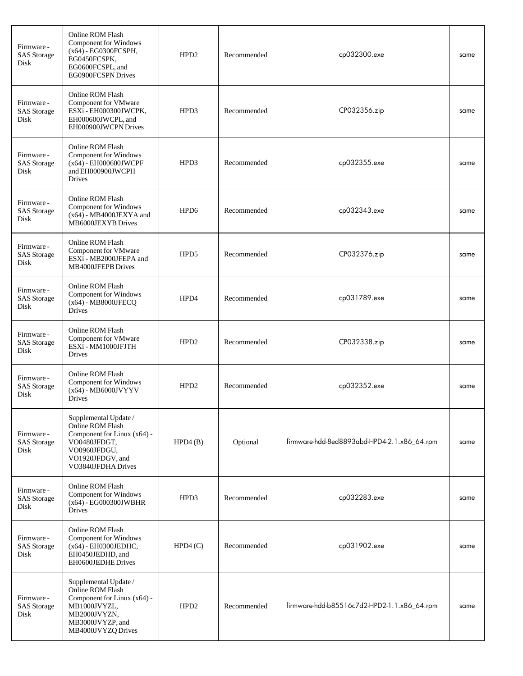| Firmware -<br><b>SAS</b> Storage<br>Disk | Online ROM Flash<br><b>Component for Windows</b><br>(x64) - EG0300FCSPH,<br>EG0450FCSPK,<br>EG0600FCSPL, and<br>EG0900FCSPN Drives                 | HPD <sub>2</sub> | Recommended | cp032300.exe                                | same |
|------------------------------------------|----------------------------------------------------------------------------------------------------------------------------------------------------|------------------|-------------|---------------------------------------------|------|
| Firmware -<br><b>SAS</b> Storage<br>Disk | Online ROM Flash<br>Component for VMware<br>ESXi - EH000300JWCPK,<br>EH000600JWCPL, and<br>EH000900JWCPN Drives                                    | HPD3             | Recommended | CP032356.zip                                | same |
| Firmware -<br><b>SAS</b> Storage<br>Disk | Online ROM Flash<br>Component for Windows<br>(x64) - EH000600JWCPF<br>and EH000900JWCPH<br>Drives                                                  | HPD3             | Recommended | cp032355.exe                                | same |
| Firmware -<br><b>SAS</b> Storage<br>Disk | Online ROM Flash<br>Component for Windows<br>$(x64)$ - MB4000JEXYA and<br>MB6000JEXYB Drives                                                       | HPD <sub>6</sub> | Recommended | cp032343.exe                                | same |
| Firmware -<br><b>SAS</b> Storage<br>Disk | Online ROM Flash<br>Component for VMware<br>ESXi - MB2000JFEPA and<br><b>MB4000JFEPB</b> Drives                                                    | HPD5             | Recommended | CP032376.zip                                | same |
| Firmware -<br><b>SAS</b> Storage<br>Disk | Online ROM Flash<br>Component for Windows<br>(x64) - MB8000JFECQ<br>Drives                                                                         | HPD4             | Recommended | cp031789.exe                                | same |
| Firmware -<br><b>SAS</b> Storage<br>Disk | Online ROM Flash<br>Component for VMware<br>ESXi - MM1000JFJTH<br>Drives                                                                           | HPD <sub>2</sub> | Recommended | CP032338.zip                                | same |
| Firmware -<br><b>SAS</b> Storage<br>Disk | Online ROM Flash<br><b>Component for Windows</b><br>$(x64)$ - MB6000JVYYV<br>Drives                                                                | HPD <sub>2</sub> | Recommended | cp032352.exe                                | same |
| Firmware -<br><b>SAS</b> Storage<br>Disk | Supplemental Update /<br>Online ROM Flash<br>Component for Linux (x64) -<br>VO0480JFDGT,<br>VO0960JFDGU,<br>VO1920JFDGV, and<br>VO3840JFDHA Drives | HPD4(B)          | Optional    | firmware-hdd-8ed8893abd-HPD4-2.1.x86_64.rpm | same |
| Firmware -<br><b>SAS</b> Storage<br>Disk | Online ROM Flash<br>Component for Windows<br>$(x64)$ - EG000300JWBHR<br>Drives                                                                     | HPD3             | Recommended | cp032283.exe                                | same |
| Firmware -<br><b>SAS</b> Storage<br>Disk | Online ROM Flash<br>Component for Windows<br>(x64) - EH0300JEDHC,<br>EH0450JEDHD, and<br>EH0600JEDHE Drives                                        | HPD4(C)          | Recommended | cp031902.exe                                | same |
| Firmware -<br><b>SAS</b> Storage<br>Disk | Supplemental Update /<br>Online ROM Flash<br>Component for Linux (x64) -<br>MB1000JVYZL,<br>MB2000JVYZN,<br>MB3000JVYZP, and<br>MB4000JVYZQ Drives | HPD <sub>2</sub> | Recommended | firmware-hdd-b85516c7d2-HPD2-1.1.x86_64.rpm | same |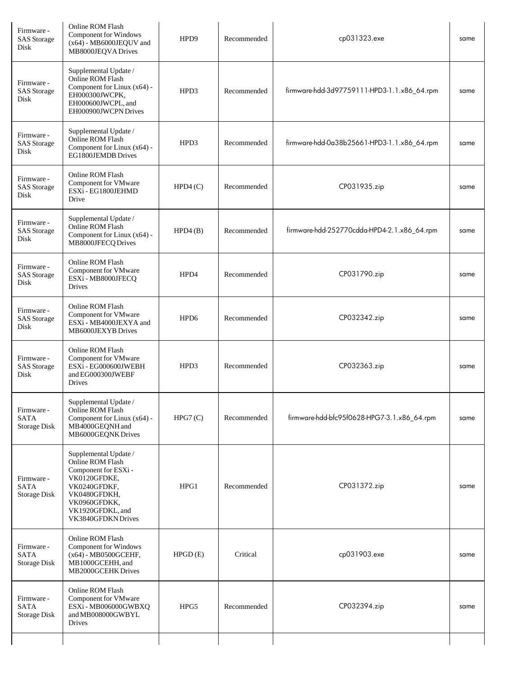| Firmware -<br><b>SAS</b> Storage<br>Disk  | Online ROM Flash<br><b>Component for Windows</b><br>$(x64)$ - MB6000JEQUV and<br>MB8000JEQVA Drives                                                                         | HPD9             | Recommended | cp031323.exe                                | same |
|-------------------------------------------|-----------------------------------------------------------------------------------------------------------------------------------------------------------------------------|------------------|-------------|---------------------------------------------|------|
| Firmware -<br><b>SAS</b> Storage<br>Disk  | Supplemental Update /<br>Online ROM Flash<br>Component for Linux (x64) -<br>EH000300JWCPK,<br>EH000600JWCPL, and<br>EH000900JWCPN Drives                                    | HPD3             | Recommended | firmware-hdd-3d97759111-HPD3-1.1.x86_64.rpm | same |
| Firmware -<br><b>SAS</b> Storage<br>Disk  | Supplemental Update /<br>Online ROM Flash<br>Component for Linux (x64) -<br>EG1800JEMDB Drives                                                                              | HPD3             | Recommended | firmware-hdd-0a38b25661-HPD3-1.1.x86_64.rpm | same |
| Firmware -<br><b>SAS</b> Storage<br>Disk  | Online ROM Flash<br>Component for VMware<br>ESXi - EG1800JEHMD<br>Drive                                                                                                     | HPD4(C)          | Recommended | CP031935.zip                                | same |
| Firmware -<br><b>SAS</b> Storage<br>Disk  | Supplemental Update /<br>Online ROM Flash<br>Component for Linux (x64) -<br>MB8000JFECQ Drives                                                                              | HPD4(B)          | Recommended | firmware-hdd-252770cdda-HPD4-2.1.x86_64.rpm | same |
| Firmware -<br><b>SAS</b> Storage<br>Disk  | Online ROM Flash<br>Component for VMware<br>ESXi - MB8000JFECQ<br>Drives                                                                                                    | HPD4             | Recommended | CP031790.zip                                | same |
| Firmware -<br><b>SAS</b> Storage<br>Disk  | Online ROM Flash<br>Component for VMware<br>ESXi - MB4000JEXYA and<br>MB6000JEXYB Drives                                                                                    | HPD <sub>6</sub> | Recommended | CP032342.zip                                | same |
| Firmware -<br><b>SAS</b> Storage<br>Disk  | Online ROM Flash<br>Component for VMware<br>ESXi - EG000600JWEBH<br>and EG000300JWEBF<br>Drives                                                                             | HPD3             | Recommended | CP032363.zip                                | same |
| Firmware -<br><b>SATA</b><br>Storage Disk | Supplemental Update /<br>Online ROM Flash<br>Component for Linux (x64) -<br>MB4000GEQNH and<br>MB6000GEQNK Drives                                                           | HPG7(C)          | Recommended | firmware-hdd-bfc95f0628-HPG7-3.1.x86_64.rpm | same |
| Firmware -<br><b>SATA</b><br>Storage Disk | Supplemental Update /<br>Online ROM Flash<br>Component for ESXi -<br>VK0120GFDKE,<br>VK0240GFDKF,<br>VK0480GFDKH,<br>VK0960GFDKK,<br>VK1920GFDKL, and<br>VK3840GFDKN Drives | HPG1             | Recommended | CP031372.zip                                | same |
| Firmware -<br><b>SATA</b><br>Storage Disk | Online ROM Flash<br>Component for Windows<br>(x64) - MB0500GCEHF,<br>MB1000GCEHH, and<br>MB2000GCEHK Drives                                                                 | HPGD(E)          | Critical    | cp031903.exe                                | same |
| Firmware -<br><b>SATA</b><br>Storage Disk | Online ROM Flash<br>Component for VMware<br>ESXi - MB006000GWBXQ<br>and MB008000GWBYL<br>Drives                                                                             | HPG5             | Recommended | CP032394.zip                                | same |
|                                           |                                                                                                                                                                             |                  |             |                                             |      |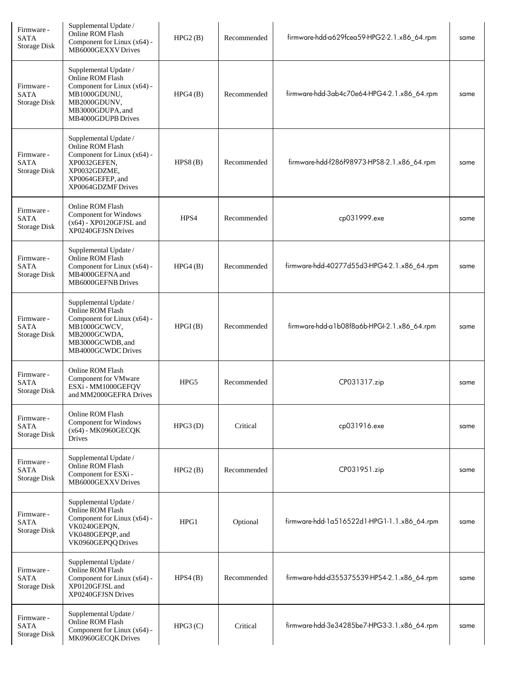| Firmware -<br><b>SATA</b><br>Storage Disk | Supplemental Update /<br>Online ROM Flash<br>Component for Linux (x64) -<br>MB6000GEXXV Drives                                                            | HPG2(B) | Recommended | firmware-hdd-a629fcea59-HPG2-2.1.x86_64.rpm | same |
|-------------------------------------------|-----------------------------------------------------------------------------------------------------------------------------------------------------------|---------|-------------|---------------------------------------------|------|
| Firmware -<br><b>SATA</b><br>Storage Disk | Supplemental Update /<br>Online ROM Flash<br>Component for Linux (x64) -<br>MB1000GDUNU,<br>MB2000GDUNV,<br>MB3000GDUPA, and<br><b>MB4000GDUPB Drives</b> | HPG4(B) | Recommended | firmware-hdd-3ab4c70e64-HPG4-2.1.x86_64.rpm | same |
| Firmware -<br><b>SATA</b><br>Storage Disk | Supplemental Update /<br>Online ROM Flash<br>Component for Linux (x64) -<br>XP0032GEFEN,<br>XP0032GDZME,<br>XP0064GEFEP, and<br>XP0064GDZMF Drives        | HPS8(B) | Recommended | firmware-hdd-f286f98973-HPS8-2.1.x86_64.rpm | same |
| Firmware -<br><b>SATA</b><br>Storage Disk | Online ROM Flash<br>Component for Windows<br>$(x64)$ - XP0120GFJSL and<br>XP0240GFJSN Drives                                                              | HPS4    | Recommended | cp031999.exe                                | same |
| Firmware -<br><b>SATA</b><br>Storage Disk | Supplemental Update /<br>Online ROM Flash<br>Component for Linux (x64) -<br>MB4000GEFNA and<br>MB6000GEFNB Drives                                         | HPG4(B) | Recommended | firmware-hdd-40277d55d3-HPG4-2.1.x86_64.rpm | same |
| Firmware -<br><b>SATA</b><br>Storage Disk | Supplemental Update /<br>Online ROM Flash<br>Component for Linux (x64) -<br>MB1000GCWCV,<br>MB2000GCWDA,<br>MB3000GCWDB, and<br>MB4000GCWDC Drives        | HPGI(B) | Recommended | firmware-hdd-a1b08f8a6b-HPGI-2.1.x86_64.rpm | same |
| Firmware -<br><b>SATA</b><br>Storage Disk | Online ROM Flash<br>Component for VMware<br>ESXi - MM1000GEFQV<br>and MM2000GEFRA Drives                                                                  | HPG5    | Recommended | CP031317.zip                                | same |
| Firmware -<br>SATA<br>Storage Disk        | Online ROM Flash<br>Component for Windows<br>(x64) - MK0960GECQK<br>Drives                                                                                | HPG3(D) | Critical    | cp031916.exe                                | same |
| Firmware -<br><b>SATA</b><br>Storage Disk | Supplemental Update /<br>Online ROM Flash<br>Component for ESXi -<br>MB6000GEXXVDrives                                                                    | HPG2(B) | Recommended | CP031951.zip                                | same |
| Firmware -<br><b>SATA</b><br>Storage Disk | Supplemental Update /<br>Online ROM Flash<br>Component for Linux (x64) -<br>VK0240GEPQN,<br>VK0480GEPQP, and<br>VK0960GEPQQ Drives                        | HPG1    | Optional    | firmware-hdd-1a516522d1-HPG1-1.1.x86_64.rpm | same |
| Firmware -<br><b>SATA</b><br>Storage Disk | Supplemental Update /<br>Online ROM Flash<br>Component for Linux (x64) -<br>XP0120GFJSL and<br>XP0240GFJSN Drives                                         | HPS4(B) | Recommended | firmware-hdd-d355375539-HPS4-2.1.x86_64.rpm | same |
| Firmware -<br>SATA<br>Storage Disk        | Supplemental Update /<br>Online ROM Flash<br>Component for Linux (x64) -<br>MK0960GECQK Drives                                                            | HPG3(C) | Critical    | firmware-hdd-3e34285be7-HPG3-3.1.x86_64.rpm | same |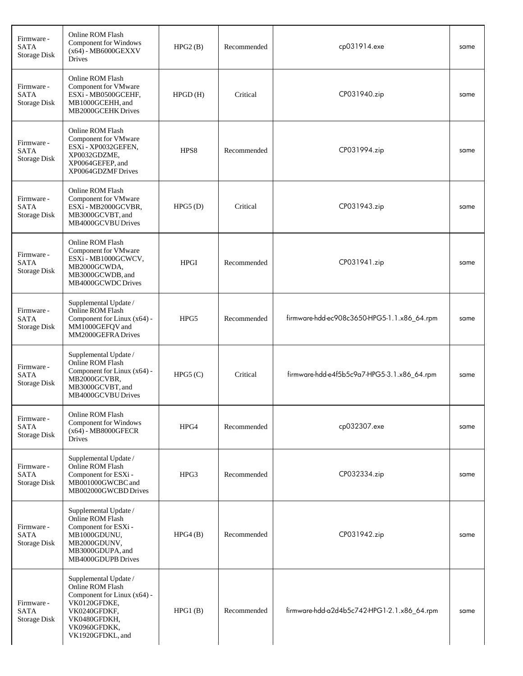| Firmware -<br><b>SATA</b><br>Storage Disk | Online ROM Flash<br>Component for Windows<br>$(x64)$ - MB6000GEXXV<br>Drives                                                                                 | HPG2(B)     | Recommended | cp031914.exe                                | same |
|-------------------------------------------|--------------------------------------------------------------------------------------------------------------------------------------------------------------|-------------|-------------|---------------------------------------------|------|
| Firmware -<br><b>SATA</b><br>Storage Disk | Online ROM Flash<br>Component for VMware<br>ESXi - MB0500GCEHF,<br>MB1000GCEHH, and<br>MB2000GCEHK Drives                                                    | HPGD(H)     | Critical    | CP031940.zip                                | same |
| Firmware -<br>SATA<br>Storage Disk        | Online ROM Flash<br>Component for VMware<br>ESXi - XP0032GEFEN,<br>XP0032GDZME,<br>XP0064GEFEP, and<br>XP0064GDZMF Drives                                    | HPS8        | Recommended | CP031994.zip                                | same |
| Firmware -<br>SATA<br>Storage Disk        | Online ROM Flash<br>Component for VMware<br>ESXi - MB2000GCVBR,<br>MB3000GCVBT, and<br>MB4000GCVBU Drives                                                    | HPG5(D)     | Critical    | CP031943.zip                                | same |
| Firmware -<br>SATA<br>Storage Disk        | Online ROM Flash<br>Component for VMware<br>ESXi - MB1000GCWCV,<br>MB2000GCWDA,<br>MB3000GCWDB, and<br>MB4000GCWDC Drives                                    | <b>HPGI</b> | Recommended | CP031941.zip                                | same |
| Firmware -<br>SATA<br>Storage Disk        | Supplemental Update /<br>Online ROM Flash<br>Component for Linux (x64) -<br>MM1000GEFQV and<br>MM2000GEFRADrives                                             | HPG5        | Recommended | firmware-hdd-ec908c3650-HPG5-1.1.x86_64.rpm | same |
| Firmware -<br><b>SATA</b><br>Storage Disk | Supplemental Update /<br>Online ROM Flash<br>Component for Linux (x64) -<br>MB2000GCVBR,<br>MB3000GCVBT, and<br>MB4000GCVBU Drives                           | HPG5(C)     | Critical    | firmware-hdd-e4f5b5c9a7-HPG5-3.1.x86_64.rpm | same |
| Firmware -<br><b>SATA</b><br>Storage Disk | Online ROM Flash<br>Component for Windows<br>(x64) - MB8000GFECR<br>Drives                                                                                   | HPG4        | Recommended | cp032307.exe                                | same |
| Firmware -<br><b>SATA</b><br>Storage Disk | Supplemental Update /<br>Online ROM Flash<br>Component for ESXi -<br>MB001000GWCBC and<br>MB002000GWCBD Drives                                               | HPG3        | Recommended | CP032334.zip                                | same |
| Firmware -<br>SATA<br>Storage Disk        | Supplemental Update /<br>Online ROM Flash<br>Component for ESXi -<br>MB1000GDUNU,<br>MB2000GDUNV,<br>MB3000GDUPA, and<br>MB4000GDUPB Drives                  | HPG4(B)     | Recommended | CP031942.zip                                | same |
| Firmware -<br><b>SATA</b><br>Storage Disk | Supplemental Update /<br>Online ROM Flash<br>Component for Linux (x64) -<br>VK0120GFDKE,<br>VK0240GFDKF,<br>VK0480GFDKH,<br>VK0960GFDKK,<br>VK1920GFDKL, and | HPG1(B)     | Recommended | firmware-hdd-a2d4b5c742-HPG1-2.1.x86_64.rpm | same |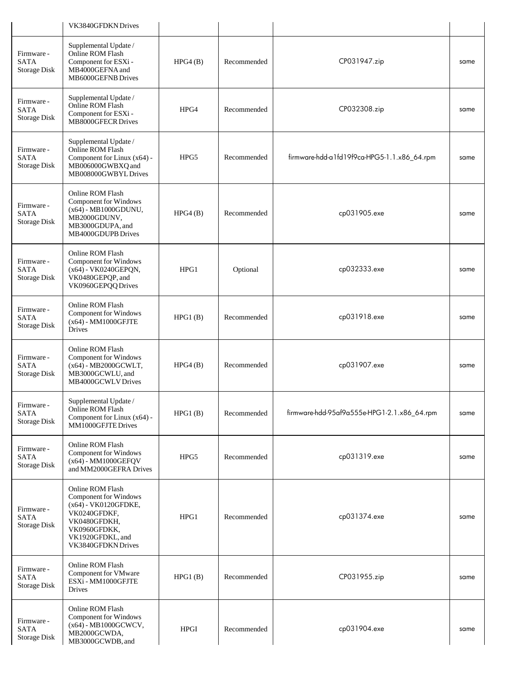|                                                  | VK3840GFDKN Drives                                                                                                                                          |             |             |                                             |      |
|--------------------------------------------------|-------------------------------------------------------------------------------------------------------------------------------------------------------------|-------------|-------------|---------------------------------------------|------|
| Firmware -<br><b>SATA</b><br><b>Storage Disk</b> | Supplemental Update /<br>Online ROM Flash<br>Component for ESXi -<br>MB4000GEFNA and<br>MB6000GEFNB Drives                                                  | HPG4(B)     | Recommended | CP031947.zip                                | same |
| Firmware -<br><b>SATA</b><br>Storage Disk        | Supplemental Update /<br>Online ROM Flash<br>Component for ESXi -<br>MB8000GFECR Drives                                                                     | HPG4        | Recommended | CP032308.zip                                | same |
| Firmware -<br><b>SATA</b><br><b>Storage Disk</b> | Supplemental Update /<br>Online ROM Flash<br>Component for Linux (x64) -<br>MB006000GWBXQ and<br>MB008000GWBYLDrives                                        | HPG5        | Recommended | firmware-hdd-a1fd19f9ca-HPG5-1.1.x86_64.rpm | same |
| Firmware -<br><b>SATA</b><br><b>Storage Disk</b> | Online ROM Flash<br>Component for Windows<br>$(x64)$ - MB1000GDUNU,<br>MB2000GDUNV,<br>MB3000GDUPA, and<br>MB4000GDUPB Drives                               | HPG4(B)     | Recommended | cp031905.exe                                | same |
| Firmware -<br><b>SATA</b><br><b>Storage Disk</b> | Online ROM Flash<br><b>Component for Windows</b><br>(x64) - VK0240GEPQN,<br>VK0480GEPQP, and<br>VK0960GEPQQ Drives                                          | HPG1        | Optional    | cp032333.exe                                | same |
| Firmware -<br><b>SATA</b><br><b>Storage Disk</b> | Online ROM Flash<br><b>Component for Windows</b><br>(x64) - MM1000GFJTE<br><b>Drives</b>                                                                    | HPG1(B)     | Recommended | cp031918.exe                                | same |
| Firmware -<br>SATA<br>Storage Disk               | Online ROM Flash<br>Component for Windows<br>(x64) - MB2000GCWLT,<br>MB3000GCWLU, and<br>MB4000GCWLV Drives                                                 | HPG4(B)     | Recommended | cp031907.exe                                | same |
| Firmware -<br><b>SATA</b><br><b>Storage Disk</b> | Supplemental Update /<br>Online ROM Flash<br>Component for Linux (x64) -<br>MM1000GFJTE Drives                                                              | HPG1(B)     | Recommended | firmware-hdd-95af9a555e-HPG1-2.1.x86_64.rpm | same |
| Firmware -<br><b>SATA</b><br><b>Storage Disk</b> | Online ROM Flash<br>Component for Windows<br>(x64) - MM1000GEFQV<br>and MM2000GEFRA Drives                                                                  | HPG5        | Recommended | cp031319.exe                                | same |
| Firmware -<br>SATA<br><b>Storage Disk</b>        | Online ROM Flash<br>Component for Windows<br>(x64) - VK0120GFDKE,<br>VK0240GFDKF,<br>VK0480GFDKH,<br>VK0960GFDKK,<br>VK1920GFDKL, and<br>VK3840GFDKN Drives | HPG1        | Recommended | cp031374.exe                                | same |
| Firmware -<br><b>SATA</b><br><b>Storage Disk</b> | Online ROM Flash<br><b>Component for VMware</b><br>ESXi - MM1000GFJTE<br>Drives                                                                             | HPG1(B)     | Recommended | CP031955.zip                                | same |
| Firmware -<br><b>SATA</b><br>Storage Disk        | Online ROM Flash<br>Component for Windows<br>(x64) - MB1000GCWCV,<br>MB2000GCWDA,<br>MB3000GCWDB, and                                                       | <b>HPGI</b> | Recommended | cp031904.exe                                | same |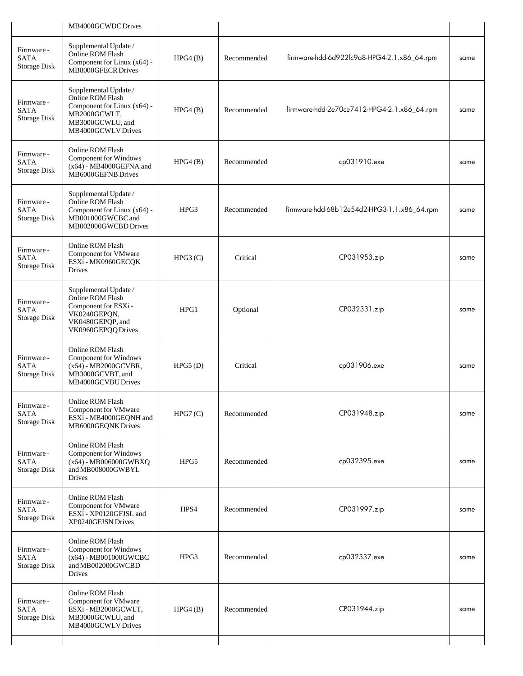|                                                  | MB4000GCWDC Drives                                                                                                                 |         |             |                                             |      |
|--------------------------------------------------|------------------------------------------------------------------------------------------------------------------------------------|---------|-------------|---------------------------------------------|------|
| Firmware -<br><b>SATA</b><br>Storage Disk        | Supplemental Update /<br>Online ROM Flash<br>Component for Linux (x64) -<br>MB8000GFECR Drives                                     | HPG4(B) | Recommended | firmware-hdd-6d922fc9a8-HPG4-2.1.x86_64.rpm | same |
| Firmware -<br><b>SATA</b><br>Storage Disk        | Supplemental Update /<br>Online ROM Flash<br>Component for Linux (x64) -<br>MB2000GCWLT,<br>MB3000GCWLU, and<br>MB4000GCWLV Drives | HPG4(B) | Recommended | firmware-hdd-2e70ce7412-HPG4-2.1.x86_64.rpm | same |
| Firmware -<br><b>SATA</b><br><b>Storage Disk</b> | Online ROM Flash<br>Component for Windows<br>$(x64)$ - MB4000GEFNA and<br>MB6000GEFNB Drives                                       | HPG4(B) | Recommended | cp031910.exe                                | same |
| Firmware -<br><b>SATA</b><br>Storage Disk        | Supplemental Update /<br>Online ROM Flash<br>Component for Linux (x64) -<br>MB001000GWCBC and<br>MB002000GWCBD Drives              | HPG3    | Recommended | firmware-hdd-68b12e54d2-HPG3-1.1.x86_64.rpm | same |
| Firmware -<br><b>SATA</b><br>Storage Disk        | Online ROM Flash<br>Component for VMware<br>ESXi - MK0960GECQK<br><b>Drives</b>                                                    | HPG3(C) | Critical    | CP031953.zip                                | same |
| Firmware -<br><b>SATA</b><br>Storage Disk        | Supplemental Update /<br>Online ROM Flash<br>Component for ESXi -<br>VK0240GEPQN,<br>VK0480GEPQP, and<br>VK0960GEPQQ Drives        | HPG1    | Optional    | CP032331.zip                                | same |
| Firmware -<br><b>SATA</b><br><b>Storage Disk</b> | Online ROM Flash<br>Component for Windows<br>(x64) - MB2000GCVBR,<br>MB3000GCVBT, and<br>MB4000GCVBU Drives                        | HPG5(D) | Critical    | cp031906.exe                                | same |
| Firmware -<br><b>SATA</b><br><b>Storage Disk</b> | Online ROM Flash<br>Component for VMware<br>ESXi - MB4000GEQNH and<br>MB6000GEQNK Drives                                           | HPG7(C) | Recommended | CP031948.zip                                | same |
| Firmware -<br><b>SATA</b><br>Storage Disk        | Online ROM Flash<br>Component for Windows<br>$(x64)$ - MB006000GWBXQ<br>and MB008000GWBYL<br>Drives                                | HPG5    | Recommended | cp032395.exe                                | same |
| Firmware -<br><b>SATA</b><br>Storage Disk        | Online ROM Flash<br><b>Component for VMware</b><br>ESXi - XP0120GFJSL and<br>XP0240GFJSN Drives                                    | HPS4    | Recommended | CP031997.zip                                | same |
| Firmware -<br><b>SATA</b><br>Storage Disk        | Online ROM Flash<br>Component for Windows<br>(x64) - MB001000GWCBC<br>and MB002000GWCBD<br>Drives                                  | HPG3    | Recommended | cp032337.exe                                | same |
| Firmware -<br><b>SATA</b><br>Storage Disk        | Online ROM Flash<br>Component for VMware<br>ESXi - MB2000GCWLT,<br>MB3000GCWLU, and<br>MB4000GCWLV Drives                          | HPG4(B) | Recommended | CP031944.zip                                | same |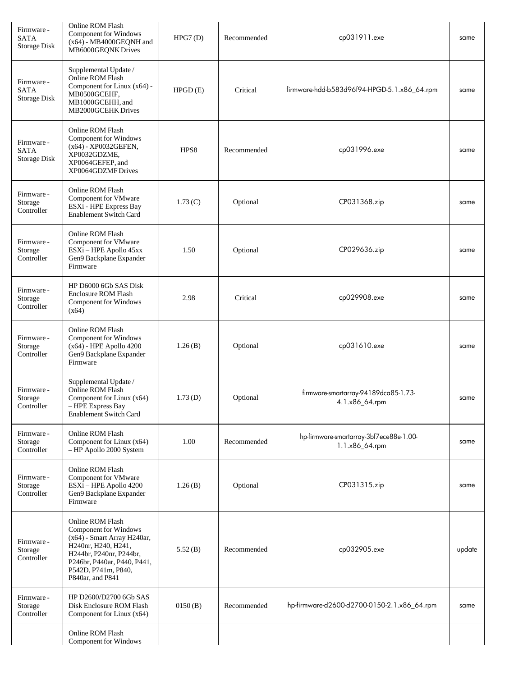| Firmware -<br><b>SATA</b><br>Storage Disk | Online ROM Flash<br><b>Component for Windows</b><br>$(x64)$ - MB4000GEQNH and<br>MB6000GEQNK Drives                                                                                                  | HPG7(D) | Recommended | cp031911.exe                                              | same   |
|-------------------------------------------|------------------------------------------------------------------------------------------------------------------------------------------------------------------------------------------------------|---------|-------------|-----------------------------------------------------------|--------|
| Firmware -<br><b>SATA</b><br>Storage Disk | Supplemental Update /<br>Online ROM Flash<br>Component for Linux (x64) -<br>MB0500GCEHF,<br>MB1000GCEHH, and<br>MB2000GCEHK Drives                                                                   | HPGD(E) | Critical    | firmware-hdd-b583d96f94-HPGD-5.1.x86_64.rpm               | same   |
| Firmware -<br><b>SATA</b><br>Storage Disk | Online ROM Flash<br>Component for Windows<br>(x64) - XP0032GEFEN,<br>XP0032GDZME,<br>XP0064GEFEP, and<br>XP0064GDZMF Drives                                                                          | HPS8    | Recommended | cp031996.exe                                              | same   |
| Firmware -<br>Storage<br>Controller       | Online ROM Flash<br>Component for VMware<br>ESXi - HPE Express Bay<br><b>Enablement Switch Card</b>                                                                                                  | 1.73(C) | Optional    | CP031368.zip                                              | same   |
| Firmware -<br>Storage<br>Controller       | Online ROM Flash<br>Component for VMware<br>ESXi - HPE Apollo 45xx<br>Gen9 Backplane Expander<br>Firmware                                                                                            | 1.50    | Optional    | CP029636.zip                                              | same   |
| Firmware -<br>Storage<br>Controller       | HP D6000 6Gb SAS Disk<br>Enclosure ROM Flash<br>Component for Windows<br>(x64)                                                                                                                       | 2.98    | Critical    | cp029908.exe                                              | same   |
| Firmware -<br>Storage<br>Controller       | Online ROM Flash<br>Component for Windows<br>$(x64)$ - HPE Apollo 4200<br>Gen9 Backplane Expander<br>Firmware                                                                                        | 1.26(B) | Optional    | cp031610.exe                                              | same   |
| Firmware -<br>Storage<br>Controller       | Supplemental Update /<br>Online ROM Flash<br>Component for Linux (x64)<br>- HPE Express Bay<br><b>Enablement Switch Card</b>                                                                         | 1.73(D) | Optional    | firmware-smartarray-94189dca85-1.73-<br>4.1.x86_64.rpm    | same   |
| Firmware -<br>Storage<br>Controller       | Online ROM Flash<br>Component for Linux (x64)<br>- HP Apollo 2000 System                                                                                                                             | 1.00    | Recommended | hp-firmware-smartarray-3bf7ece88e-1.00-<br>1.1.x86_64.rpm | same   |
| Firmware -<br>Storage<br>Controller       | Online ROM Flash<br>Component for VMware<br>ESXi - HPE Apollo 4200<br>Gen9 Backplane Expander<br>Firmware                                                                                            | 1.26(B) | Optional    | CP031315.zip                                              | same   |
| Firmware -<br>Storage<br>Controller       | Online ROM Flash<br>Component for Windows<br>(x64) - Smart Array H240ar,<br>H240nr, H240, H241,<br>H244br, P240nr, P244br,<br>P246br, P440ar, P440, P441,<br>P542D, P741m, P840,<br>P840ar, and P841 | 5.52(B) | Recommended | cp032905.exe                                              | update |
| Firmware -<br>Storage<br>Controller       | HP D2600/D2700 6Gb SAS<br>Disk Enclosure ROM Flash<br>Component for Linux (x64)                                                                                                                      | 0150(B) | Recommended | hp-firmware-d2600-d2700-0150-2.1.x86_64.rpm               | same   |
|                                           | Online ROM Flash<br>Component for Windows                                                                                                                                                            |         |             |                                                           |        |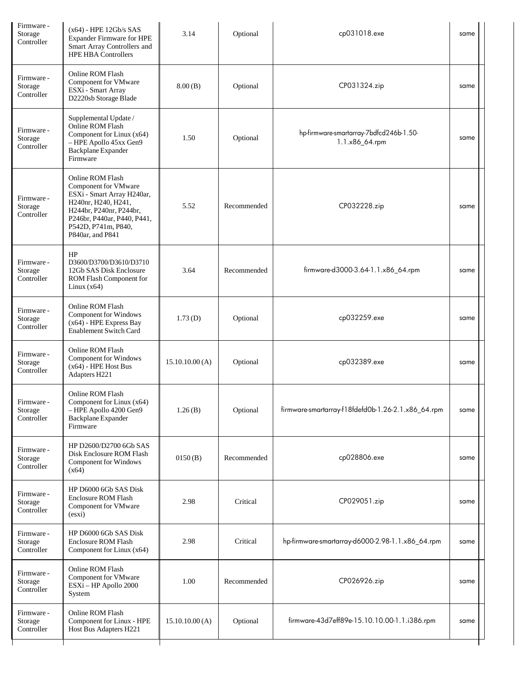| Firmware -<br>Storage<br>Controller | $(x64)$ - HPE 12Gb/s SAS<br><b>Expander Firmware for HPE</b><br>Smart Array Controllers and<br><b>HPE HBA Controllers</b>                                                                          | 3.14           | Optional    | cp031018.exe                                              | same |  |
|-------------------------------------|----------------------------------------------------------------------------------------------------------------------------------------------------------------------------------------------------|----------------|-------------|-----------------------------------------------------------|------|--|
| Firmware -<br>Storage<br>Controller | Online ROM Flash<br>Component for VMware<br>ESXi - Smart Array<br>D2220sb Storage Blade                                                                                                            | 8.00(B)        | Optional    | CP031324.zip                                              | same |  |
| Firmware -<br>Storage<br>Controller | Supplemental Update /<br>Online ROM Flash<br>Component for Linux (x64)<br>- HPE Apollo 45xx Gen9<br>Backplane Expander<br>Firmware                                                                 | 1.50           | Optional    | hp-firmware-smartarray-7bdfcd246b-1.50-<br>1.1.x86_64.rpm | same |  |
| Firmware -<br>Storage<br>Controller | Online ROM Flash<br>Component for VMware<br>ESXi - Smart Array H240ar,<br>H240nr, H240, H241,<br>H244br, P240nr, P244br,<br>P246br, P440ar, P440, P441,<br>P542D, P741m, P840,<br>P840ar, and P841 | 5.52           | Recommended | CP032228.zip                                              | same |  |
| Firmware -<br>Storage<br>Controller | HP<br>D3600/D3700/D3610/D3710<br>12Gb SAS Disk Enclosure<br>ROM Flash Component for<br>Linux $(x64)$                                                                                               | 3.64           | Recommended | firmware-d3000-3.64-1.1.x86_64.rpm                        | same |  |
| Firmware -<br>Storage<br>Controller | Online ROM Flash<br><b>Component for Windows</b><br>$(x64)$ - HPE Express Bay<br><b>Enablement Switch Card</b>                                                                                     | 1.73(D)        | Optional    | cp032259.exe                                              | same |  |
| Firmware -<br>Storage<br>Controller | Online ROM Flash<br>Component for Windows<br>$(x64)$ - HPE Host Bus<br>Adapters H221                                                                                                               | 15.10.10.00(A) | Optional    | cp032389.exe                                              | same |  |
| Firmware -<br>Storage<br>Controller | Online ROM Flash<br>Component for Linux (x64)<br>- HPE Apollo 4200 Gen9<br>Backplane Expander<br>Firmware                                                                                          | 1.26(B)        | Optional    | firmware-smartarray-f18fdefd0b-1.26-2.1.x86_64.rpm        | same |  |
| Firmware -<br>Storage<br>Controller | HP D2600/D2700 6Gb SAS<br>Disk Enclosure ROM Flash<br><b>Component for Windows</b><br>(x64)                                                                                                        | 0150(B)        | Recommended | cp028806.exe                                              | same |  |
| Firmware -<br>Storage<br>Controller | HP D6000 6Gb SAS Disk<br><b>Enclosure ROM Flash</b><br>Component for VMware<br>(essi)                                                                                                              | 2.98           | Critical    | CP029051.zip                                              | same |  |
| Firmware -<br>Storage<br>Controller | HP D6000 6Gb SAS Disk<br><b>Enclosure ROM Flash</b><br>Component for Linux (x64)                                                                                                                   | 2.98           | Critical    | hp-firmware-smartarray-d6000-2.98-1.1.x86_64.rpm          | same |  |
| Firmware -<br>Storage<br>Controller | Online ROM Flash<br>Component for VMware<br>ESXi - HP Apollo 2000<br>System                                                                                                                        | 1.00           | Recommended | CP026926.zip                                              | same |  |
| Firmware -<br>Storage<br>Controller | Online ROM Flash<br>Component for Linux - HPE<br>Host Bus Adapters H221                                                                                                                            | 15.10.10.00(A) | Optional    | firmware-43d7eff89e-15.10.10.00-1.1.i386.rpm              | same |  |
|                                     |                                                                                                                                                                                                    |                |             |                                                           |      |  |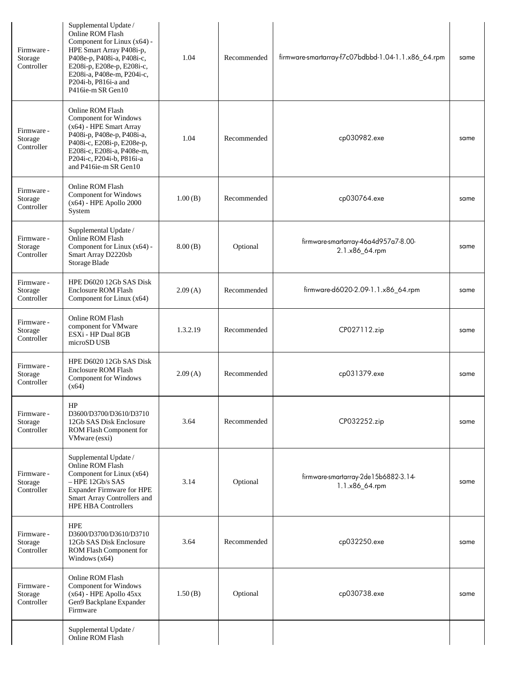| Firmware -<br>Storage<br>Controller | Supplemental Update /<br>Online ROM Flash<br>Component for Linux (x64) -<br>HPE Smart Array P408i-p,<br>P408e-p, P408i-a, P408i-c,<br>E208i-p, E208e-p, E208i-c,<br>E208i-a, P408e-m, P204i-c,<br>P204i-b, P816i-a and<br>P416ie-m SR Gen10 | 1.04     | Recommended | firmware-smartarray-f7c07bdbbd-1.04-1.1.x86_64.rpm     | same |
|-------------------------------------|---------------------------------------------------------------------------------------------------------------------------------------------------------------------------------------------------------------------------------------------|----------|-------------|--------------------------------------------------------|------|
| Firmware -<br>Storage<br>Controller | Online ROM Flash<br>Component for Windows<br>(x64) - HPE Smart Array<br>P408i-p, P408e-p, P408i-a,<br>P408i-c, E208i-p, E208e-p,<br>E208i-c, E208i-a, P408e-m,<br>P204i-c, P204i-b, P816i-a<br>and P416ie-m SR Gen10                        | 1.04     | Recommended | cp030982.exe                                           | same |
| Firmware -<br>Storage<br>Controller | Online ROM Flash<br>Component for Windows<br>$(x64)$ - HPE Apollo 2000<br>System                                                                                                                                                            | 1.00(B)  | Recommended | cp030764.exe                                           | same |
| Firmware -<br>Storage<br>Controller | Supplemental Update /<br>Online ROM Flash<br>Component for Linux (x64) -<br>Smart Array D2220sb<br>Storage Blade                                                                                                                            | 8.00(B)  | Optional    | firmware-smartarray-46a4d957a7-8.00-<br>2.1.x86_64.rpm | same |
| Firmware -<br>Storage<br>Controller | HPE D6020 12Gb SAS Disk<br>Enclosure ROM Flash<br>Component for Linux (x64)                                                                                                                                                                 | 2.09(A)  | Recommended | firmware-d6020-2.09-1.1.x86_64.rpm                     | same |
| Firmware -<br>Storage<br>Controller | Online ROM Flash<br>component for VMware<br>ESXi - HP Dual 8GB<br>microSD USB                                                                                                                                                               | 1.3.2.19 | Recommended | CP027112.zip                                           | same |
| Firmware -<br>Storage<br>Controller | HPE D6020 12Gb SAS Disk<br>Enclosure ROM Flash<br>Component for Windows<br>(x64)                                                                                                                                                            | 2.09(A)  | Recommended | cp031379.exe                                           | same |
| Firmware -<br>Storage<br>Controller | HP<br>D3600/D3700/D3610/D3710<br>12Gb SAS Disk Enclosure<br>ROM Flash Component for<br>VMware (esxi)                                                                                                                                        | 3.64     | Recommended | CP032252.zip                                           | same |
| Firmware -<br>Storage<br>Controller | Supplemental Update /<br>Online ROM Flash<br>Component for Linux (x64)<br>- HPE 12Gb/s SAS<br>Expander Firmware for HPE<br>Smart Array Controllers and<br><b>HPE HBA Controllers</b>                                                        | 3.14     | Optional    | firmware-smartarray-2de15b6882-3.14-<br>1.1.x86_64.rpm | same |
| Firmware -<br>Storage<br>Controller | <b>HPE</b><br>D3600/D3700/D3610/D3710<br>12Gb SAS Disk Enclosure<br>ROM Flash Component for<br>Windows $(x64)$                                                                                                                              | 3.64     | Recommended | cp032250.exe                                           | same |
| Firmware -<br>Storage<br>Controller | Online ROM Flash<br><b>Component for Windows</b><br>$(x64)$ - HPE Apollo $45xx$<br>Gen9 Backplane Expander<br>Firmware                                                                                                                      | 1.50(B)  | Optional    | cp030738.exe                                           | same |
|                                     | Supplemental Update /<br>Online ROM Flash                                                                                                                                                                                                   |          |             |                                                        |      |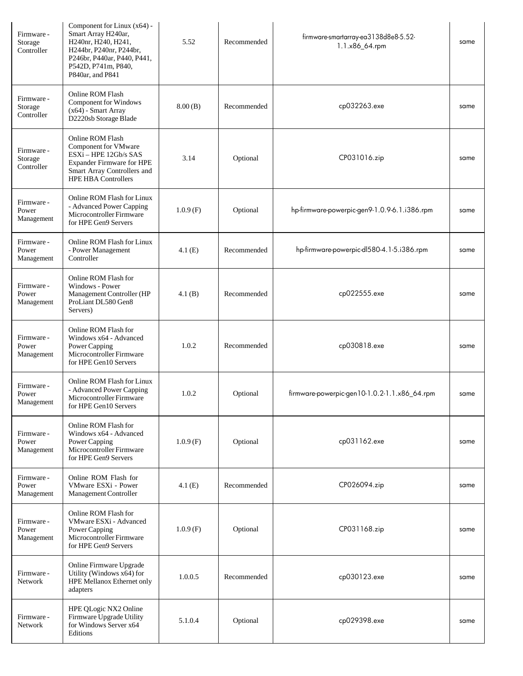| Firmware -<br>Storage<br>Controller | Component for Linux $(x64)$ -<br>Smart Array H240ar,<br>H240nr, H240, H241,<br>H244br, P240nr, P244br,<br>P246br, P440ar, P440, P441,<br>P542D, P741m, P840,<br>P840ar, and P841 | 5.52     | Recommended | firmware-smartarray-ea3138d8e8-5.52-<br>1.1.x86_64.rpm | same |
|-------------------------------------|----------------------------------------------------------------------------------------------------------------------------------------------------------------------------------|----------|-------------|--------------------------------------------------------|------|
| Firmware -<br>Storage<br>Controller | Online ROM Flash<br><b>Component for Windows</b><br>$(x64)$ - Smart Array<br>D2220sb Storage Blade                                                                               | 8.00(B)  | Recommended | cp032263.exe                                           | same |
| Firmware -<br>Storage<br>Controller | Online ROM Flash<br>Component for VMware<br>ESXi - HPE 12Gb/s SAS<br><b>Expander Firmware for HPE</b><br>Smart Array Controllers and<br><b>HPE HBA Controllers</b>               | 3.14     | Optional    | CP031016.zip                                           | same |
| Firmware -<br>Power<br>Management   | Online ROM Flash for Linux<br>- Advanced Power Capping<br>Microcontroller Firmware<br>for HPE Gen9 Servers                                                                       | 1.0.9(F) | Optional    | hp-firmware-powerpic-gen9-1.0.9-6.1.i386.rpm           | same |
| Firmware -<br>Power<br>Management   | Online ROM Flash for Linux<br>- Power Management<br>Controller                                                                                                                   | 4.1(E)   | Recommended | hp-firmware-powerpic-dl580-4.1-5.i386.rpm              | same |
| Firmware -<br>Power<br>Management   | Online ROM Flash for<br>Windows - Power<br>Management Controller (HP<br>ProLiant DL580 Gen8<br>Servers)                                                                          | 4.1(B)   | Recommended | cp022555.exe                                           | same |
| Firmware -<br>Power<br>Management   | Online ROM Flash for<br>Windows x64 - Advanced<br>Power Capping<br>Microcontroller Firmware<br>for HPE Gen10 Servers                                                             | 1.0.2    | Recommended | cp030818.exe                                           | same |
| Firmware -<br>Power<br>Management   | Online ROM Flash for Linux<br>- Advanced Power Capping<br>Microcontroller Firmware<br>for HPE Gen10 Servers                                                                      | 1.0.2    | Optional    | firmware-powerpic-gen10-1.0.2-1.1.x86_64.rpm           | same |
| Firmware -<br>Power<br>Management   | Online ROM Flash for<br>Windows x64 - Advanced<br>Power Capping<br>Microcontroller Firmware<br>for HPE Gen9 Servers                                                              | 1.0.9(F) | Optional    | cp031162.exe                                           | same |
| Firmware -<br>Power<br>Management   | Online ROM Flash for<br>VMware ESXi - Power<br>Management Controller                                                                                                             | 4.1(E)   | Recommended | CP026094.zip                                           | same |
| Firmware -<br>Power<br>Management   | Online ROM Flash for<br>VMware ESXi - Advanced<br>Power Capping<br>Microcontroller Firmware<br>for HPE Gen9 Servers                                                              | 1.0.9(F) | Optional    | CP031168.zip                                           | same |
| Firmware -<br>Network               | Online Firmware Upgrade<br>Utility (Windows x64) for<br>HPE Mellanox Ethernet only<br>adapters                                                                                   | 1.0.0.5  | Recommended | cp030123.exe                                           | same |
| Firmware -<br><b>Network</b>        | HPE QLogic NX2 Online<br>Firmware Upgrade Utility<br>for Windows Server x64<br>Editions                                                                                          | 5.1.0.4  | Optional    | cp029398.exe                                           | same |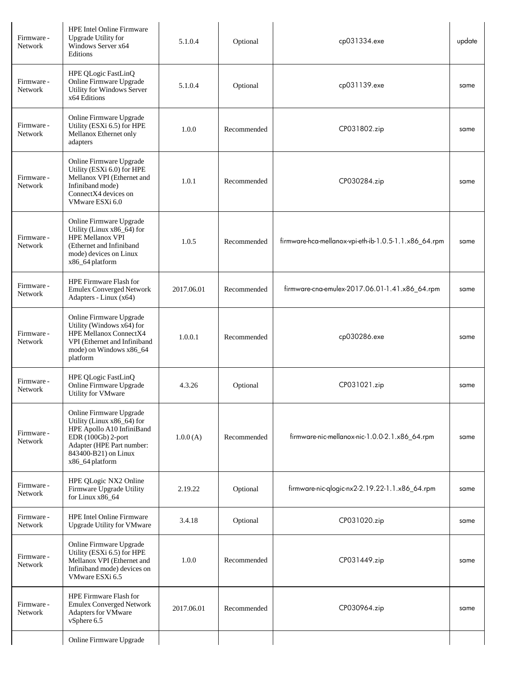| Firmware -<br>Network | <b>HPE Intel Online Firmware</b><br><b>Upgrade Utility for</b><br>Windows Server x64<br>Editions                                                                                 | 5.1.0.4    | Optional    | cp031334.exe                                          | update |
|-----------------------|----------------------------------------------------------------------------------------------------------------------------------------------------------------------------------|------------|-------------|-------------------------------------------------------|--------|
| Firmware -<br>Network | HPE QLogic FastLinQ<br>Online Firmware Upgrade<br>Utility for Windows Server<br>x64 Editions                                                                                     | 5.1.0.4    | Optional    | cp031139.exe                                          | same   |
| Firmware -<br>Network | Online Firmware Upgrade<br>Utility (ESXi 6.5) for HPE<br>Mellanox Ethernet only<br>adapters                                                                                      | 1.0.0      | Recommended | CP031802.zip                                          | same   |
| Firmware -<br>Network | Online Firmware Upgrade<br>Utility (ESXi 6.0) for HPE<br>Mellanox VPI (Ethernet and<br>Infiniband mode)<br>ConnectX4 devices on<br>VMware ESXi 6.0                               | 1.0.1      | Recommended | CP030284.zip                                          | same   |
| Firmware -<br>Network | Online Firmware Upgrade<br>Utility (Linux x86_64) for<br><b>HPE Mellanox VPI</b><br>(Ethernet and Infiniband)<br>mode) devices on Linux<br>x86_64 platform                       | 1.0.5      | Recommended | firmware-hca-mellanox-vpi-eth-ib-1.0.5-1.1.x86_64.rpm | same   |
| Firmware -<br>Network | HPE Firmware Flash for<br><b>Emulex Converged Network</b><br>Adapters - Linux (x64)                                                                                              | 2017.06.01 | Recommended | firmware-cna-emulex-2017.06.01-1.41.x86_64.rpm        | same   |
| Firmware -<br>Network | Online Firmware Upgrade<br>Utility (Windows x64) for<br>HPE Mellanox ConnectX4<br>VPI (Ethernet and Infiniband<br>mode) on Windows x86_64<br>platform                            | 1.0.0.1    | Recommended | cp030286.exe                                          | same   |
| Firmware -<br>Network | HPE QLogic FastLinQ<br>Online Firmware Upgrade<br>Utility for VMware                                                                                                             | 4.3.26     | Optional    | CP031021.zip                                          | same   |
| Firmware -<br>Network | Online Firmware Upgrade<br>Utility (Linux x86_64) for<br>HPE Apollo A10 InfiniBand<br>EDR (100Gb) 2-port<br>Adapter (HPE Part number:<br>843400-B21) on Linux<br>x86_64 platform | 1.0.0(A)   | Recommended | firmware-nic-mellanox-nic-1.0.0-2.1.x86_64.rpm        | same   |
| Firmware -<br>Network | HPE QLogic NX2 Online<br>Firmware Upgrade Utility<br>for Linux x86_64                                                                                                            | 2.19.22    | Optional    | firmware-nic-qlogic-nx2-2.19.22-1.1.x86_64.rpm        | same   |
| Firmware -<br>Network | <b>HPE Intel Online Firmware</b><br><b>Upgrade Utility for VMware</b>                                                                                                            | 3.4.18     | Optional    | CP031020.zip                                          | same   |
| Firmware -<br>Network | Online Firmware Upgrade<br>Utility (ESXi 6.5) for HPE<br>Mellanox VPI (Ethernet and<br>Infiniband mode) devices on<br>VMware ESXi 6.5                                            | 1.0.0      | Recommended | CP031449.zip                                          | same   |
| Firmware -<br>Network | HPE Firmware Flash for<br><b>Emulex Converged Network</b><br>Adapters for VMware<br>vSphere 6.5                                                                                  | 2017.06.01 | Recommended | CP030964.zip                                          | same   |
|                       | Online Firmware Upgrade                                                                                                                                                          |            |             |                                                       |        |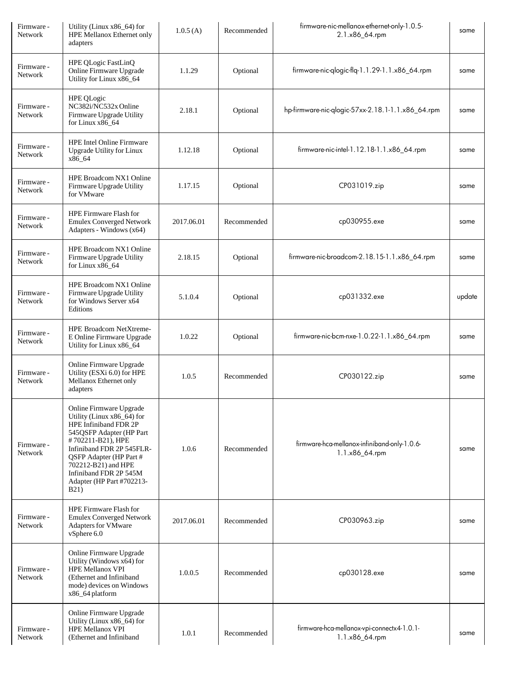| Firmware -<br>Network | Utility (Linux x86_64) for<br>HPE Mellanox Ethernet only<br>adapters                                                                                                                                                                                                                        | 1.0.5(A)   | Recommended | firmware-nic-mellanox-ethernet-only-1.0.5-<br>2.1.x86_64.rpm   | same   |
|-----------------------|---------------------------------------------------------------------------------------------------------------------------------------------------------------------------------------------------------------------------------------------------------------------------------------------|------------|-------------|----------------------------------------------------------------|--------|
| Firmware -<br>Network | HPE QLogic FastLinQ<br>Online Firmware Upgrade<br>Utility for Linux x86_64                                                                                                                                                                                                                  | 1.1.29     | Optional    | firmware-nic-qlogic-flq-1.1.29-1.1.x86_64.rpm                  | same   |
| Firmware -<br>Network | <b>HPE QLogic</b><br>NC382i/NC532x Online<br>Firmware Upgrade Utility<br>for Linux x86_64                                                                                                                                                                                                   | 2.18.1     | Optional    | hp-firmware-nic-qlogic-57xx-2.18.1-1.1.x86_64.rpm              | same   |
| Firmware -<br>Network | <b>HPE</b> Intel Online Firmware<br>Upgrade Utility for Linux<br>x86_64                                                                                                                                                                                                                     | 1.12.18    | Optional    | firmware-nic-intel-1.12.18-1.1.x86_64.rpm                      | same   |
| Firmware -<br>Network | HPE Broadcom NX1 Online<br>Firmware Upgrade Utility<br>for VMware                                                                                                                                                                                                                           | 1.17.15    | Optional    | CP031019.zip                                                   | same   |
| Firmware -<br>Network | HPE Firmware Flash for<br><b>Emulex Converged Network</b><br>Adapters - Windows (x64)                                                                                                                                                                                                       | 2017.06.01 | Recommended | cp030955.exe                                                   | same   |
| Firmware -<br>Network | HPE Broadcom NX1 Online<br>Firmware Upgrade Utility<br>for Linux x86_64                                                                                                                                                                                                                     | 2.18.15    | Optional    | firmware-nic-broadcom-2.18.15-1.1.x86_64.rpm                   | same   |
| Firmware -<br>Network | HPE Broadcom NX1 Online<br>Firmware Upgrade Utility<br>for Windows Server x64<br>Editions                                                                                                                                                                                                   | 5.1.0.4    | Optional    | cp031332.exe                                                   | update |
| Firmware -<br>Network | HPE Broadcom NetXtreme-<br>E Online Firmware Upgrade<br>Utility for Linux x86_64                                                                                                                                                                                                            | 1.0.22     | Optional    | firmware-nic-bcm-nxe-1.0.22-1.1.x86_64.rpm                     | same   |
| Firmware -<br>Network | Online Firmware Upgrade<br>Utility (ESXi 6.0) for HPE<br>Mellanox Ethernet only<br>adapters                                                                                                                                                                                                 | 1.0.5      | Recommended | CP030122.zip                                                   | same   |
| Firmware -<br>Network | Online Firmware Upgrade<br>Utility (Linux x86_64) for<br>HPE Infiniband FDR 2P<br>545 QSFP Adapter (HP Part<br>#702211-B21), HPE<br>Infiniband FDR 2P 545FLR-<br>QSFP Adapter (HP Part #<br>702212-B21) and HPE<br>Infiniband FDR 2P 545M<br>Adapter (HP Part #702213-<br>B <sub>21</sub> ) | 1.0.6      | Recommended | firmware-hca-mellanox-infiniband-only-1.0.6-<br>1.1.x86_64.rpm | same   |
| Firmware -<br>Network | <b>HPE Firmware Flash for</b><br><b>Emulex Converged Network</b><br><b>Adapters for VMware</b><br>vSphere 6.0                                                                                                                                                                               | 2017.06.01 | Recommended | CP030963.zip                                                   | same   |
| Firmware -<br>Network | Online Firmware Upgrade<br>Utility (Windows x64) for<br><b>HPE Mellanox VPI</b><br>(Ethernet and Infiniband<br>mode) devices on Windows<br>x86_64 platform                                                                                                                                  | 1.0.0.5    | Recommended | cp030128.exe                                                   | same   |
| Firmware -<br>Network | Online Firmware Upgrade<br>Utility (Linux x86_64) for<br><b>HPE Mellanox VPI</b><br>(Ethernet and Infiniband                                                                                                                                                                                | 1.0.1      | Recommended | firmware-hca-mellanox-vpi-connectx4-1.0.1-<br>1.1.x86_64.rpm   | same   |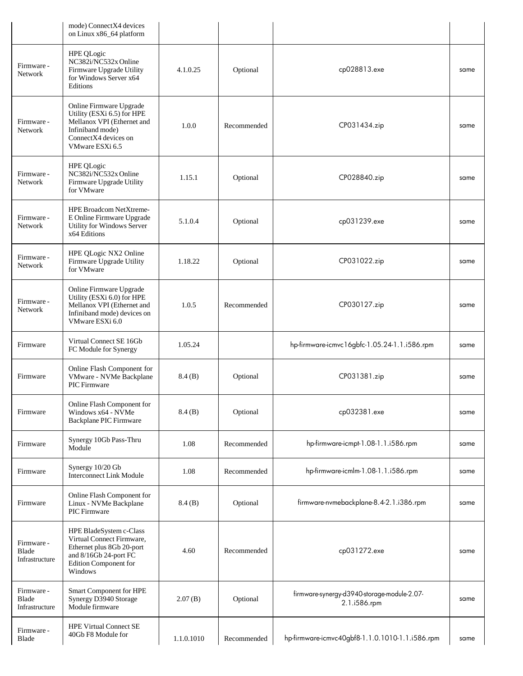|                                       | mode) ConnectX4 devices<br>on Linux x86_64 platform                                                                                                   |            |             |                                                             |      |
|---------------------------------------|-------------------------------------------------------------------------------------------------------------------------------------------------------|------------|-------------|-------------------------------------------------------------|------|
| Firmware -<br>Network                 | <b>HPE QLogic</b><br>NC382i/NC532x Online<br>Firmware Upgrade Utility<br>for Windows Server x64<br>Editions                                           | 4.1.0.25   | Optional    | cp028813.exe                                                | same |
| Firmware -<br>Network                 | Online Firmware Upgrade<br>Utility (ESXi 6.5) for HPE<br>Mellanox VPI (Ethernet and<br>Infiniband mode)<br>ConnectX4 devices on<br>VMware ESXi 6.5    | 1.0.0      | Recommended | CP031434.zip                                                | same |
| Firmware -<br><b>Network</b>          | HPE QLogic<br>NC382i/NC532x Online<br>Firmware Upgrade Utility<br>for VMware                                                                          | 1.15.1     | Optional    | CP028840.zip                                                | same |
| Firmware -<br><b>Network</b>          | HPE Broadcom NetXtreme-<br>E Online Firmware Upgrade<br>Utility for Windows Server<br>x64 Editions                                                    | 5.1.0.4    | Optional    | cp031239.exe                                                | same |
| Firmware -<br>Network                 | HPE QLogic NX2 Online<br>Firmware Upgrade Utility<br>for VMware                                                                                       | 1.18.22    | Optional    | CP031022.zip                                                | same |
| Firmware -<br>Network                 | Online Firmware Upgrade<br>Utility (ESXi 6.0) for HPE<br>Mellanox VPI (Ethernet and<br>Infiniband mode) devices on<br>VMware ESXi 6.0                 | 1.0.5      | Recommended | CP030127.zip                                                | same |
| Firmware                              | Virtual Connect SE 16Gb<br>FC Module for Synergy                                                                                                      | 1.05.24    |             | hp-firmware-icmvc16gbfc-1.05.24-1.1.i586.rpm                | same |
| Firmware                              | Online Flash Component for<br>VMware - NVMe Backplane<br>PIC Firmware                                                                                 | 8.4(B)     | Optional    | CP031381.zip                                                | same |
| Firmware                              | Online Flash Component for<br>Windows x64 - NVMe<br>Backplane PIC Firmware                                                                            | 8.4(B)     | Optional    | cp032381.exe                                                | same |
| Firmware                              | Synergy 10Gb Pass-Thru<br>Module                                                                                                                      | 1.08       | Recommended | hp-firmware-icmpt-1.08-1.1.i586.rpm                         | same |
| Firmware                              | Synergy 10/20 Gb<br><b>Interconnect Link Module</b>                                                                                                   | 1.08       | Recommended | hp-firmware-icmlm-1.08-1.1.i586.rpm                         | same |
| Firmware                              | Online Flash Component for<br>Linux - NVMe Backplane<br><b>PIC</b> Firmware                                                                           | 8.4(B)     | Optional    | firmware-nvmebackplane-8.4-2.1.i386.rpm                     | same |
| Firmware -<br>Blade<br>Infrastructure | HPE BladeSystem c-Class<br>Virtual Connect Firmware,<br>Ethernet plus 8Gb 20-port<br>and 8/16Gb 24-port FC<br><b>Edition Component for</b><br>Windows | 4.60       | Recommended | cp031272.exe                                                | same |
| Firmware -<br>Blade<br>Infrastructure | Smart Component for HPE<br>Synergy D3940 Storage<br>Module firmware                                                                                   | 2.07(B)    | Optional    | firmware-synergy-d3940-storage-module-2.07-<br>2.1.i586.rpm | same |
| Firmware -<br>Blade                   | <b>HPE Virtual Connect SE</b><br>40Gb F8 Module for                                                                                                   | 1.1.0.1010 | Recommended | hp-firmware-icmvc40gbf8-1.1.0.1010-1.1.i586.rpm             | same |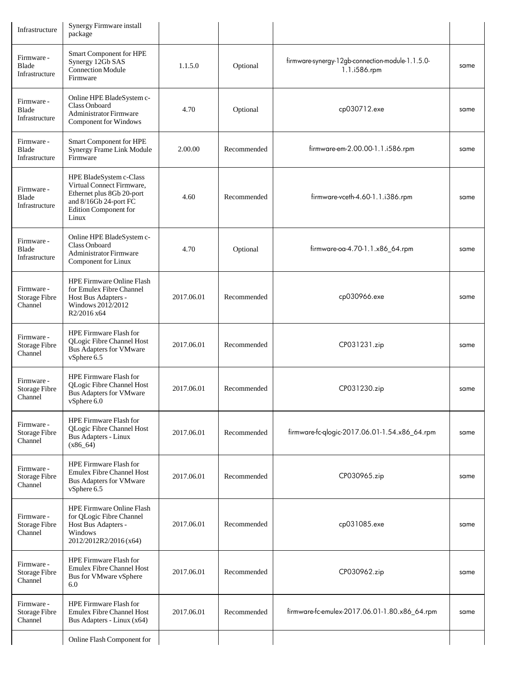| Infrastructure                                | Synergy Firmware install<br>package                                                                                                                 |            |             |                                                                  |      |
|-----------------------------------------------|-----------------------------------------------------------------------------------------------------------------------------------------------------|------------|-------------|------------------------------------------------------------------|------|
| Firmware -<br>Blade<br>Infrastructure         | Smart Component for HPE<br>Synergy 12Gb SAS<br><b>Connection Module</b><br>Firmware                                                                 | 1.1.5.0    | Optional    | firmware-synergy-12gb-connection-module-1.1.5.0-<br>1.1.i586.rpm | same |
| Firmware -<br>Blade<br>Infrastructure         | Online HPE BladeSystem c-<br><b>Class Onboard</b><br><b>Administrator Firmware</b><br>Component for Windows                                         | 4.70       | Optional    | cp030712.exe                                                     | same |
| Firmware -<br>Blade<br>Infrastructure         | Smart Component for HPE<br>Synergy Frame Link Module<br>Firmware                                                                                    | 2.00.00    | Recommended | firmware-em-2.00.00-1.1.i586.rpm                                 | same |
| Firmware -<br>Blade<br>Infrastructure         | HPE BladeSystem c-Class<br>Virtual Connect Firmware,<br>Ethernet plus 8Gb 20-port<br>and 8/16Gb 24-port FC<br><b>Edition Component for</b><br>Linux | 4.60       | Recommended | firmware-vceth-4.60-1.1.i386.rpm                                 | same |
| Firmware -<br>Blade<br>Infrastructure         | Online HPE BladeSystem c-<br>Class Onboard<br>Administrator Firmware<br>Component for Linux                                                         | 4.70       | Optional    | firmware-oa-4.70-1.1.x86_64.rpm                                  | same |
| Firmware -<br><b>Storage Fibre</b><br>Channel | <b>HPE Firmware Online Flash</b><br>for Emulex Fibre Channel<br>Host Bus Adapters -<br>Windows 2012/2012<br>R2/2016 x64                             | 2017.06.01 | Recommended | cp030966.exe                                                     | same |
| Firmware -<br><b>Storage Fibre</b><br>Channel | HPE Firmware Flash for<br>QLogic Fibre Channel Host<br><b>Bus Adapters for VMware</b><br>vSphere 6.5                                                | 2017.06.01 | Recommended | CP031231.zip                                                     | same |
| Firmware -<br><b>Storage Fibre</b><br>Channel | HPE Firmware Flash for<br>QLogic Fibre Channel Host<br><b>Bus Adapters for VMware</b><br>vSphere 6.0                                                | 2017.06.01 | Recommended | CP031230.zip                                                     | same |
| Firmware -<br><b>Storage Fibre</b><br>Channel | <b>HPE Firmware Flash for</b><br>QLogic Fibre Channel Host<br><b>Bus Adapters - Linux</b><br>$(x86_64)$                                             | 2017.06.01 | Recommended | firmware-fc-qlogic-2017.06.01-1.54.x86_64.rpm                    | same |
| Firmware -<br><b>Storage Fibre</b><br>Channel | HPE Firmware Flash for<br><b>Emulex Fibre Channel Host</b><br><b>Bus Adapters for VMware</b><br>vSphere 6.5                                         | 2017.06.01 | Recommended | CP030965.zip                                                     | same |
| Firmware -<br><b>Storage Fibre</b><br>Channel | HPE Firmware Online Flash<br>for QLogic Fibre Channel<br>Host Bus Adapters -<br>Windows<br>2012/2012R2/2016(x64)                                    | 2017.06.01 | Recommended | cp031085.exe                                                     | same |
| Firmware -<br><b>Storage Fibre</b><br>Channel | HPE Firmware Flash for<br><b>Emulex Fibre Channel Host</b><br>Bus for VMware vSphere<br>6.0                                                         | 2017.06.01 | Recommended | CP030962.zip                                                     | same |
| Firmware -<br><b>Storage Fibre</b><br>Channel | <b>HPE Firmware Flash for</b><br><b>Emulex Fibre Channel Host</b><br>Bus Adapters - Linux (x64)                                                     | 2017.06.01 | Recommended | firmware-fc-emulex-2017.06.01-1.80.x86_64.rpm                    | same |
|                                               | Online Flash Component for                                                                                                                          |            |             |                                                                  |      |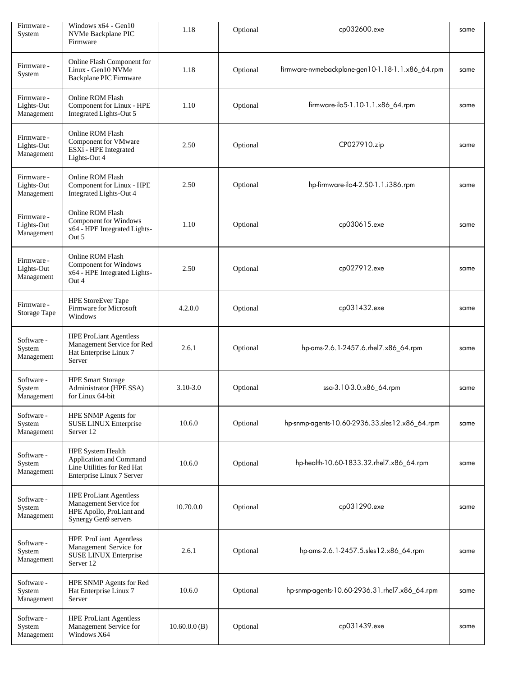| Firmware -<br>System                   | Windows $x64 - Gen10$<br>NVMe Backplane PIC<br>Firmware                                                     | 1.18         | Optional | cp032600.exe                                     | same |
|----------------------------------------|-------------------------------------------------------------------------------------------------------------|--------------|----------|--------------------------------------------------|------|
| Firmware -<br>System                   | Online Flash Component for<br>Linux - Gen10 NVMe<br>Backplane PIC Firmware                                  | 1.18         | Optional | firmware-nvmebackplane-gen10-1.18-1.1.x86_64.rpm | same |
| Firmware -<br>Lights-Out<br>Management | Online ROM Flash<br>Component for Linux - HPE<br>Integrated Lights-Out 5                                    | 1.10         | Optional | firmware-ilo5-1.10-1.1.x86_64.rpm                | same |
| Firmware -<br>Lights-Out<br>Management | Online ROM Flash<br>Component for VMware<br>ESXi - HPE Integrated<br>Lights-Out 4                           | 2.50         | Optional | CP027910.zip                                     | same |
| Firmware -<br>Lights-Out<br>Management | Online ROM Flash<br>Component for Linux - HPE<br>Integrated Lights-Out 4                                    | 2.50         | Optional | hp-firmware-ilo4-2.50-1.1.i386.rpm               | same |
| Firmware -<br>Lights-Out<br>Management | Online ROM Flash<br>Component for Windows<br>x64 - HPE Integrated Lights-<br>Out 5                          | 1.10         | Optional | cp030615.exe                                     | same |
| Firmware -<br>Lights-Out<br>Management | Online ROM Flash<br>Component for Windows<br>x64 - HPE Integrated Lights-<br>Out 4                          | 2.50         | Optional | cp027912.exe                                     | same |
| Firmware -<br>Storage Tape             | <b>HPE StoreEver Tape</b><br>Firmware for Microsoft<br>Windows                                              | 4.2.0.0      | Optional | cp031432.exe                                     | same |
| Software -<br>System<br>Management     | <b>HPE ProLiant Agentless</b><br>Management Service for Red<br>Hat Enterprise Linux 7<br>Server             | 2.6.1        | Optional | hp-ams-2.6.1-2457.6.rhel7.x86_64.rpm             | same |
| Software -<br>System<br>Management     | <b>HPE Smart Storage</b><br>Administrator (HPE SSA)<br>for Linux 64-bit                                     | $3.10 - 3.0$ | Optional | ssa-3.10-3.0.x86_64.rpm                          | same |
| Software -<br>System<br>Management     | HPE SNMP Agents for<br>SUSE LINUX Enterprise<br>Server 12                                                   | 10.6.0       | Optional | hp-snmp-agents-10.60-2936.33.sles12.x86_64.rpm   | same |
| Software -<br>System<br>Management     | HPE System Health<br>Application and Command<br>Line Utilities for Red Hat<br>Enterprise Linux 7 Server     | 10.6.0       | Optional | hp-health-10.60-1833.32.rhel7.x86_64.rpm         | same |
| Software -<br>System<br>Management     | <b>HPE ProLiant Agentless</b><br>Management Service for<br>HPE Apollo, ProLiant and<br>Synergy Gen9 servers | 10.70.0.0    | Optional | cp031290.exe                                     | same |
| Software -<br>System<br>Management     | <b>HPE ProLiant Agentless</b><br>Management Service for<br><b>SUSE LINUX Enterprise</b><br>Server 12        | 2.6.1        | Optional | hp-ams-2.6.1-2457.5.sles12.x86_64.rpm            | same |
| Software -<br>System<br>Management     | HPE SNMP Agents for Red<br>Hat Enterprise Linux 7<br>Server                                                 | 10.6.0       | Optional | hp-snmp-agents-10.60-2936.31.rhel7.x86_64.rpm    | same |
| Software -<br>System<br>Management     | <b>HPE ProLiant Agentless</b><br>Management Service for<br>Windows X64                                      | 10.60.0.0(B) | Optional | cp031439.exe                                     | same |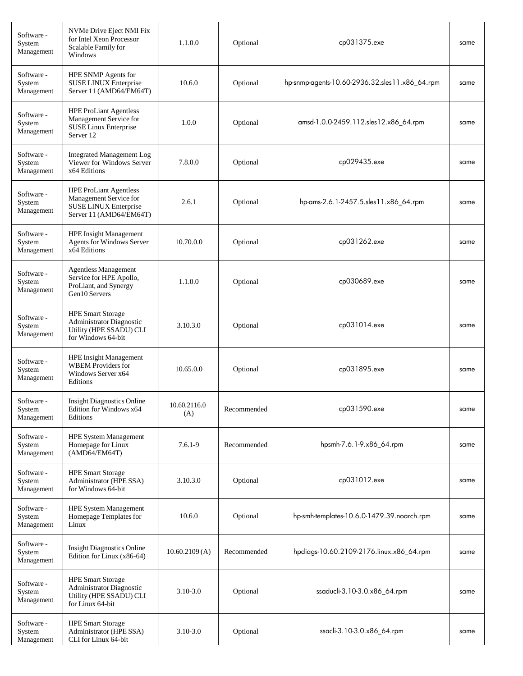| Software -<br>System<br>Management | NVMe Drive Eject NMI Fix<br>for Intel Xeon Processor<br>Scalable Family for<br>Windows                          | 1.1.0.0             | Optional    | cp031375.exe                                   | same |
|------------------------------------|-----------------------------------------------------------------------------------------------------------------|---------------------|-------------|------------------------------------------------|------|
| Software -<br>System<br>Management | HPE SNMP Agents for<br>SUSE LINUX Enterprise<br>Server 11 (AMD64/EM64T)                                         | 10.6.0              | Optional    | hp-snmp-agents-10.60-2936.32.sles11.x86_64.rpm | same |
| Software -<br>System<br>Management | <b>HPE ProLiant Agentless</b><br>Management Service for<br><b>SUSE Linux Enterprise</b><br>Server <sub>12</sub> | 1.0.0               | Optional    | amsd-1.0.0-2459.112.sles12.x86_64.rpm          | same |
| Software -<br>System<br>Management | <b>Integrated Management Log</b><br>Viewer for Windows Server<br>x64 Editions                                   | 7.8.0.0             | Optional    | cp029435.exe                                   | same |
| Software -<br>System<br>Management | <b>HPE ProLiant Agentless</b><br>Management Service for<br>SUSE LINUX Enterprise<br>Server 11 (AMD64/EM64T)     | 2.6.1               | Optional    | hp-ams-2.6.1-2457.5.sles11.x86_64.rpm          | same |
| Software -<br>System<br>Management | <b>HPE Insight Management</b><br>Agents for Windows Server<br>x64 Editions                                      | 10.70.0.0           | Optional    | cp031262.exe                                   | same |
| Software -<br>System<br>Management | <b>Agentless Management</b><br>Service for HPE Apollo,<br>ProLiant, and Synergy<br>Gen10 Servers                | 1.1.0.0             | Optional    | cp030689.exe                                   | same |
| Software -<br>System<br>Management | <b>HPE Smart Storage</b><br>Administrator Diagnostic<br>Utility (HPE SSADU) CLI<br>for Windows 64-bit           | 3.10.3.0            | Optional    | cp031014.exe                                   | same |
| Software -<br>System<br>Management | <b>HPE Insight Management</b><br><b>WBEM</b> Providers for<br>Windows Server x64<br>Editions                    | 10.65.0.0           | Optional    | cp031895.exe                                   | same |
| Software -<br>System<br>Management | <b>Insight Diagnostics Online</b><br>Edition for Windows x64<br>Editions                                        | 10.60.2116.0<br>(A) | Recommended | cp031590.exe                                   | same |
| Software -<br>System<br>Management | <b>HPE System Management</b><br>Homepage for Linux<br>(AMD64/EM64T)                                             | $7.6.1 - 9$         | Recommended | hpsmh-7.6.1-9.x86_64.rpm                       | same |
| Software -<br>System<br>Management | <b>HPE Smart Storage</b><br>Administrator (HPE SSA)<br>for Windows 64-bit                                       | 3.10.3.0            | Optional    | cp031012.exe                                   | same |
| Software -<br>System<br>Management | <b>HPE System Management</b><br>Homepage Templates for<br>Linux                                                 | 10.6.0              | Optional    | hp-smh-templates-10.6.0-1479.39.noarch.rpm     | same |
| Software -<br>System<br>Management | <b>Insight Diagnostics Online</b><br>Edition for Linux (x86-64)                                                 | 10.60.2109(A)       | Recommended | hpdiags-10.60.2109-2176.linux.x86_64.rpm       | same |
| Software -<br>System<br>Management | <b>HPE Smart Storage</b><br>Administrator Diagnostic<br>Utility (HPE SSADU) CLI<br>for Linux 64-bit             | $3.10 - 3.0$        | Optional    | ssaducli-3.10-3.0.x86_64.rpm                   | same |
| Software -<br>System<br>Management | <b>HPE Smart Storage</b><br>Administrator (HPE SSA)<br>CLI for Linux 64-bit                                     | $3.10 - 3.0$        | Optional    | ssacli-3.10-3.0.x86_64.rpm                     | same |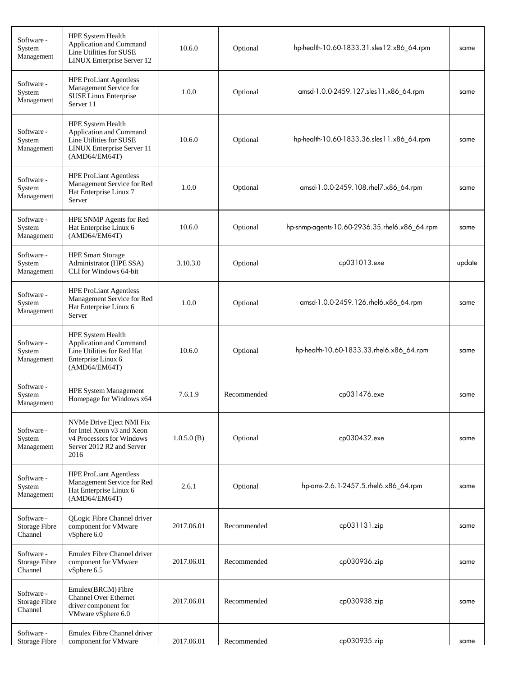| Software -<br>System<br>Management            | HPE System Health<br>Application and Command<br>Line Utilities for SUSE<br>LINUX Enterprise Server 12                         | 10.6.0     | Optional    | hp-health-10.60-1833.31.sles12.x86_64.rpm     | same   |
|-----------------------------------------------|-------------------------------------------------------------------------------------------------------------------------------|------------|-------------|-----------------------------------------------|--------|
| Software -<br>System<br>Management            | <b>HPE ProLiant Agentless</b><br>Management Service for<br>SUSE Linux Enterprise<br>Server 11                                 | 1.0.0      | Optional    | amsd-1.0.0-2459.127.sles11.x86_64.rpm         | same   |
| Software -<br>System<br>Management            | <b>HPE System Health</b><br>Application and Command<br>Line Utilities for SUSE<br>LINUX Enterprise Server 11<br>(AMD64/EM64T) | 10.6.0     | Optional    | hp-health-10.60-1833.36.sles11.x86_64.rpm     | same   |
| Software -<br>System<br>Management            | <b>HPE ProLiant Agentless</b><br>Management Service for Red<br>Hat Enterprise Linux 7<br>Server                               | 1.0.0      | Optional    | amsd-1.0.0-2459.108.rhel7.x86_64.rpm          | same   |
| Software -<br>System<br>Management            | HPE SNMP Agents for Red<br>Hat Enterprise Linux 6<br>(AMD64/EM64T)                                                            | 10.6.0     | Optional    | hp-snmp-agents-10.60-2936.35.rhel6.x86_64.rpm | same   |
| Software -<br>System<br>Management            | <b>HPE Smart Storage</b><br>Administrator (HPE SSA)<br>CLI for Windows 64-bit                                                 | 3.10.3.0   | Optional    | cp031013.exe                                  | update |
| Software -<br>System<br>Management            | <b>HPE ProLiant Agentless</b><br>Management Service for Red<br>Hat Enterprise Linux 6<br>Server                               | 1.0.0      | Optional    | amsd-1.0.0-2459.126.rhel6.x86_64.rpm          | same   |
| Software -<br>System<br>Management            | HPE System Health<br>Application and Command<br>Line Utilities for Red Hat<br>Enterprise Linux 6<br>(AMD64/EM64T)             | 10.6.0     | Optional    | hp-health-10.60-1833.33.rhel6.x86_64.rpm      | same   |
| Software -<br>System<br>Management            | <b>HPE System Management</b><br>Homepage for Windows x64                                                                      | 7.6.1.9    | Recommended | cp031476.exe                                  | same   |
| Software -<br>System<br>Management            | NVMe Drive Eject NMI Fix<br>for Intel Xeon v3 and Xeon<br>v4 Processors for Windows<br>Server 2012 R2 and Server<br>2016      | 1.0.5.0(B) | Optional    | cp030432.exe                                  | same   |
| Software -<br>System<br>Management            | <b>HPE ProLiant Agentless</b><br>Management Service for Red<br>Hat Enterprise Linux 6<br>(AMD64/EM64T)                        | 2.6.1      | Optional    | hp-ams-2.6.1-2457.5.rhel6.x86_64.rpm          | same   |
| Software -<br><b>Storage Fibre</b><br>Channel | QLogic Fibre Channel driver<br>component for VMware<br>vSphere 6.0                                                            | 2017.06.01 | Recommended | cp031131.zip                                  | same   |
| Software -<br><b>Storage Fibre</b><br>Channel | Emulex Fibre Channel driver<br>component for VMware<br>vSphere 6.5                                                            | 2017.06.01 | Recommended | cp030936.zip                                  | same   |
| Software -<br><b>Storage Fibre</b><br>Channel | Emulex(BRCM) Fibre<br><b>Channel Over Ethernet</b><br>driver component for<br>VMware vSphere 6.0                              | 2017.06.01 | Recommended | cp030938.zip                                  | same   |
| Software -<br><b>Storage Fibre</b>            | Emulex Fibre Channel driver<br>component for VMware                                                                           | 2017.06.01 | Recommended | cp030935.zip                                  | same   |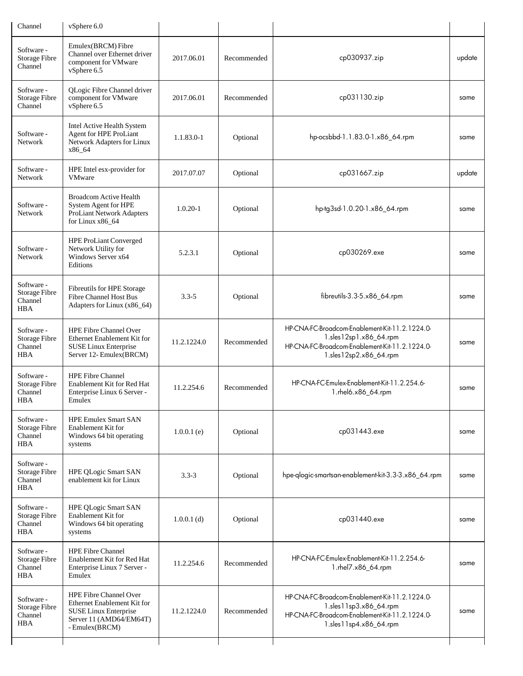| Channel                                                     | vSphere 6.0                                                                                                                        |               |             |                                                                                                                                                      |        |
|-------------------------------------------------------------|------------------------------------------------------------------------------------------------------------------------------------|---------------|-------------|------------------------------------------------------------------------------------------------------------------------------------------------------|--------|
| Software -<br>Storage Fibre<br>Channel                      | Emulex(BRCM) Fibre<br>Channel over Ethernet driver<br>component for VMware<br>vSphere 6.5                                          | 2017.06.01    | Recommended | cp030937.zip                                                                                                                                         | update |
| Software -<br><b>Storage Fibre</b><br>Channel               | QLogic Fibre Channel driver<br>component for VMware<br>vSphere 6.5                                                                 | 2017.06.01    | Recommended | cp031130.zip                                                                                                                                         | same   |
| Software -<br>Network                                       | Intel Active Health System<br>Agent for HPE ProLiant<br>Network Adapters for Linux<br>x86_64                                       | 1.1.83.0-1    | Optional    | hp-ocsbbd-1.1.83.0-1.x86_64.rpm                                                                                                                      | same   |
| Software -<br>Network                                       | HPE Intel esx-provider for<br><b>VMware</b>                                                                                        | 2017.07.07    | Optional    | cp031667.zip                                                                                                                                         | update |
| Software -<br>Network                                       | <b>Broadcom Active Health</b><br>System Agent for HPE<br><b>ProLiant Network Adapters</b><br>for Linux x86_64                      | $1.0.20 - 1$  | Optional    | hp-tg3sd-1.0.20-1.x86_64.rpm                                                                                                                         | same   |
| Software -<br>Network                                       | <b>HPE ProLiant Converged</b><br>Network Utility for<br>Windows Server x64<br>Editions                                             | 5.2.3.1       | Optional    | cp030269.exe                                                                                                                                         | same   |
| Software -<br><b>Storage Fibre</b><br>Channel<br><b>HBA</b> | Fibreutils for HPE Storage<br><b>Fibre Channel Host Bus</b><br>Adapters for Linux (x86_64)                                         | $3.3 - 5$     | Optional    | fibreutils-3.3-5.x86_64.rpm                                                                                                                          | same   |
| Software -<br>Storage Fibre<br>Channel<br><b>HBA</b>        | HPE Fibre Channel Over<br>Ethernet Enablement Kit for<br>SUSE Linux Enterprise<br>Server 12- Emulex (BRCM)                         | 11.2.1224.0   | Recommended | HP-CNA-FC-Broadcom-Enablement-Kit-11.2.1224.0-<br>1.sles12sp1.x86_64.rpm<br>HP-CNA-FC-Broadcom-Enablement-Kit-11.2.1224.0-<br>1.sles12sp2.x86_64.rpm | same   |
| Software -<br><b>Storage Fibre</b><br>Channel<br>HBA        | <b>HPE Fibre Channel</b><br>Enablement Kit for Red Hat<br>Enterprise Linux 6 Server -<br>Emulex                                    | 11.2.254.6    | Recommended | HP-CNA-FC-Emulex-Enablement-Kit-11.2.254.6-<br>1.rhel6.x86_64.rpm                                                                                    | same   |
| Software -<br><b>Storage Fibre</b><br>Channel<br><b>HBA</b> | <b>HPE Emulex Smart SAN</b><br>Enablement Kit for<br>Windows 64 bit operating<br>systems                                           | $1.0.0.1$ (e) | Optional    | cp031443.exe                                                                                                                                         | same   |
| Software -<br><b>Storage Fibre</b><br>Channel<br>HBA        | <b>HPE QLogic Smart SAN</b><br>enablement kit for Linux                                                                            | $3.3 - 3$     | Optional    | hpe-qlogic-smartsan-enablement-kit-3.3-3.x86_64.rpm                                                                                                  | same   |
| Software -<br>Storage Fibre<br>Channel<br><b>HBA</b>        | <b>HPE OLogic Smart SAN</b><br>Enablement Kit for<br>Windows 64 bit operating<br>systems                                           | $1.0.0.1$ (d) | Optional    | cp031440.exe                                                                                                                                         | same   |
| Software -<br>Storage Fibre<br>Channel<br><b>HBA</b>        | <b>HPE Fibre Channel</b><br>Enablement Kit for Red Hat<br>Enterprise Linux 7 Server -<br>Emulex                                    | 11.2.254.6    | Recommended | HP-CNA-FC-Emulex-Enablement-Kit-11.2.254.6-<br>1.rhel7.x86_64.rpm                                                                                    | same   |
| Software -<br>Storage Fibre<br>Channel<br><b>HBA</b>        | <b>HPE Fibre Channel Over</b><br>Ethernet Enablement Kit for<br>SUSE Linux Enterprise<br>Server 11 (AMD64/EM64T)<br>- Emulex(BRCM) | 11.2.1224.0   | Recommended | HP-CNA-FC-Broadcom-Enablement-Kit-11.2.1224.0-<br>1.sles11sp3.x86_64.rpm<br>HP-CNA-FC-Broadcom-Enablement-Kit-11.2.1224.0-<br>1.sles11sp4.x86_64.rpm | same   |